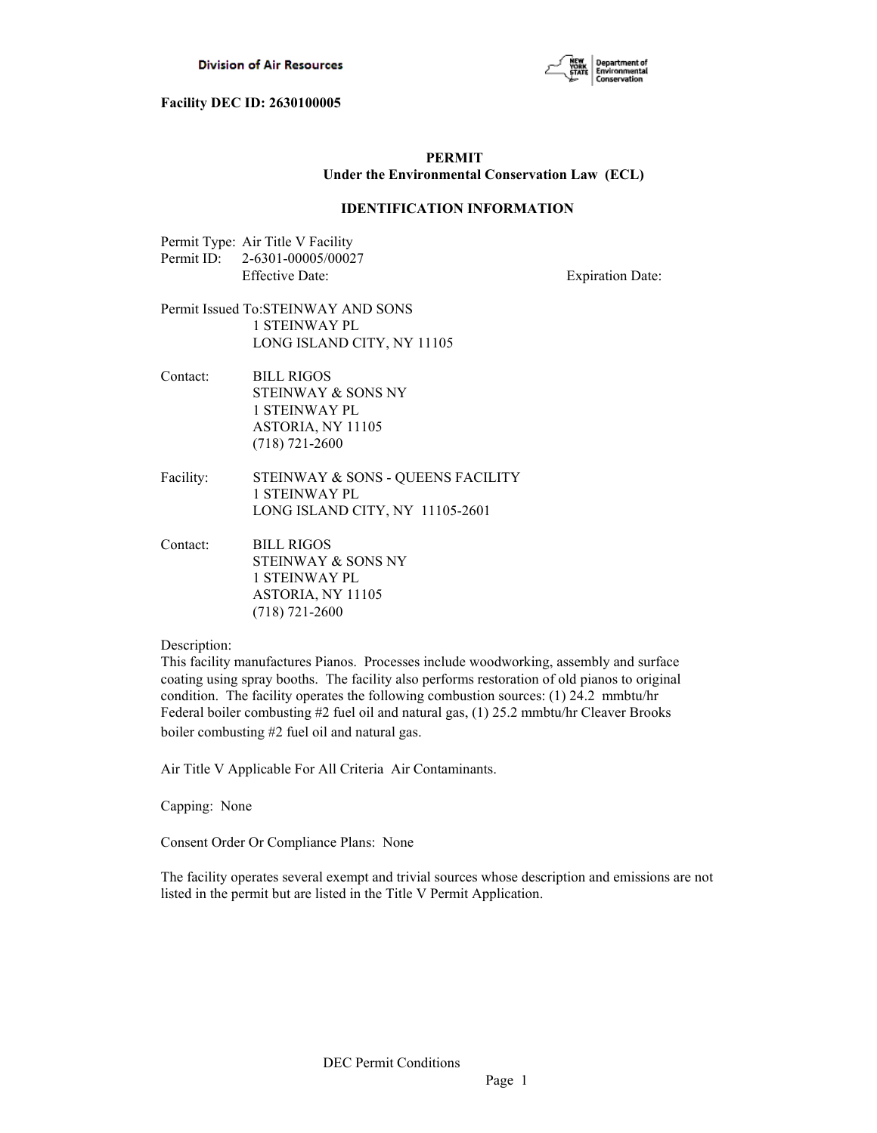

# **PERMIT Under the Environmental Conservation Law (ECL)**

# **IDENTIFICATION INFORMATION**

| Permit Type: Air Title V Facility |
|-----------------------------------|
| Permit ID: 2-6301-00005/00027     |
| Effective Date:                   |

**Expiration Date:** 

# Permit Issued To:STEINWAY AND SONS 1 STEINWAY PL LONG ISLAND CITY, NY 11105

Contact: BILL RIGOS STEINWAY & SONS NY 1 STEINWAY PL ASTORIA, NY 11105 (718) 721-2600

- Facility: STEINWAY & SONS QUEENS FACILITY 1 STEINWAY PL LONG ISLAND CITY, NY 11105-2601
- Contact: BILL RIGOS STEINWAY & SONS NY 1 STEINWAY PL ASTORIA, NY 11105 (718) 721-2600

# Description:

This facility manufactures Pianos. Processes include woodworking, assembly and surface coating using spray booths. The facility also performs restoration of old pianos to original condition. The facility operates the following combustion sources: (1) 24.2 mmbtu/hr Federal boiler combusting #2 fuel oil and natural gas, (1) 25.2 mmbtu/hr Cleaver Brooks boiler combusting #2 fuel oil and natural gas.

Air Title V Applicable For All Criteria Air Contaminants.

Capping: None

Consent Order Or Compliance Plans: None

The facility operates several exempt and trivial sources whose description and emissions are not listed in the permit but are listed in the Title V Permit Application.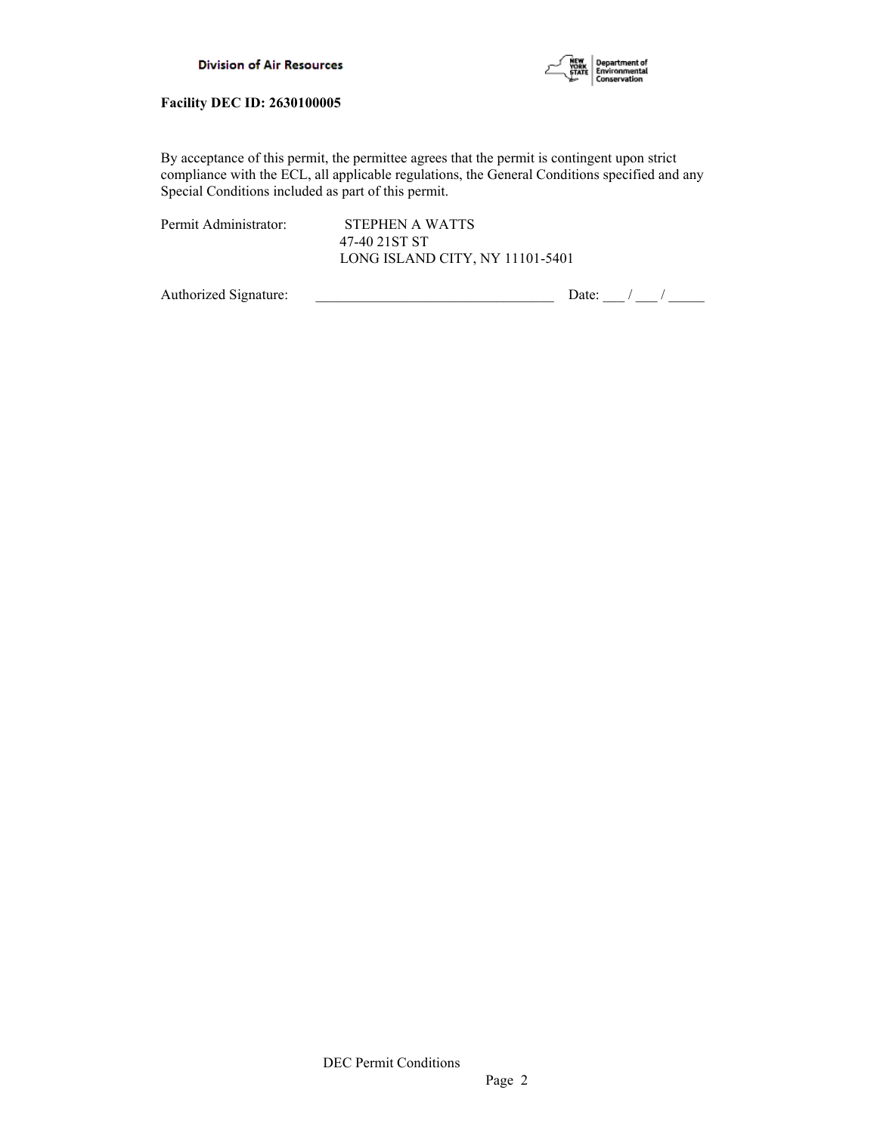

By acceptance of this permit, the permittee agrees that the permit is contingent upon strict compliance with the ECL, all applicable regulations, the General Conditions specified and any Special Conditions included as part of this permit.

Permit Administrator: STEPHEN A WATTS

 47-40 21ST ST LONG ISLAND CITY, NY 11101-5401

Authorized Signature:  $\frac{1}{\sqrt{2\pi}}$  Date:  $\frac{1}{\sqrt{2\pi}}$  Date:  $\frac{1}{\sqrt{2\pi}}$  /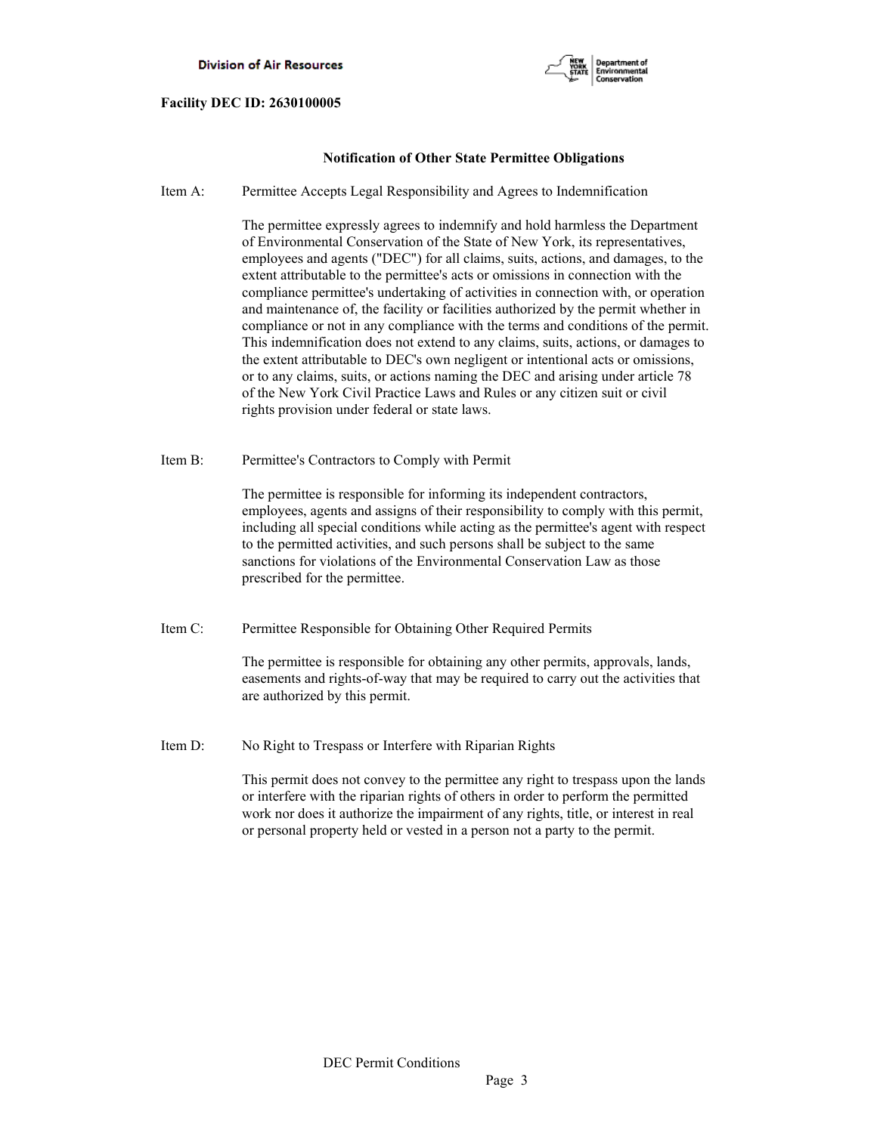

# **Notification of Other State Permittee Obligations**

Item A: Permittee Accepts Legal Responsibility and Agrees to Indemnification

 The permittee expressly agrees to indemnify and hold harmless the Department of Environmental Conservation of the State of New York, its representatives, employees and agents ("DEC") for all claims, suits, actions, and damages, to the extent attributable to the permittee's acts or omissions in connection with the compliance permittee's undertaking of activities in connection with, or operation and maintenance of, the facility or facilities authorized by the permit whether in compliance or not in any compliance with the terms and conditions of the permit. This indemnification does not extend to any claims, suits, actions, or damages to the extent attributable to DEC's own negligent or intentional acts or omissions, or to any claims, suits, or actions naming the DEC and arising under article 78 of the New York Civil Practice Laws and Rules or any citizen suit or civil rights provision under federal or state laws.

Item B: Permittee's Contractors to Comply with Permit

 The permittee is responsible for informing its independent contractors, employees, agents and assigns of their responsibility to comply with this permit, including all special conditions while acting as the permittee's agent with respect to the permitted activities, and such persons shall be subject to the same sanctions for violations of the Environmental Conservation Law as those prescribed for the permittee.

Item C: Permittee Responsible for Obtaining Other Required Permits

 The permittee is responsible for obtaining any other permits, approvals, lands, easements and rights-of-way that may be required to carry out the activities that are authorized by this permit.

Item D: No Right to Trespass or Interfere with Riparian Rights

 This permit does not convey to the permittee any right to trespass upon the lands or interfere with the riparian rights of others in order to perform the permitted work nor does it authorize the impairment of any rights, title, or interest in real or personal property held or vested in a person not a party to the permit.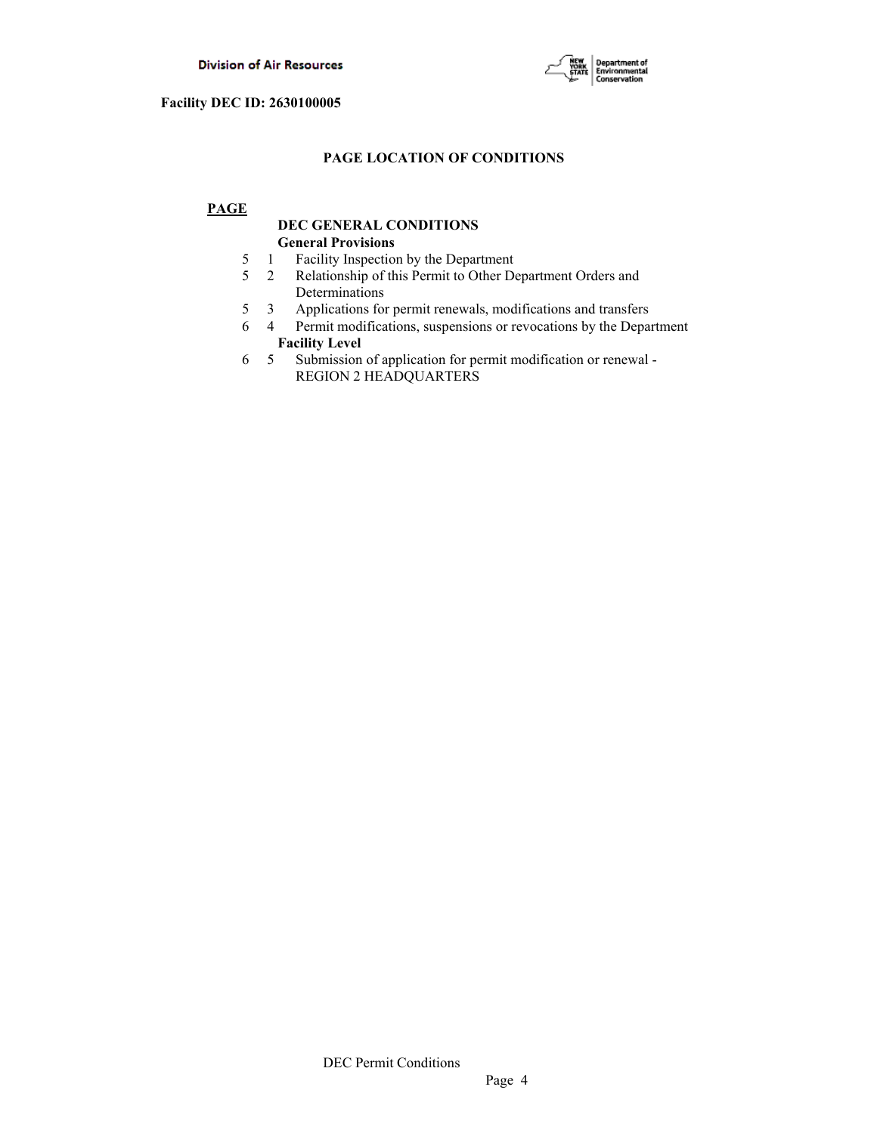

# **PAGE LOCATION OF CONDITIONS**

# **PAGE**

# **DEC GENERAL CONDITIONS General Provisions**

- 5 1 Facility Inspection by the Department
- 5 2 Relationship of this Permit to Other Department Orders and Determinations
- 5 3 Applications for permit renewals, modifications and transfers
- 6 4 Permit modifications, suspensions or revocations by the Department  **Facility Level**
- 6 5 Submission of application for permit modification or renewal REGION 2 HEADQUARTERS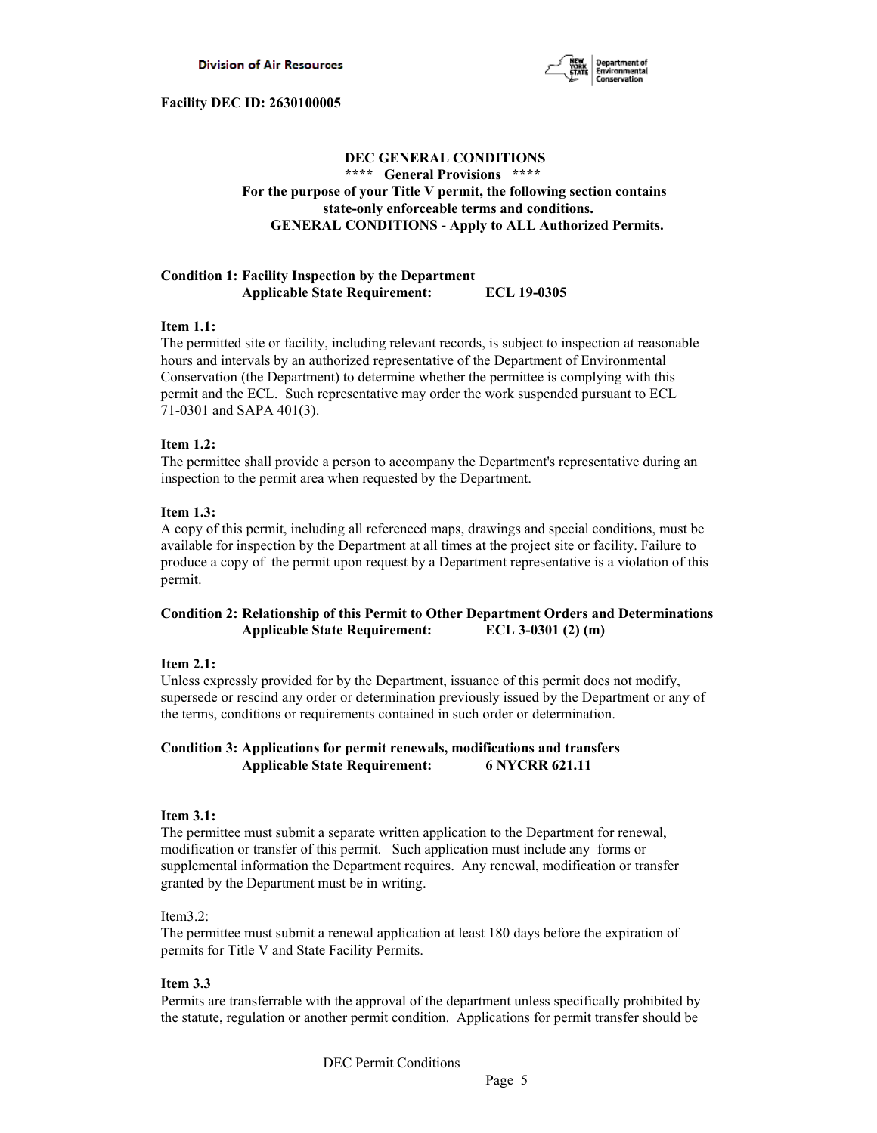

# **DEC GENERAL CONDITIONS \*\*\*\* General Provisions \*\*\*\* For the purpose of your Title V permit, the following section contains state-only enforceable terms and conditions. GENERAL CONDITIONS - Apply to ALL Authorized Permits.**

# **Condition 1: Facility Inspection by the Department Applicable State Requirement: ECL 19-0305**

# **Item 1.1:**

The permitted site or facility, including relevant records, is subject to inspection at reasonable hours and intervals by an authorized representative of the Department of Environmental Conservation (the Department) to determine whether the permittee is complying with this permit and the ECL. Such representative may order the work suspended pursuant to ECL 71-0301 and SAPA 401(3).

# **Item 1.2:**

The permittee shall provide a person to accompany the Department's representative during an inspection to the permit area when requested by the Department.

# **Item 1.3:**

A copy of this permit, including all referenced maps, drawings and special conditions, must be available for inspection by the Department at all times at the project site or facility. Failure to produce a copy of the permit upon request by a Department representative is a violation of this permit.

# **Condition 2: Relationship of this Permit to Other Department Orders and Determinations Applicable State Requirement: ECL 3-0301 (2) (m)**

# **Item 2.1:**

Unless expressly provided for by the Department, issuance of this permit does not modify, supersede or rescind any order or determination previously issued by the Department or any of the terms, conditions or requirements contained in such order or determination.

# **Condition 3: Applications for permit renewals, modifications and transfers Applicable State Requirement: 6 NYCRR 621.11**

# **Item 3.1:**

The permittee must submit a separate written application to the Department for renewal, modification or transfer of this permit. Such application must include any forms or supplemental information the Department requires. Any renewal, modification or transfer granted by the Department must be in writing.

# Item3.2:

The permittee must submit a renewal application at least 180 days before the expiration of permits for Title V and State Facility Permits.

# **Item 3.3**

Permits are transferrable with the approval of the department unless specifically prohibited by the statute, regulation or another permit condition. Applications for permit transfer should be

DEC Permit Conditions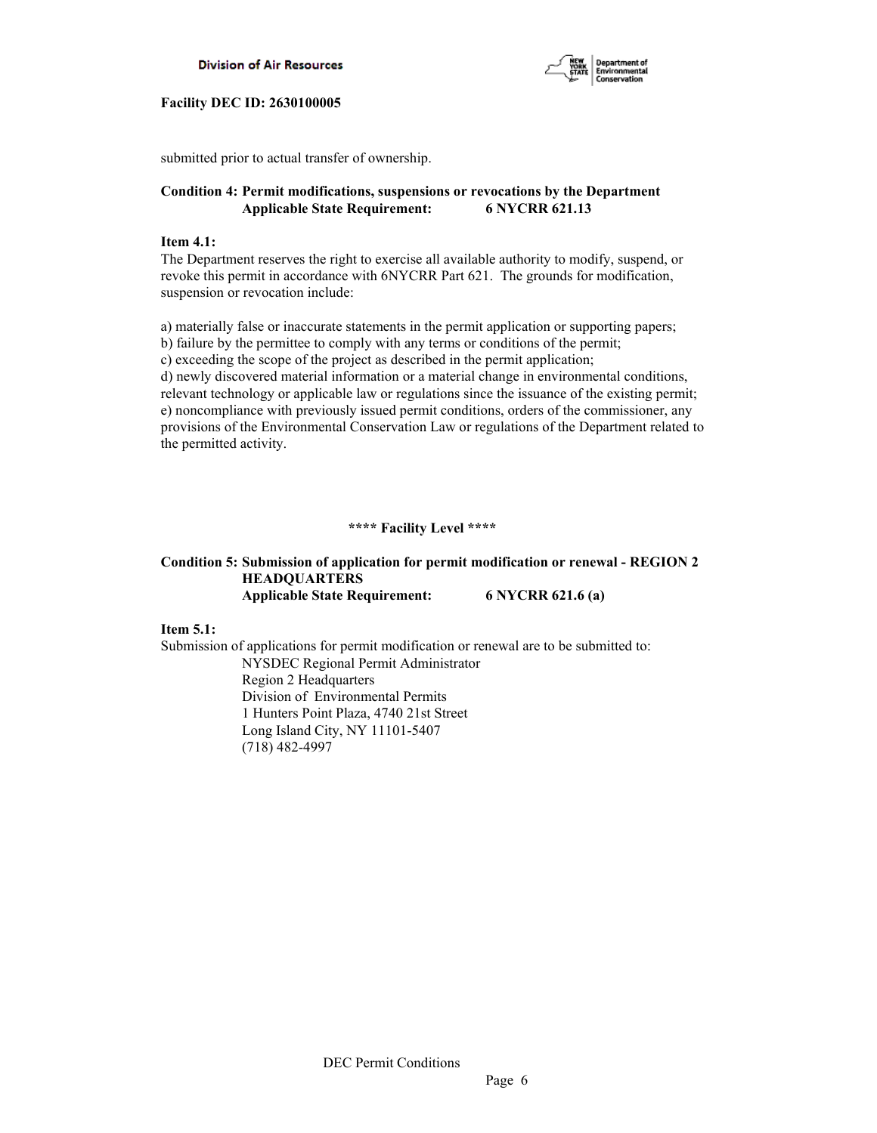



submitted prior to actual transfer of ownership.

# **Condition 4: Permit modifications, suspensions or revocations by the Department Applicable State Requirement: 6 NYCRR 621.13**

# **Item 4.1:**

The Department reserves the right to exercise all available authority to modify, suspend, or revoke this permit in accordance with 6NYCRR Part 621. The grounds for modification, suspension or revocation include:

a) materially false or inaccurate statements in the permit application or supporting papers; b) failure by the permittee to comply with any terms or conditions of the permit; c) exceeding the scope of the project as described in the permit application; d) newly discovered material information or a material change in environmental conditions, relevant technology or applicable law or regulations since the issuance of the existing permit; e) noncompliance with previously issued permit conditions, orders of the commissioner, any provisions of the Environmental Conservation Law or regulations of the Department related to the permitted activity.

# **\*\*\*\* Facility Level \*\*\*\***

# **Condition 5: Submission of application for permit modification or renewal - REGION 2 HEADQUARTERS Applicable State Requirement: 6 NYCRR 621.6 (a)**

**Item 5.1:**

Submission of applications for permit modification or renewal are to be submitted to: NYSDEC Regional Permit Administrator Region 2 Headquarters Division of Environmental Permits 1 Hunters Point Plaza, 4740 21st Street Long Island City, NY 11101-5407 (718) 482-4997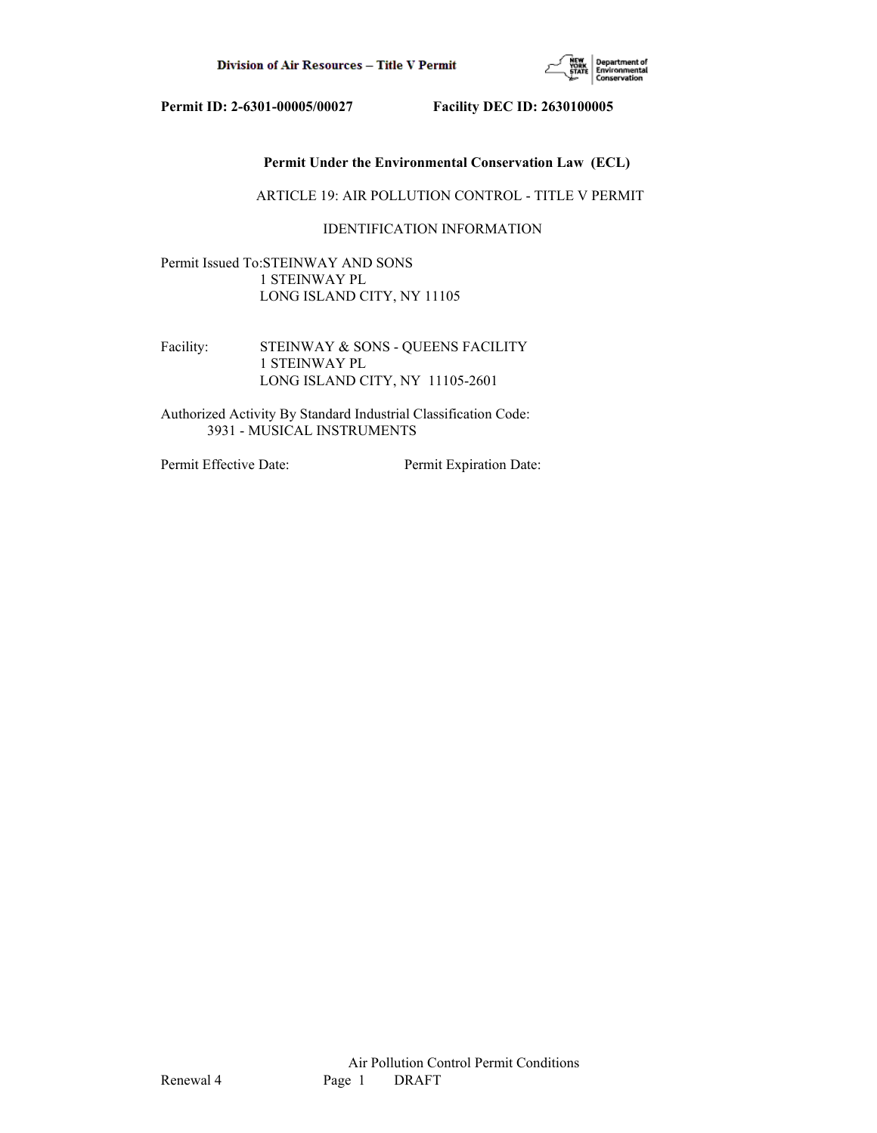

# **Permit Under the Environmental Conservation Law (ECL)**

ARTICLE 19: AIR POLLUTION CONTROL - TITLE V PERMIT

# IDENTIFICATION INFORMATION

Permit Issued To:STEINWAY AND SONS 1 STEINWAY PL LONG ISLAND CITY, NY 11105

Facility: STEINWAY & SONS - QUEENS FACILITY 1 STEINWAY PL LONG ISLAND CITY, NY 11105-2601

Authorized Activity By Standard Industrial Classification Code: 3931 - MUSICAL INSTRUMENTS

Permit Effective Date: Permit Expiration Date: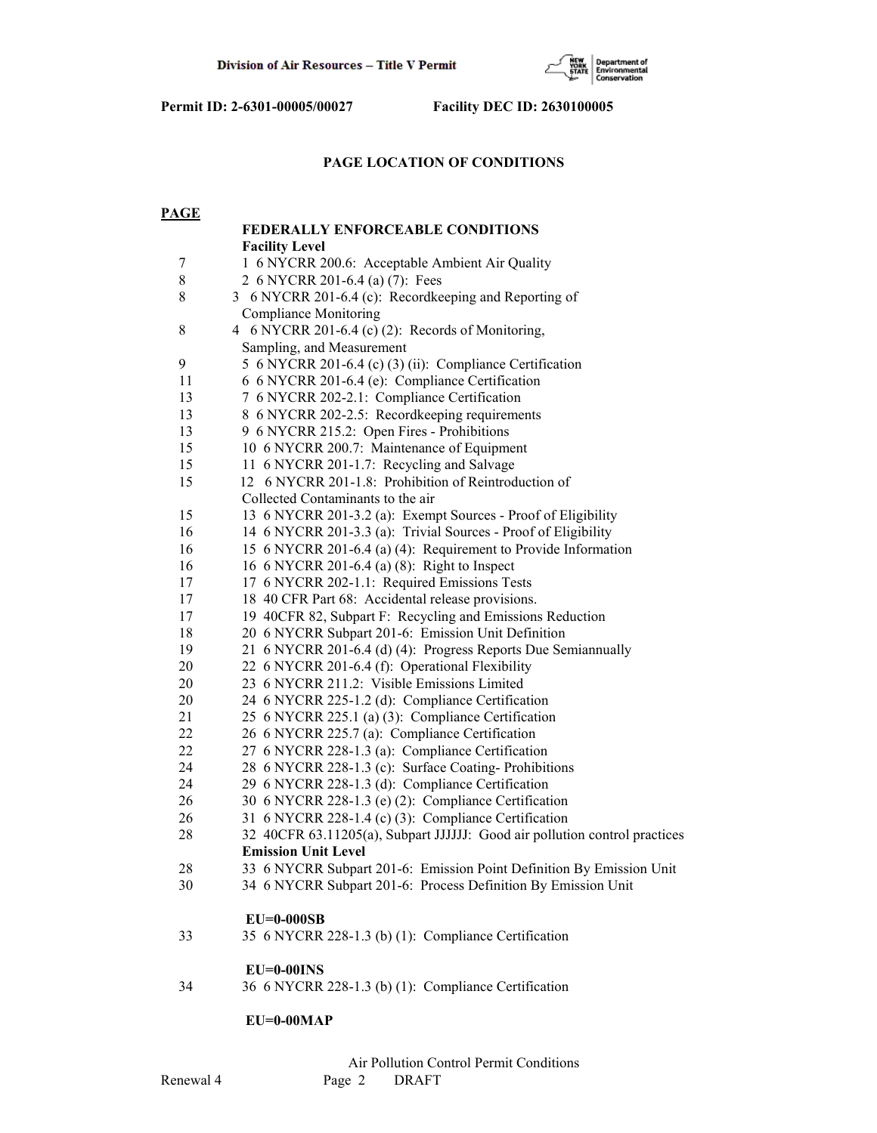

# **PAGE LOCATION OF CONDITIONS**

| <b>PAGE</b> |                                                                            |
|-------------|----------------------------------------------------------------------------|
|             | <b>FEDERALLY ENFORCEABLE CONDITIONS</b>                                    |
|             | <b>Facility Level</b>                                                      |
| 7           | 1 6 NYCRR 200.6: Acceptable Ambient Air Quality                            |
| 8           | 2 6 NYCRR 201-6.4 (a) (7): Fees                                            |
| 8           | 3 6 NYCRR 201-6.4 (c): Recordkeeping and Reporting of                      |
|             | <b>Compliance Monitoring</b>                                               |
| $8\,$       | 4 6 NYCRR 201-6.4 (c) (2): Records of Monitoring,                          |
|             | Sampling, and Measurement                                                  |
| 9           | 5 6 NYCRR 201-6.4 (c) (3) (ii): Compliance Certification                   |
| 11          | 6 6 NYCRR 201-6.4 (e): Compliance Certification                            |
| 13          | 7 6 NYCRR 202-2.1: Compliance Certification                                |
| 13          | 8 6 NYCRR 202-2.5: Recordkeeping requirements                              |
| 13          | 9 6 NYCRR 215.2: Open Fires - Prohibitions                                 |
| 15          | 10 6 NYCRR 200.7: Maintenance of Equipment                                 |
| 15          | 11 6 NYCRR 201-1.7: Recycling and Salvage                                  |
| 15          | 12 6 NYCRR 201-1.8: Prohibition of Reintroduction of                       |
|             | Collected Contaminants to the air                                          |
| 15          | 13 6 NYCRR 201-3.2 (a): Exempt Sources - Proof of Eligibility              |
| 16          | 14 6 NYCRR 201-3.3 (a): Trivial Sources - Proof of Eligibility             |
| 16          | 15 6 NYCRR 201-6.4 (a) (4): Requirement to Provide Information             |
| 16          | 16 6 NYCRR 201-6.4 (a) (8): Right to Inspect                               |
| 17          | 17 6 NYCRR 202-1.1: Required Emissions Tests                               |
| $17\,$      | 18 40 CFR Part 68: Accidental release provisions.                          |
| 17          | 19 40CFR 82, Subpart F: Recycling and Emissions Reduction                  |
| 18          | 20 6 NYCRR Subpart 201-6: Emission Unit Definition                         |
| 19          | 21 6 NYCRR 201-6.4 (d) (4): Progress Reports Due Semiannually              |
| 20          | 22 6 NYCRR 201-6.4 (f): Operational Flexibility                            |
| 20          | 23 6 NYCRR 211.2: Visible Emissions Limited                                |
| 20          | 24 6 NYCRR 225-1.2 (d): Compliance Certification                           |
| 21          | 25 6 NYCRR 225.1 (a) (3): Compliance Certification                         |
| 22          | 26 6 NYCRR 225.7 (a): Compliance Certification                             |
| 22          | 27 6 NYCRR 228-1.3 (a): Compliance Certification                           |
| 24          | 28 6 NYCRR 228-1.3 (c): Surface Coating-Prohibitions                       |
| 24          | 29 6 NYCRR 228-1.3 (d): Compliance Certification                           |
| 26          | 30 6 NYCRR 228-1.3 (e) (2): Compliance Certification                       |
| 26          | 31 6 NYCRR 228-1.4 (c) (3): Compliance Certification                       |
| 28          | 32 40CFR 63.11205(a), Subpart JJJJJJ: Good air pollution control practices |
|             | <b>Emission Unit Level</b>                                                 |
| 28          | 33 6 NYCRR Subpart 201-6: Emission Point Definition By Emission Unit       |
| 30          | 34 6 NYCRR Subpart 201-6: Process Definition By Emission Unit              |
|             | $EU=0-000SB$                                                               |
| 33          | 35 6 NYCRR 228-1.3 (b) (1): Compliance Certification                       |
|             | $EU=0-00INS$                                                               |
| 34          | 36 6 NYCRR 228-1.3 (b) (1): Compliance Certification                       |
|             |                                                                            |

# **EU=0-00MAP**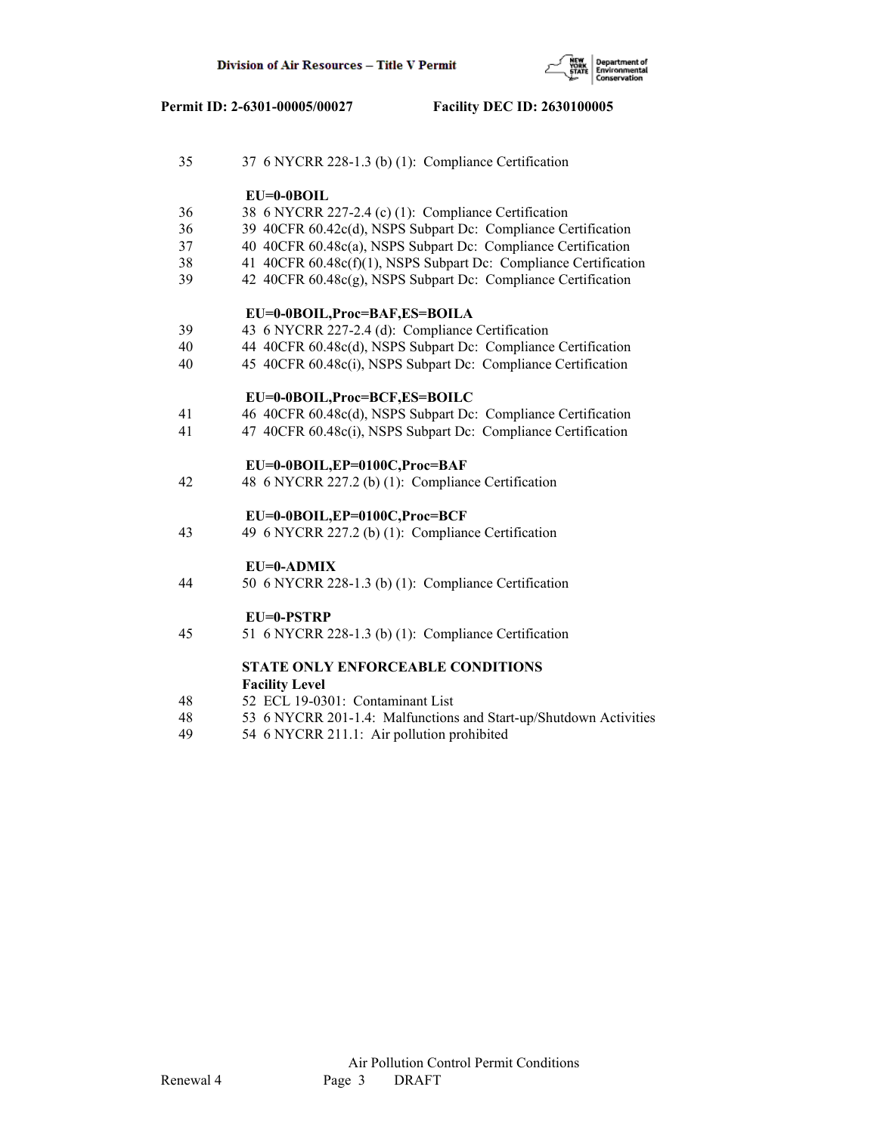

| 35 | 37 6 NYCRR 228-1.3 (b) (1): Compliance Certification              |
|----|-------------------------------------------------------------------|
|    | $EU=0-0BOIL$                                                      |
| 36 | 38 6 NYCRR 227-2.4 (c) (1): Compliance Certification              |
| 36 | 39 40CFR 60.42c(d), NSPS Subpart Dc: Compliance Certification     |
| 37 | 40 40CFR 60.48c(a), NSPS Subpart Dc: Compliance Certification     |
| 38 | 41 40CFR 60.48c(f)(1), NSPS Subpart Dc: Compliance Certification  |
| 39 | 42 40CFR 60.48c(g), NSPS Subpart Dc: Compliance Certification     |
|    | EU=0-0BOIL, Proc=BAF, ES=BOILA                                    |
| 39 | 43 6 NYCRR 227-2.4 (d): Compliance Certification                  |
| 40 | 44 40CFR 60.48c(d), NSPS Subpart Dc: Compliance Certification     |
| 40 | 45 40CFR 60.48c(i), NSPS Subpart Dc: Compliance Certification     |
|    | EU=0-0BOIL, Proc=BCF, ES=BOILC                                    |
| 41 | 46 40CFR 60.48c(d), NSPS Subpart Dc: Compliance Certification     |
| 41 | 47 40CFR 60.48c(i), NSPS Subpart Dc: Compliance Certification     |
|    | EU=0-0BOIL,EP=0100C,Proc=BAF                                      |
| 42 | 48 6 NYCRR 227.2 (b) (1): Compliance Certification                |
|    | EU=0-0BOIL,EP=0100C,Proc=BCF                                      |
| 43 | 49 6 NYCRR 227.2 (b) (1): Compliance Certification                |
|    | $EU=0$ -ADMIX                                                     |
| 44 | 50 6 NYCRR 228-1.3 (b) (1): Compliance Certification              |
|    | EU=0-PSTRP                                                        |
| 45 | 51 6 NYCRR 228-1.3 (b) (1): Compliance Certification              |
|    | <b>STATE ONLY ENFORCEABLE CONDITIONS</b>                          |
|    | <b>Facility Level</b>                                             |
| 48 | 52 ECL 19-0301: Contaminant List                                  |
| 48 | 53 6 NYCRR 201-1.4: Malfunctions and Start-up/Shutdown Activities |

49 54 6 NYCRR 211.1: Air pollution prohibited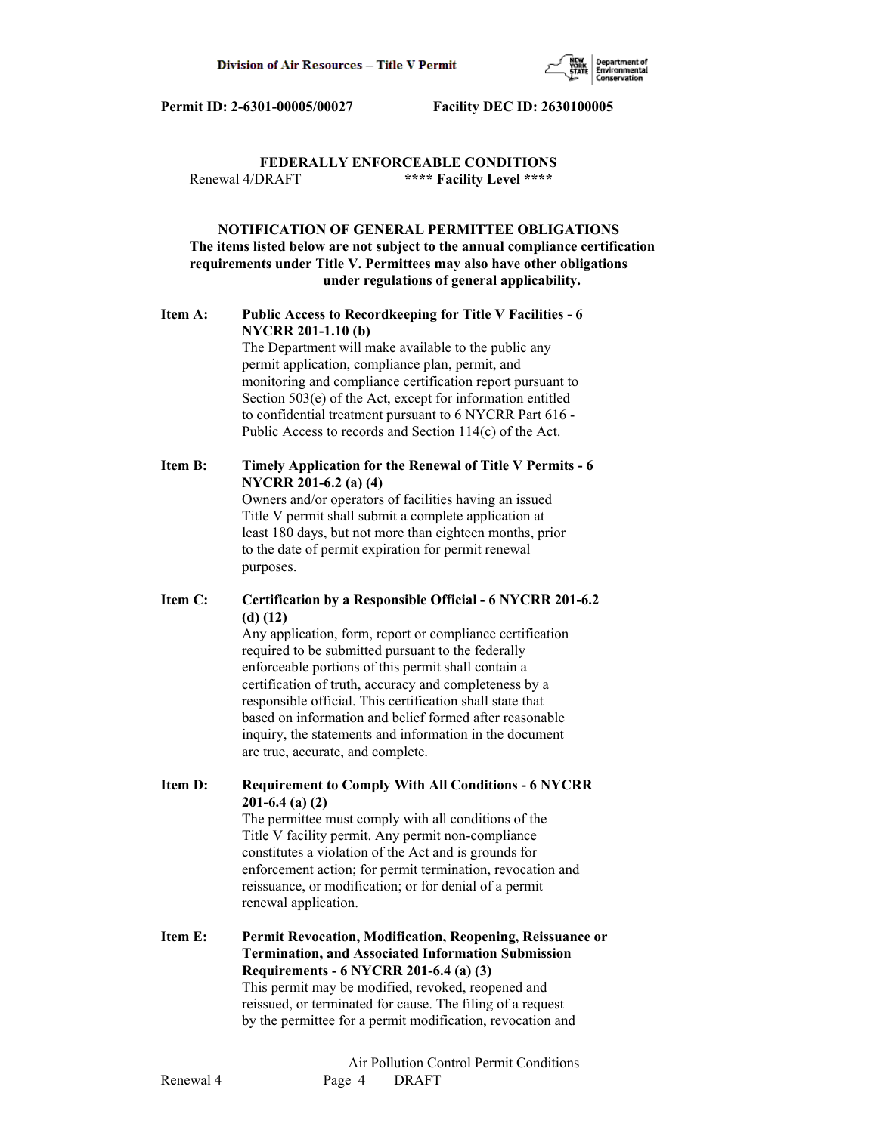

# **FEDERALLY ENFORCEABLE CONDITIONS** Renewal 4/DRAFT **\*\*\*\* Facility Level \*\*\*\***

# **NOTIFICATION OF GENERAL PERMITTEE OBLIGATIONS The items listed below are not subject to the annual compliance certification requirements under Title V. Permittees may also have other obligations under regulations of general applicability.**

# **Item A: Public Access to Recordkeeping for Title V Facilities - 6 NYCRR 201-1.10 (b)**

 The Department will make available to the public any permit application, compliance plan, permit, and monitoring and compliance certification report pursuant to Section 503(e) of the Act, except for information entitled to confidential treatment pursuant to 6 NYCRR Part 616 - Public Access to records and Section 114(c) of the Act.

# **Item B: Timely Application for the Renewal of Title V Permits - 6 NYCRR 201-6.2 (a) (4)**

 Owners and/or operators of facilities having an issued Title V permit shall submit a complete application at least 180 days, but not more than eighteen months, prior to the date of permit expiration for permit renewal purposes.

# **Item C: Certification by a Responsible Official - 6 NYCRR 201-6.2 (d) (12)**

 Any application, form, report or compliance certification required to be submitted pursuant to the federally enforceable portions of this permit shall contain a certification of truth, accuracy and completeness by a responsible official. This certification shall state that based on information and belief formed after reasonable inquiry, the statements and information in the document are true, accurate, and complete.

**Item D: Requirement to Comply With All Conditions - 6 NYCRR 201-6.4 (a) (2)**

 The permittee must comply with all conditions of the Title V facility permit. Any permit non-compliance constitutes a violation of the Act and is grounds for enforcement action; for permit termination, revocation and reissuance, or modification; or for denial of a permit renewal application.

**Item E: Permit Revocation, Modification, Reopening, Reissuance or Termination, and Associated Information Submission Requirements - 6 NYCRR 201-6.4 (a) (3)** This permit may be modified, revoked, reopened and reissued, or terminated for cause. The filing of a request by the permittee for a permit modification, revocation and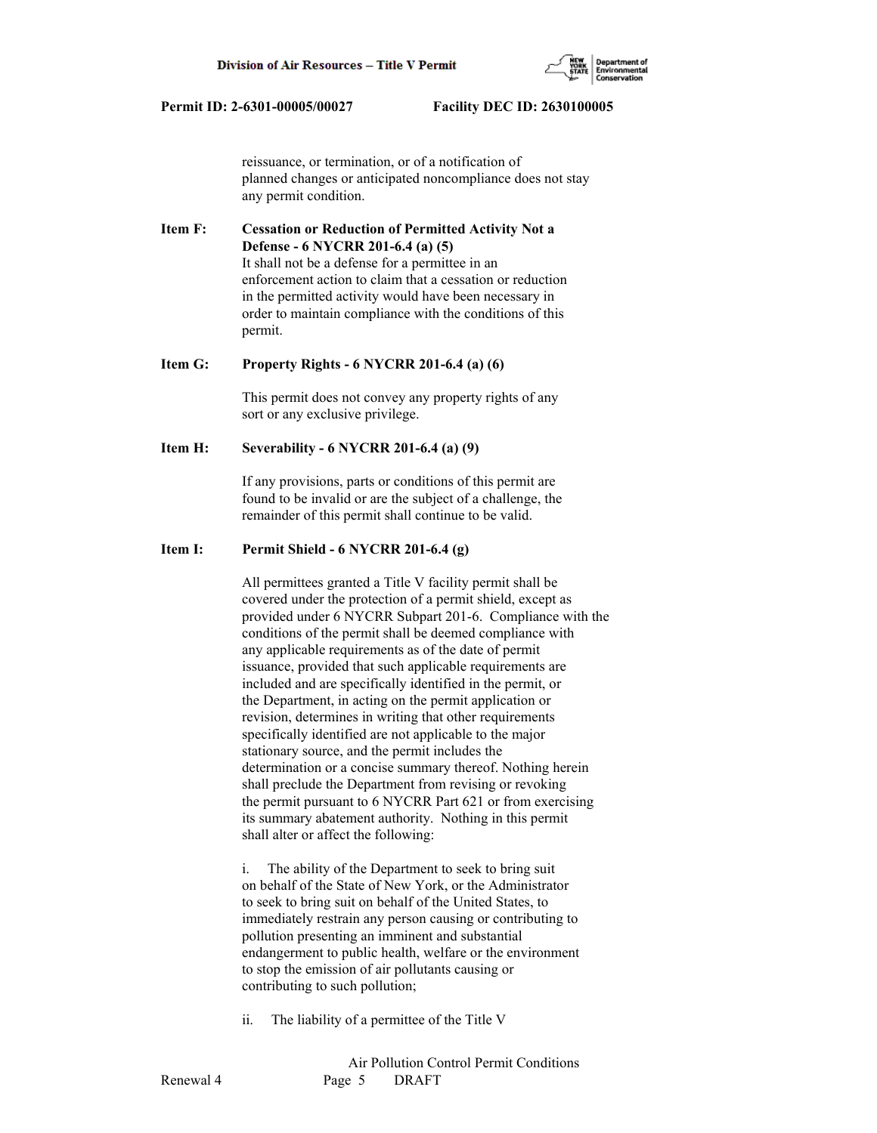

 reissuance, or termination, or of a notification of planned changes or anticipated noncompliance does not stay any permit condition.

**Item F: Cessation or Reduction of Permitted Activity Not a Defense - 6 NYCRR 201-6.4 (a) (5)** It shall not be a defense for a permittee in an enforcement action to claim that a cessation or reduction in the permitted activity would have been necessary in order to maintain compliance with the conditions of this permit.

#### **Item G: Property Rights - 6 NYCRR 201-6.4 (a) (6)**

 This permit does not convey any property rights of any sort or any exclusive privilege.

## **Item H: Severability - 6 NYCRR 201-6.4 (a) (9)**

 If any provisions, parts or conditions of this permit are found to be invalid or are the subject of a challenge, the remainder of this permit shall continue to be valid.

# **Item I: Permit Shield - 6 NYCRR 201-6.4 (g)**

 All permittees granted a Title V facility permit shall be covered under the protection of a permit shield, except as provided under 6 NYCRR Subpart 201-6. Compliance with the conditions of the permit shall be deemed compliance with any applicable requirements as of the date of permit issuance, provided that such applicable requirements are included and are specifically identified in the permit, or the Department, in acting on the permit application or revision, determines in writing that other requirements specifically identified are not applicable to the major stationary source, and the permit includes the determination or a concise summary thereof. Nothing herein shall preclude the Department from revising or revoking the permit pursuant to 6 NYCRR Part 621 or from exercising its summary abatement authority. Nothing in this permit shall alter or affect the following:

 i. The ability of the Department to seek to bring suit on behalf of the State of New York, or the Administrator to seek to bring suit on behalf of the United States, to immediately restrain any person causing or contributing to pollution presenting an imminent and substantial endangerment to public health, welfare or the environment to stop the emission of air pollutants causing or contributing to such pollution;

ii. The liability of a permittee of the Title V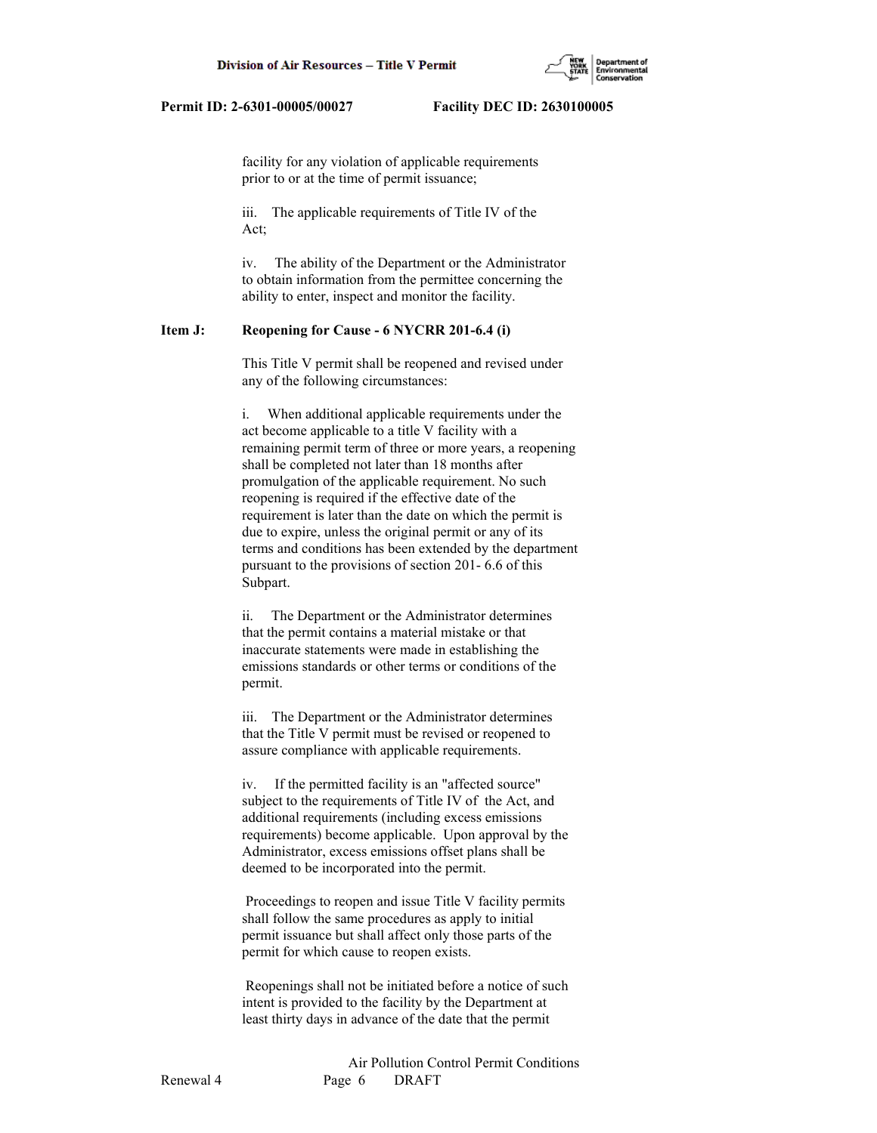

 facility for any violation of applicable requirements prior to or at the time of permit issuance;

 iii. The applicable requirements of Title IV of the Act;

 iv. The ability of the Department or the Administrator to obtain information from the permittee concerning the ability to enter, inspect and monitor the facility.

# **Item J: Reopening for Cause - 6 NYCRR 201-6.4 (i)**

 This Title V permit shall be reopened and revised under any of the following circumstances:

 i. When additional applicable requirements under the act become applicable to a title V facility with a remaining permit term of three or more years, a reopening shall be completed not later than 18 months after promulgation of the applicable requirement. No such reopening is required if the effective date of the requirement is later than the date on which the permit is due to expire, unless the original permit or any of its terms and conditions has been extended by the department pursuant to the provisions of section 201- 6.6 of this Subpart.

 ii. The Department or the Administrator determines that the permit contains a material mistake or that inaccurate statements were made in establishing the emissions standards or other terms or conditions of the permit.

 iii. The Department or the Administrator determines that the Title V permit must be revised or reopened to assure compliance with applicable requirements.

 iv. If the permitted facility is an "affected source" subject to the requirements of Title IV of the Act, and additional requirements (including excess emissions requirements) become applicable. Upon approval by the Administrator, excess emissions offset plans shall be deemed to be incorporated into the permit.

 Proceedings to reopen and issue Title V facility permits shall follow the same procedures as apply to initial permit issuance but shall affect only those parts of the permit for which cause to reopen exists.

 Reopenings shall not be initiated before a notice of such intent is provided to the facility by the Department at least thirty days in advance of the date that the permit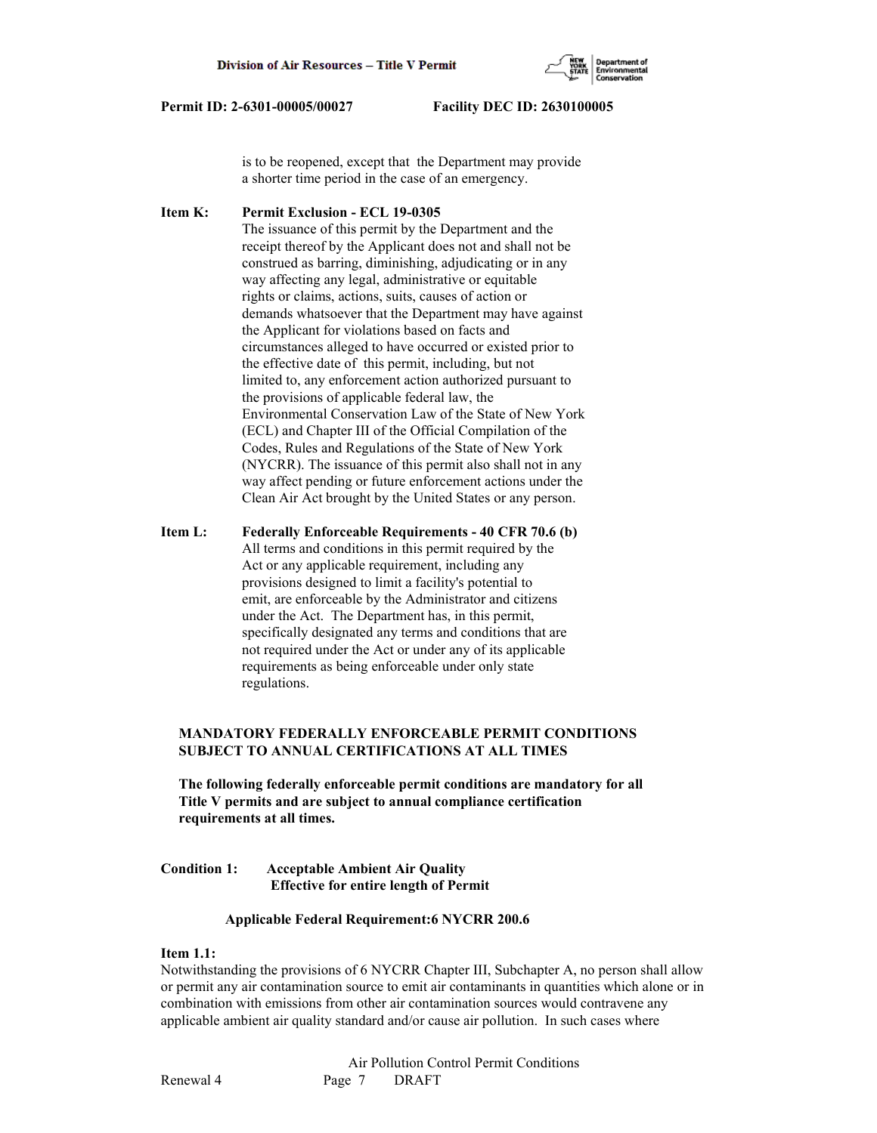

 is to be reopened, except that the Department may provide a shorter time period in the case of an emergency.

**Item K: Permit Exclusion - ECL 19-0305** The issuance of this permit by the Department and the receipt thereof by the Applicant does not and shall not be construed as barring, diminishing, adjudicating or in any way affecting any legal, administrative or equitable rights or claims, actions, suits, causes of action or demands whatsoever that the Department may have against the Applicant for violations based on facts and circumstances alleged to have occurred or existed prior to the effective date of this permit, including, but not limited to, any enforcement action authorized pursuant to the provisions of applicable federal law, the Environmental Conservation Law of the State of New York (ECL) and Chapter III of the Official Compilation of the Codes, Rules and Regulations of the State of New York (NYCRR). The issuance of this permit also shall not in any way affect pending or future enforcement actions under the Clean Air Act brought by the United States or any person.

**Item L: Federally Enforceable Requirements - 40 CFR 70.6 (b)** All terms and conditions in this permit required by the Act or any applicable requirement, including any provisions designed to limit a facility's potential to emit, are enforceable by the Administrator and citizens under the Act. The Department has, in this permit, specifically designated any terms and conditions that are not required under the Act or under any of its applicable requirements as being enforceable under only state regulations.

# **MANDATORY FEDERALLY ENFORCEABLE PERMIT CONDITIONS SUBJECT TO ANNUAL CERTIFICATIONS AT ALL TIMES**

 **The following federally enforceable permit conditions are mandatory for all Title V permits and are subject to annual compliance certification requirements at all times.**

# **Condition 1: Acceptable Ambient Air Quality Effective for entire length of Permit**

# **Applicable Federal Requirement:6 NYCRR 200.6**

# **Item 1.1:**

Notwithstanding the provisions of 6 NYCRR Chapter III, Subchapter A, no person shall allow or permit any air contamination source to emit air contaminants in quantities which alone or in combination with emissions from other air contamination sources would contravene any applicable ambient air quality standard and/or cause air pollution. In such cases where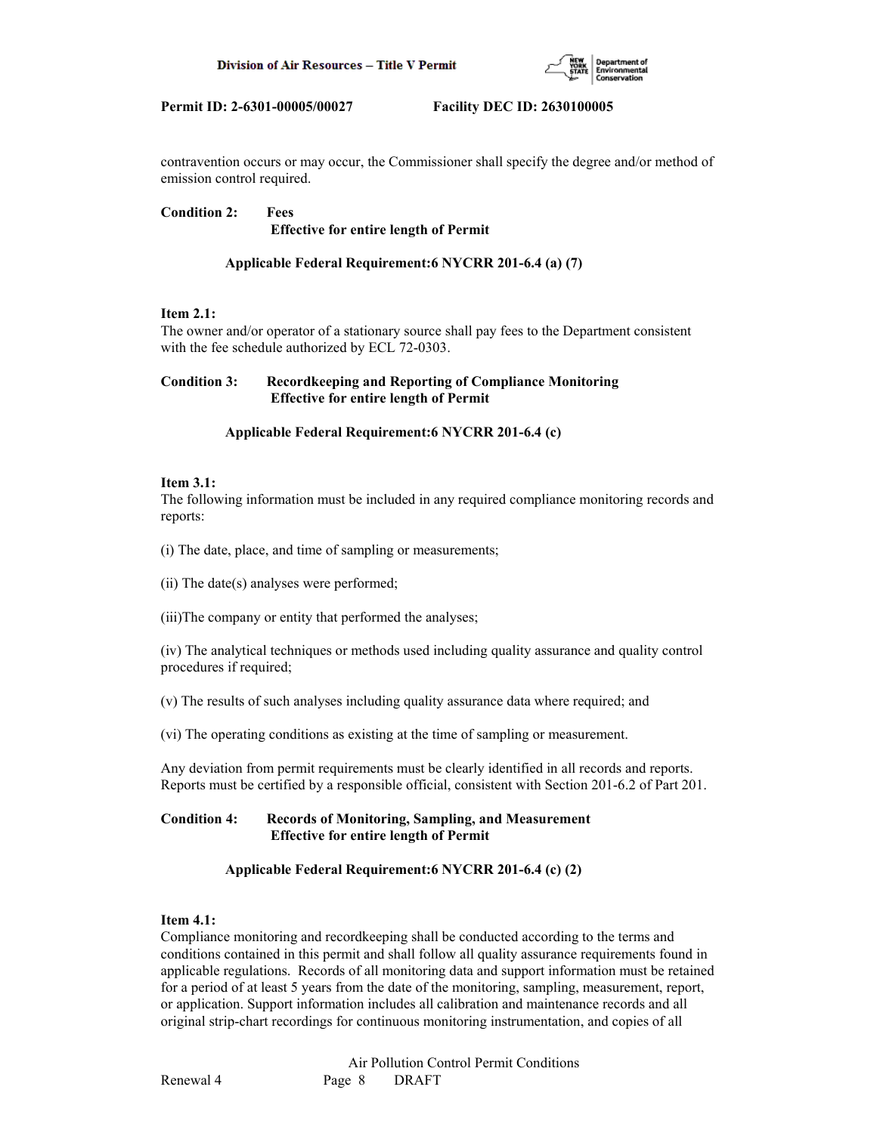

contravention occurs or may occur, the Commissioner shall specify the degree and/or method of emission control required.

**Condition 2: Fees Effective for entire length of Permit**

# **Applicable Federal Requirement:6 NYCRR 201-6.4 (a) (7)**

# **Item 2.1:**

The owner and/or operator of a stationary source shall pay fees to the Department consistent with the fee schedule authorized by ECL 72-0303.

# **Condition 3: Recordkeeping and Reporting of Compliance Monitoring Effective for entire length of Permit**

# **Applicable Federal Requirement:6 NYCRR 201-6.4 (c)**

# **Item 3.1:**

The following information must be included in any required compliance monitoring records and reports:

(i) The date, place, and time of sampling or measurements;

(ii) The date(s) analyses were performed;

(iii)The company or entity that performed the analyses;

(iv) The analytical techniques or methods used including quality assurance and quality control procedures if required;

(v) The results of such analyses including quality assurance data where required; and

(vi) The operating conditions as existing at the time of sampling or measurement.

Any deviation from permit requirements must be clearly identified in all records and reports. Reports must be certified by a responsible official, consistent with Section 201-6.2 of Part 201.

# **Condition 4: Records of Monitoring, Sampling, and Measurement Effective for entire length of Permit**

# **Applicable Federal Requirement:6 NYCRR 201-6.4 (c) (2)**

# **Item 4.1:**

Compliance monitoring and recordkeeping shall be conducted according to the terms and conditions contained in this permit and shall follow all quality assurance requirements found in applicable regulations. Records of all monitoring data and support information must be retained for a period of at least 5 years from the date of the monitoring, sampling, measurement, report, or application. Support information includes all calibration and maintenance records and all original strip-chart recordings for continuous monitoring instrumentation, and copies of all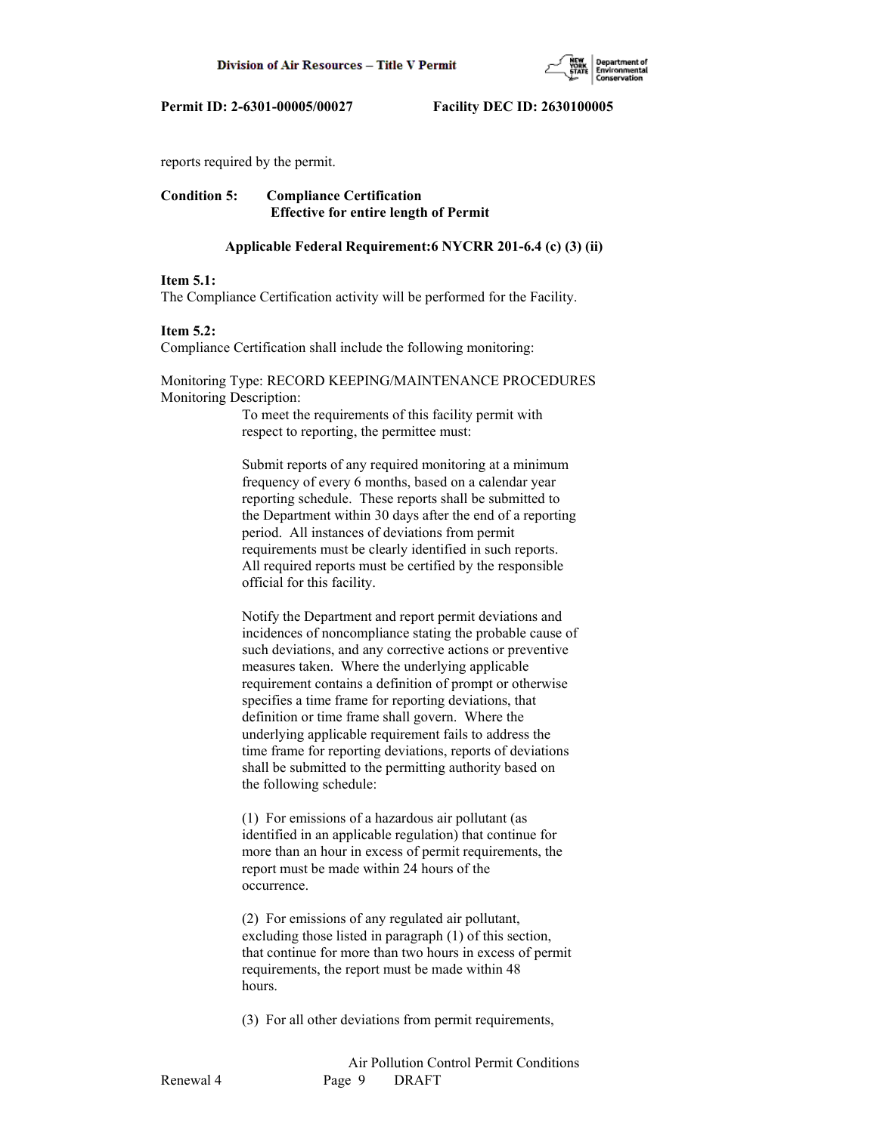

reports required by the permit.

# **Condition 5: Compliance Certification Effective for entire length of Permit**

### **Applicable Federal Requirement:6 NYCRR 201-6.4 (c) (3) (ii)**

#### **Item 5.1:**

The Compliance Certification activity will be performed for the Facility.

### **Item 5.2:**

Compliance Certification shall include the following monitoring:

# Monitoring Type: RECORD KEEPING/MAINTENANCE PROCEDURES Monitoring Description:

 To meet the requirements of this facility permit with respect to reporting, the permittee must:

 Submit reports of any required monitoring at a minimum frequency of every 6 months, based on a calendar year reporting schedule. These reports shall be submitted to the Department within 30 days after the end of a reporting period. All instances of deviations from permit requirements must be clearly identified in such reports. All required reports must be certified by the responsible official for this facility.

 Notify the Department and report permit deviations and incidences of noncompliance stating the probable cause of such deviations, and any corrective actions or preventive measures taken. Where the underlying applicable requirement contains a definition of prompt or otherwise specifies a time frame for reporting deviations, that definition or time frame shall govern. Where the underlying applicable requirement fails to address the time frame for reporting deviations, reports of deviations shall be submitted to the permitting authority based on the following schedule:

 (1) For emissions of a hazardous air pollutant (as identified in an applicable regulation) that continue for more than an hour in excess of permit requirements, the report must be made within 24 hours of the occurrence.

 (2) For emissions of any regulated air pollutant, excluding those listed in paragraph (1) of this section, that continue for more than two hours in excess of permit requirements, the report must be made within 48 hours.

(3) For all other deviations from permit requirements,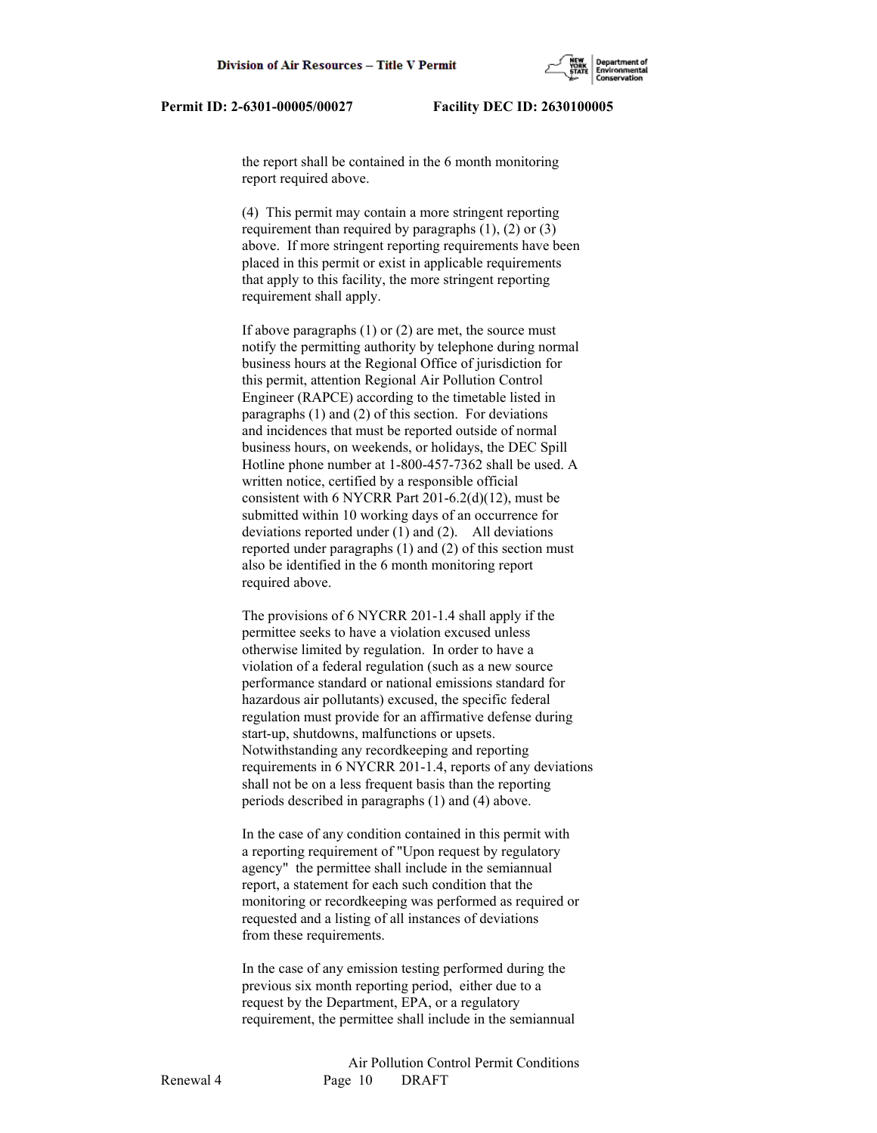the report shall be contained in the 6 month monitoring report required above.

 (4) This permit may contain a more stringent reporting requirement than required by paragraphs  $(1)$ ,  $(2)$  or  $(3)$  above. If more stringent reporting requirements have been placed in this permit or exist in applicable requirements that apply to this facility, the more stringent reporting requirement shall apply.

 If above paragraphs (1) or (2) are met, the source must notify the permitting authority by telephone during normal business hours at the Regional Office of jurisdiction for this permit, attention Regional Air Pollution Control Engineer (RAPCE) according to the timetable listed in paragraphs (1) and (2) of this section. For deviations and incidences that must be reported outside of normal business hours, on weekends, or holidays, the DEC Spill Hotline phone number at 1-800-457-7362 shall be used. A written notice, certified by a responsible official consistent with 6 NYCRR Part 201-6.2(d)(12), must be submitted within 10 working days of an occurrence for deviations reported under (1) and (2). All deviations reported under paragraphs (1) and (2) of this section must also be identified in the 6 month monitoring report required above.

 The provisions of 6 NYCRR 201-1.4 shall apply if the permittee seeks to have a violation excused unless otherwise limited by regulation. In order to have a violation of a federal regulation (such as a new source performance standard or national emissions standard for hazardous air pollutants) excused, the specific federal regulation must provide for an affirmative defense during start-up, shutdowns, malfunctions or upsets. Notwithstanding any recordkeeping and reporting requirements in 6 NYCRR 201-1.4, reports of any deviations shall not be on a less frequent basis than the reporting periods described in paragraphs (1) and (4) above.

 In the case of any condition contained in this permit with a reporting requirement of "Upon request by regulatory agency" the permittee shall include in the semiannual report, a statement for each such condition that the monitoring or recordkeeping was performed as required or requested and a listing of all instances of deviations from these requirements.

 In the case of any emission testing performed during the previous six month reporting period, either due to a request by the Department, EPA, or a regulatory requirement, the permittee shall include in the semiannual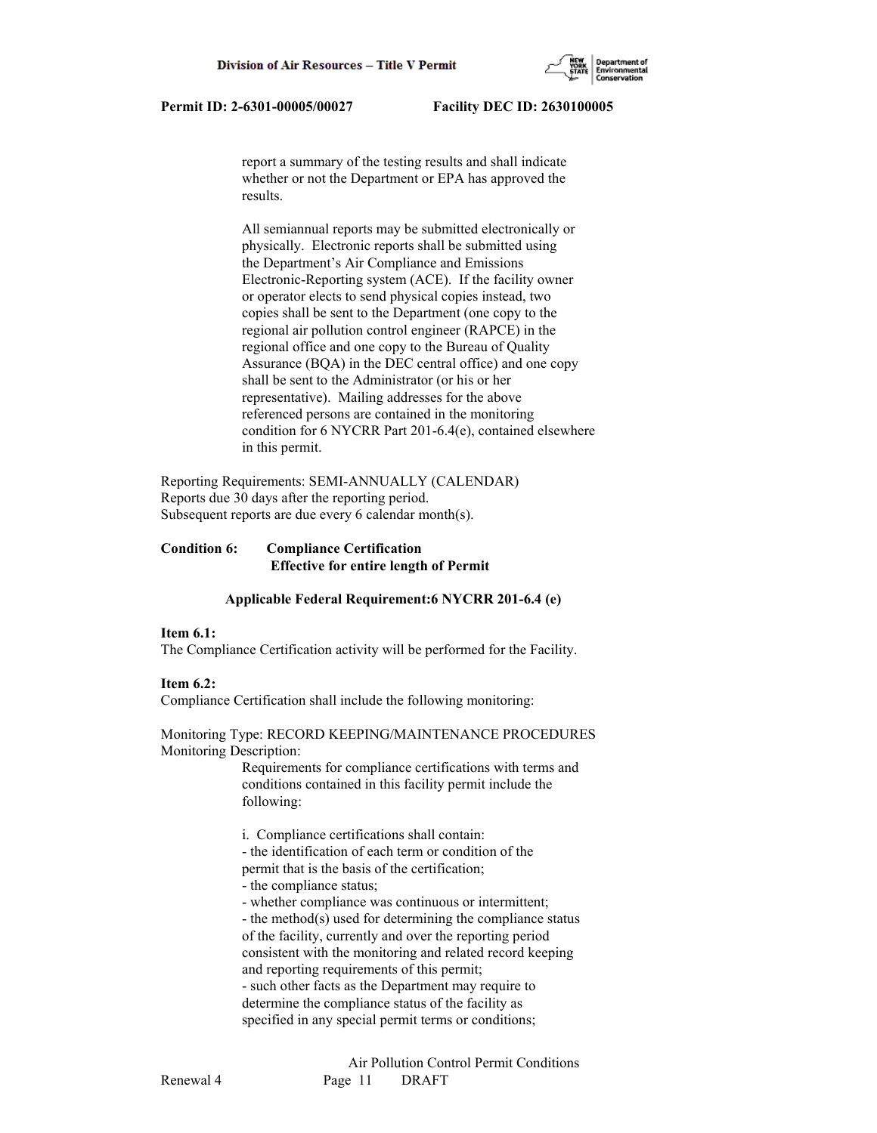

 report a summary of the testing results and shall indicate whether or not the Department or EPA has approved the results.

 All semiannual reports may be submitted electronically or physically. Electronic reports shall be submitted using the Department's Air Compliance and Emissions Electronic-Reporting system (ACE). If the facility owner or operator elects to send physical copies instead, two copies shall be sent to the Department (one copy to the regional air pollution control engineer (RAPCE) in the regional office and one copy to the Bureau of Quality Assurance (BQA) in the DEC central office) and one copy shall be sent to the Administrator (or his or her representative). Mailing addresses for the above referenced persons are contained in the monitoring condition for 6 NYCRR Part 201-6.4(e), contained elsewhere in this permit.

Reporting Requirements: SEMI-ANNUALLY (CALENDAR) Reports due 30 days after the reporting period. Subsequent reports are due every 6 calendar month(s).

# **Condition 6: Compliance Certification Effective for entire length of Permit**

# **Applicable Federal Requirement:6 NYCRR 201-6.4 (e)**

# **Item 6.1:**

The Compliance Certification activity will be performed for the Facility.

# **Item 6.2:**

Compliance Certification shall include the following monitoring:

### Monitoring Type: RECORD KEEPING/MAINTENANCE PROCEDURES Monitoring Description:

 Requirements for compliance certifications with terms and conditions contained in this facility permit include the following:

i. Compliance certifications shall contain:

- the identification of each term or condition of the
- permit that is the basis of the certification;
- the compliance status;
- whether compliance was continuous or intermittent;

 - the method(s) used for determining the compliance status of the facility, currently and over the reporting period consistent with the monitoring and related record keeping and reporting requirements of this permit; - such other facts as the Department may require to determine the compliance status of the facility as specified in any special permit terms or conditions;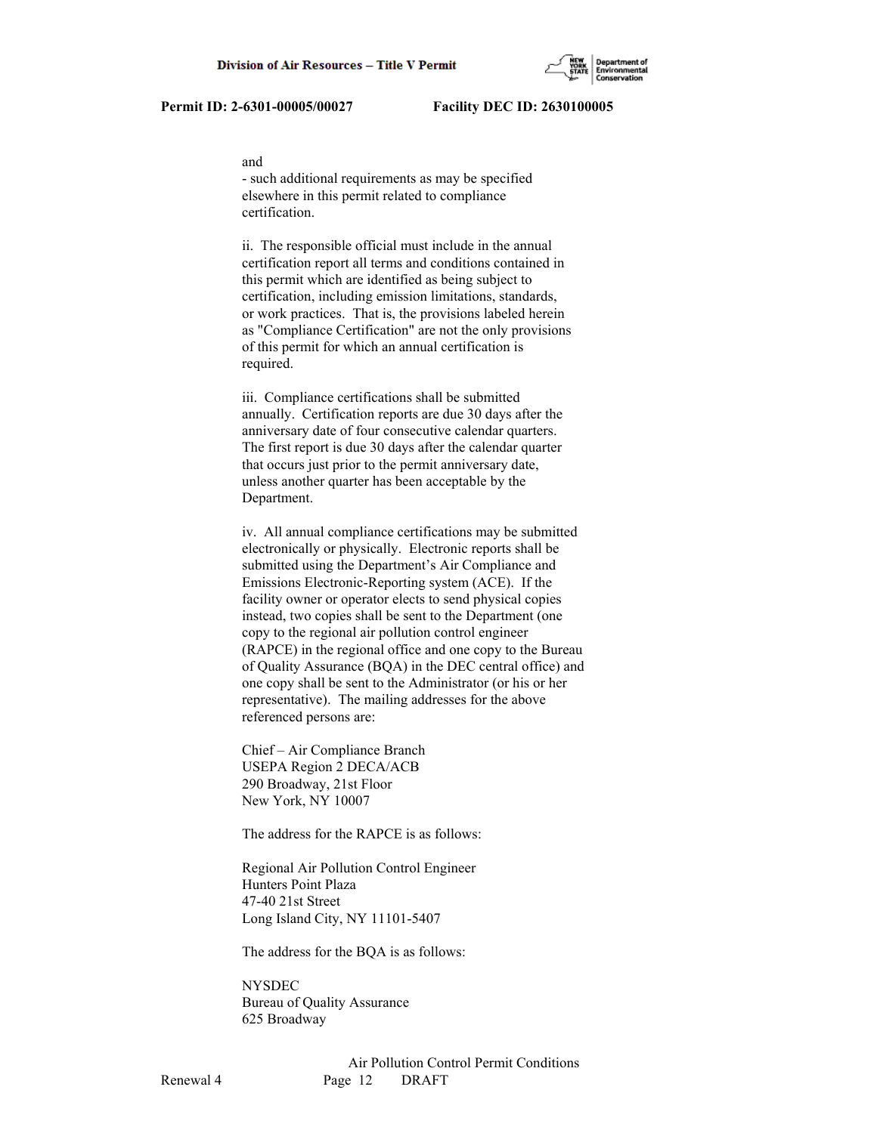#### and

 - such additional requirements as may be specified elsewhere in this permit related to compliance certification.

 ii. The responsible official must include in the annual certification report all terms and conditions contained in this permit which are identified as being subject to certification, including emission limitations, standards, or work practices. That is, the provisions labeled herein as "Compliance Certification" are not the only provisions of this permit for which an annual certification is required.

 iii. Compliance certifications shall be submitted annually. Certification reports are due 30 days after the anniversary date of four consecutive calendar quarters. The first report is due 30 days after the calendar quarter that occurs just prior to the permit anniversary date, unless another quarter has been acceptable by the Department.

 iv. All annual compliance certifications may be submitted electronically or physically. Electronic reports shall be submitted using the Department's Air Compliance and Emissions Electronic-Reporting system (ACE). If the facility owner or operator elects to send physical copies instead, two copies shall be sent to the Department (one copy to the regional air pollution control engineer (RAPCE) in the regional office and one copy to the Bureau of Quality Assurance (BQA) in the DEC central office) and one copy shall be sent to the Administrator (or his or her representative). The mailing addresses for the above referenced persons are:

 Chief – Air Compliance Branch USEPA Region 2 DECA/ACB 290 Broadway, 21st Floor New York, NY 10007

The address for the RAPCE is as follows:

 Regional Air Pollution Control Engineer Hunters Point Plaza 47-40 21st Street Long Island City, NY 11101-5407

The address for the BQA is as follows:

 NYSDEC Bureau of Quality Assurance 625 Broadway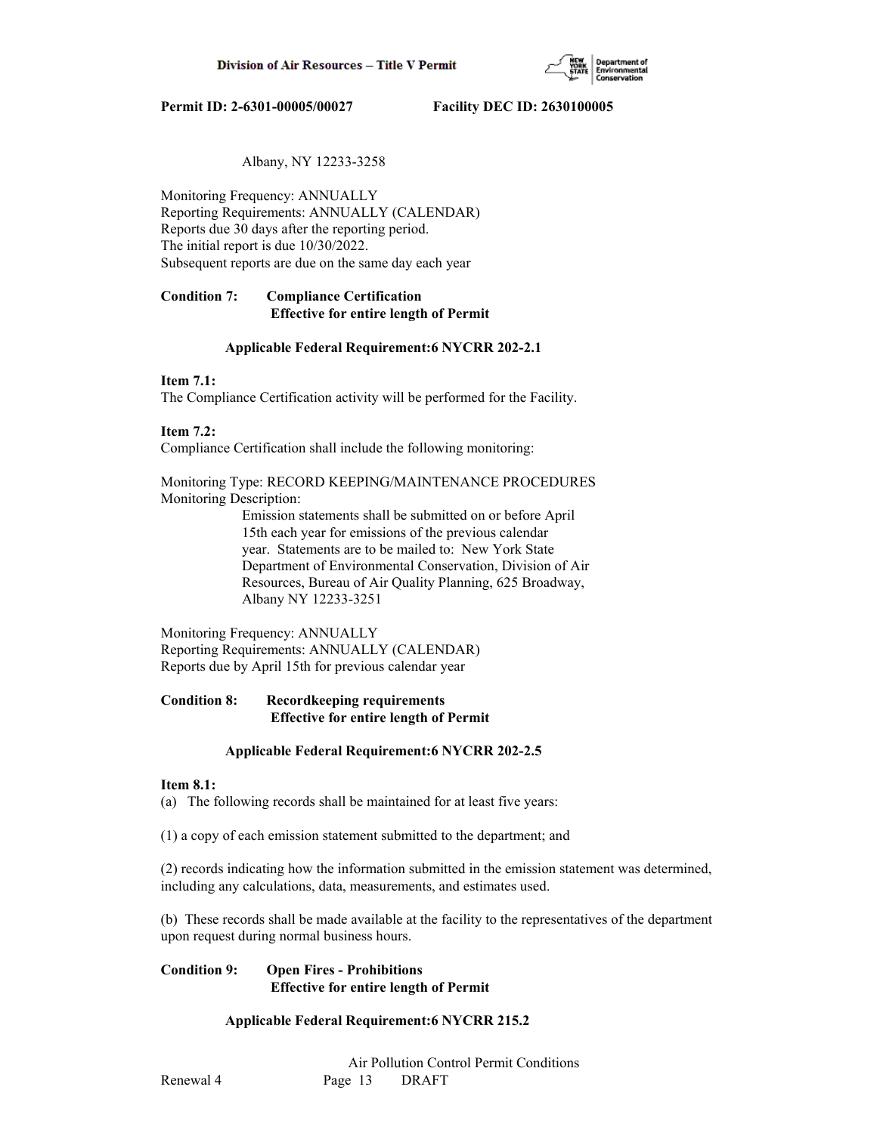

# Albany, NY 12233-3258

Monitoring Frequency: ANNUALLY Reporting Requirements: ANNUALLY (CALENDAR) Reports due 30 days after the reporting period. The initial report is due 10/30/2022. Subsequent reports are due on the same day each year

# **Condition 7: Compliance Certification Effective for entire length of Permit**

# **Applicable Federal Requirement:6 NYCRR 202-2.1**

# **Item 7.1:**

The Compliance Certification activity will be performed for the Facility.

# **Item 7.2:**

Compliance Certification shall include the following monitoring:

Monitoring Type: RECORD KEEPING/MAINTENANCE PROCEDURES Monitoring Description:

> Emission statements shall be submitted on or before April 15th each year for emissions of the previous calendar year. Statements are to be mailed to: New York State Department of Environmental Conservation, Division of Air Resources, Bureau of Air Quality Planning, 625 Broadway, Albany NY 12233-3251

Monitoring Frequency: ANNUALLY Reporting Requirements: ANNUALLY (CALENDAR) Reports due by April 15th for previous calendar year

# **Condition 8: Recordkeeping requirements Effective for entire length of Permit**

# **Applicable Federal Requirement:6 NYCRR 202-2.5**

# **Item 8.1:**

(a) The following records shall be maintained for at least five years:

(1) a copy of each emission statement submitted to the department; and

(2) records indicating how the information submitted in the emission statement was determined, including any calculations, data, measurements, and estimates used.

(b) These records shall be made available at the facility to the representatives of the department upon request during normal business hours.

# **Condition 9: Open Fires - Prohibitions Effective for entire length of Permit**

# **Applicable Federal Requirement:6 NYCRR 215.2**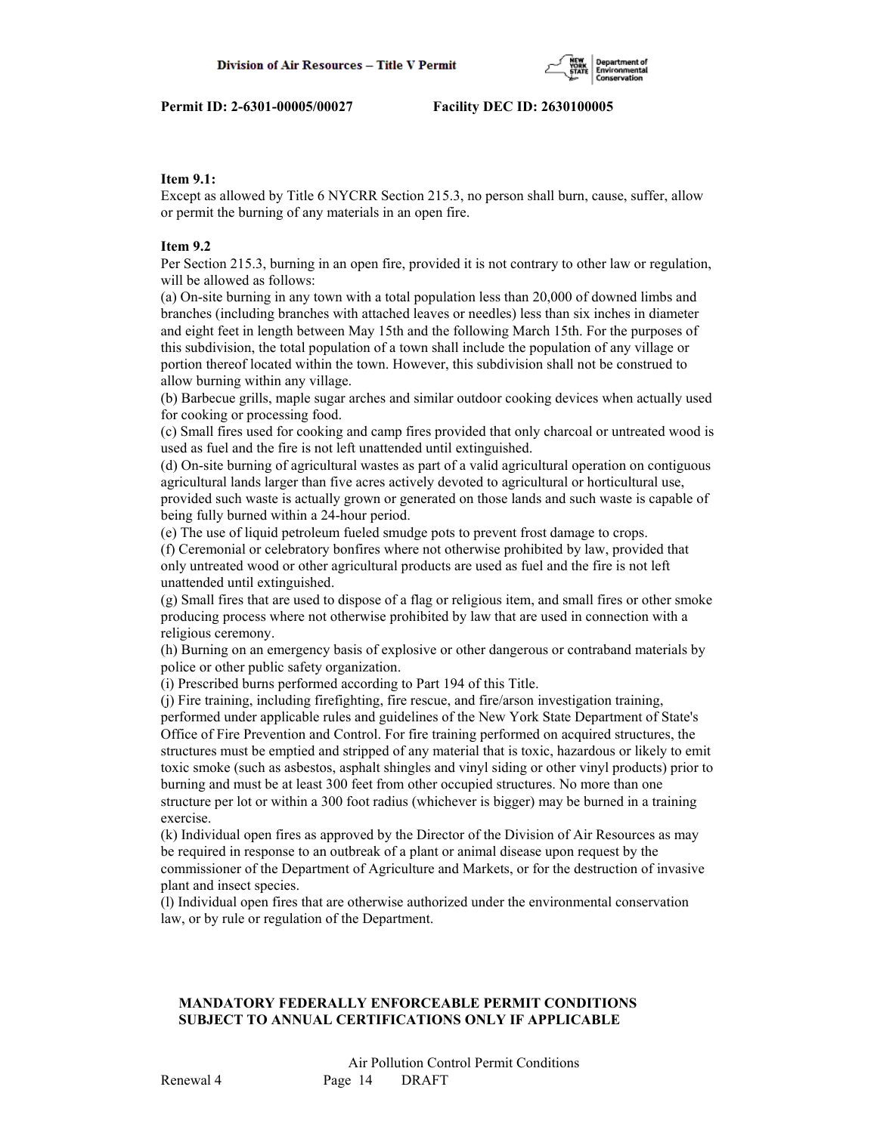

# **Item 9.1:**

Except as allowed by Title 6 NYCRR Section 215.3, no person shall burn, cause, suffer, allow or permit the burning of any materials in an open fire.

# **Item 9.2**

Per Section 215.3, burning in an open fire, provided it is not contrary to other law or regulation, will be allowed as follows:

(a) On-site burning in any town with a total population less than 20,000 of downed limbs and branches (including branches with attached leaves or needles) less than six inches in diameter and eight feet in length between May 15th and the following March 15th. For the purposes of this subdivision, the total population of a town shall include the population of any village or portion thereof located within the town. However, this subdivision shall not be construed to allow burning within any village.

(b) Barbecue grills, maple sugar arches and similar outdoor cooking devices when actually used for cooking or processing food.

(c) Small fires used for cooking and camp fires provided that only charcoal or untreated wood is used as fuel and the fire is not left unattended until extinguished.

(d) On-site burning of agricultural wastes as part of a valid agricultural operation on contiguous agricultural lands larger than five acres actively devoted to agricultural or horticultural use, provided such waste is actually grown or generated on those lands and such waste is capable of being fully burned within a 24-hour period.

(e) The use of liquid petroleum fueled smudge pots to prevent frost damage to crops.

(f) Ceremonial or celebratory bonfires where not otherwise prohibited by law, provided that only untreated wood or other agricultural products are used as fuel and the fire is not left unattended until extinguished.

(g) Small fires that are used to dispose of a flag or religious item, and small fires or other smoke producing process where not otherwise prohibited by law that are used in connection with a religious ceremony.

(h) Burning on an emergency basis of explosive or other dangerous or contraband materials by police or other public safety organization.

(i) Prescribed burns performed according to Part 194 of this Title.

(j) Fire training, including firefighting, fire rescue, and fire/arson investigation training, performed under applicable rules and guidelines of the New York State Department of State's Office of Fire Prevention and Control. For fire training performed on acquired structures, the structures must be emptied and stripped of any material that is toxic, hazardous or likely to emit toxic smoke (such as asbestos, asphalt shingles and vinyl siding or other vinyl products) prior to burning and must be at least 300 feet from other occupied structures. No more than one structure per lot or within a 300 foot radius (whichever is bigger) may be burned in a training exercise.

(k) Individual open fires as approved by the Director of the Division of Air Resources as may be required in response to an outbreak of a plant or animal disease upon request by the commissioner of the Department of Agriculture and Markets, or for the destruction of invasive plant and insect species.

(l) Individual open fires that are otherwise authorized under the environmental conservation law, or by rule or regulation of the Department.

# **MANDATORY FEDERALLY ENFORCEABLE PERMIT CONDITIONS SUBJECT TO ANNUAL CERTIFICATIONS ONLY IF APPLICABLE**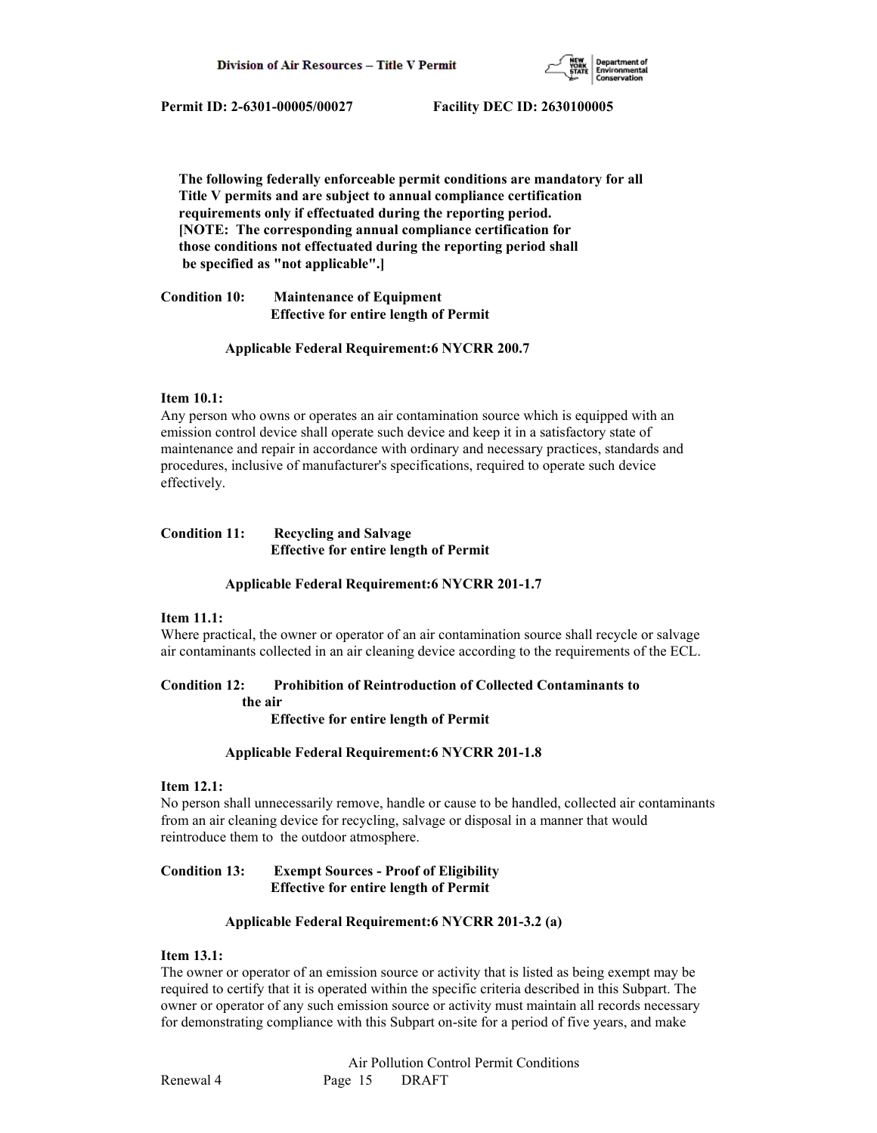

 **The following federally enforceable permit conditions are mandatory for all Title V permits and are subject to annual compliance certification requirements only if effectuated during the reporting period. [NOTE: The corresponding annual compliance certification for those conditions not effectuated during the reporting period shall be specified as "not applicable".]**

**Condition 10: Maintenance of Equipment Effective for entire length of Permit**

# **Applicable Federal Requirement:6 NYCRR 200.7**

# **Item 10.1:**

Any person who owns or operates an air contamination source which is equipped with an emission control device shall operate such device and keep it in a satisfactory state of maintenance and repair in accordance with ordinary and necessary practices, standards and procedures, inclusive of manufacturer's specifications, required to operate such device effectively.

# **Condition 11: Recycling and Salvage Effective for entire length of Permit**

# **Applicable Federal Requirement:6 NYCRR 201-1.7**

# **Item 11.1:**

Where practical, the owner or operator of an air contamination source shall recycle or salvage air contaminants collected in an air cleaning device according to the requirements of the ECL.

# **Condition 12: Prohibition of Reintroduction of Collected Contaminants to**

 **the air**

 **Effective for entire length of Permit**

# **Applicable Federal Requirement:6 NYCRR 201-1.8**

# **Item 12.1:**

No person shall unnecessarily remove, handle or cause to be handled, collected air contaminants from an air cleaning device for recycling, salvage or disposal in a manner that would reintroduce them to the outdoor atmosphere.

# **Condition 13: Exempt Sources - Proof of Eligibility Effective for entire length of Permit**

# **Applicable Federal Requirement:6 NYCRR 201-3.2 (a)**

# **Item 13.1:**

The owner or operator of an emission source or activity that is listed as being exempt may be required to certify that it is operated within the specific criteria described in this Subpart. The owner or operator of any such emission source or activity must maintain all records necessary for demonstrating compliance with this Subpart on-site for a period of five years, and make

 Air Pollution Control Permit Conditions Renewal 4 Page 15 DRAFT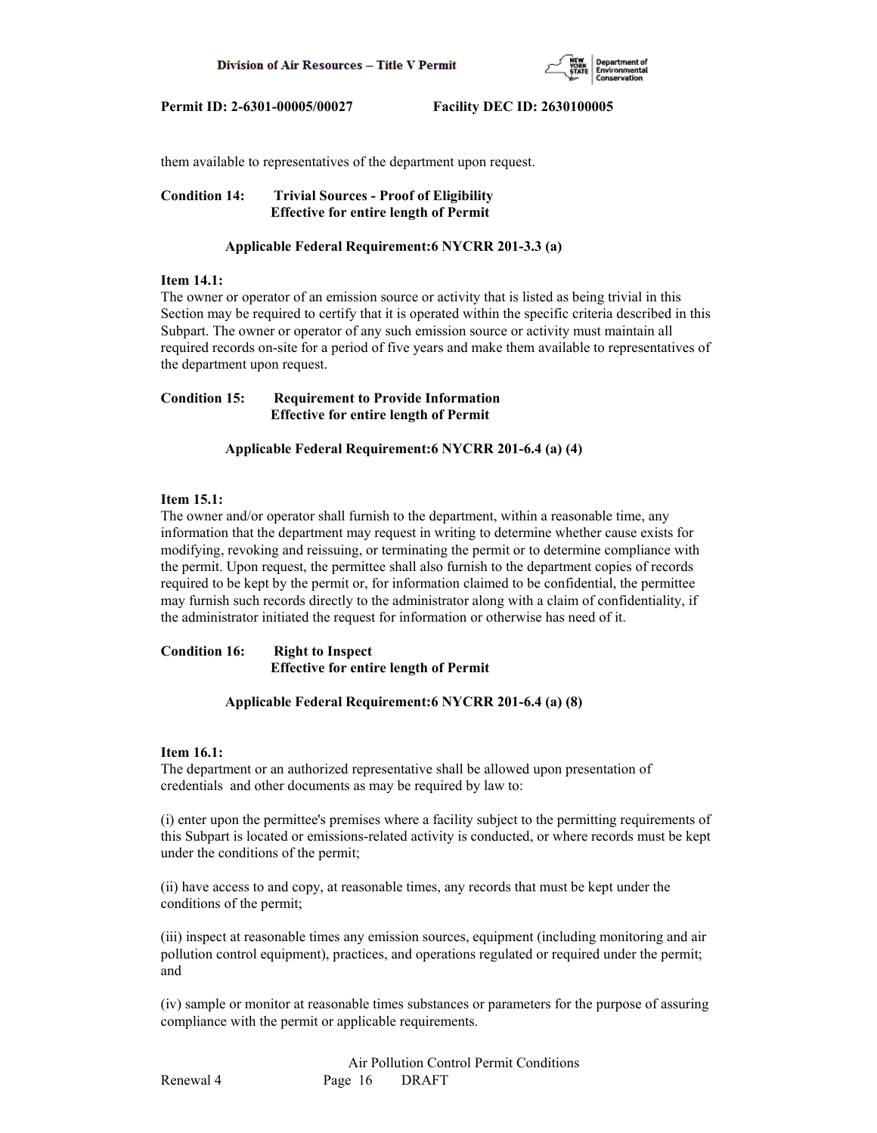

them available to representatives of the department upon request.

**Condition 14: Trivial Sources - Proof of Eligibility Effective for entire length of Permit**

### **Applicable Federal Requirement:6 NYCRR 201-3.3 (a)**

### **Item 14.1:**

The owner or operator of an emission source or activity that is listed as being trivial in this Section may be required to certify that it is operated within the specific criteria described in this Subpart. The owner or operator of any such emission source or activity must maintain all required records on-site for a period of five years and make them available to representatives of the department upon request.

**Condition 15: Requirement to Provide Information Effective for entire length of Permit**

 **Applicable Federal Requirement:6 NYCRR 201-6.4 (a) (4)**

# **Item 15.1:**

The owner and/or operator shall furnish to the department, within a reasonable time, any information that the department may request in writing to determine whether cause exists for modifying, revoking and reissuing, or terminating the permit or to determine compliance with the permit. Upon request, the permittee shall also furnish to the department copies of records required to be kept by the permit or, for information claimed to be confidential, the permittee may furnish such records directly to the administrator along with a claim of confidentiality, if the administrator initiated the request for information or otherwise has need of it.

**Condition 16: Right to Inspect Effective for entire length of Permit**

# **Applicable Federal Requirement:6 NYCRR 201-6.4 (a) (8)**

#### **Item 16.1:**

The department or an authorized representative shall be allowed upon presentation of credentials and other documents as may be required by law to:

(i) enter upon the permittee's premises where a facility subject to the permitting requirements of this Subpart is located or emissions-related activity is conducted, or where records must be kept under the conditions of the permit;

(ii) have access to and copy, at reasonable times, any records that must be kept under the conditions of the permit;

(iii) inspect at reasonable times any emission sources, equipment (including monitoring and air pollution control equipment), practices, and operations regulated or required under the permit; and

(iv) sample or monitor at reasonable times substances or parameters for the purpose of assuring compliance with the permit or applicable requirements.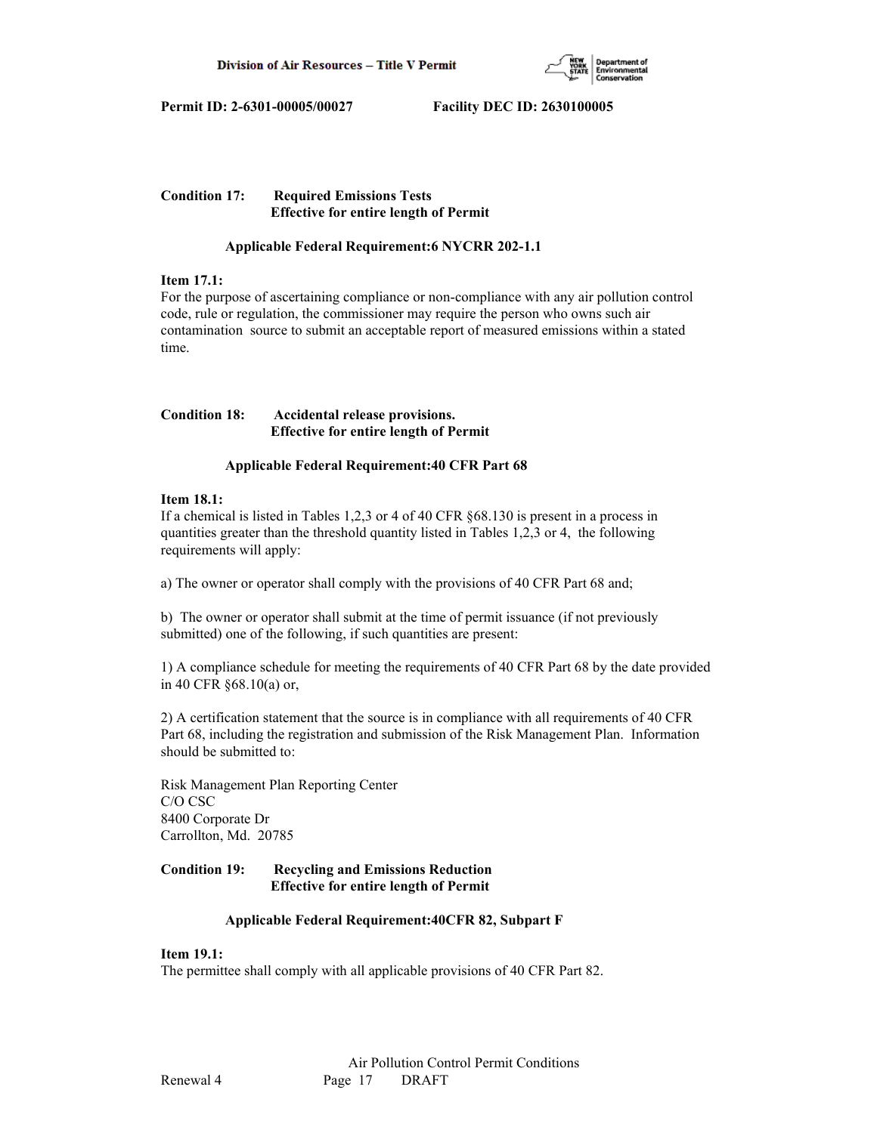

# **Condition 17: Required Emissions Tests Effective for entire length of Permit**

# **Applicable Federal Requirement:6 NYCRR 202-1.1**

# **Item 17.1:**

For the purpose of ascertaining compliance or non-compliance with any air pollution control code, rule or regulation, the commissioner may require the person who owns such air contamination source to submit an acceptable report of measured emissions within a stated time.

# **Condition 18: Accidental release provisions. Effective for entire length of Permit**

# **Applicable Federal Requirement:40 CFR Part 68**

# **Item 18.1:**

If a chemical is listed in Tables 1,2,3 or 4 of 40 CFR §68.130 is present in a process in quantities greater than the threshold quantity listed in Tables 1,2,3 or 4, the following requirements will apply:

a) The owner or operator shall comply with the provisions of 40 CFR Part 68 and;

b) The owner or operator shall submit at the time of permit issuance (if not previously submitted) one of the following, if such quantities are present:

1) A compliance schedule for meeting the requirements of 40 CFR Part 68 by the date provided in 40 CFR §68.10(a) or,

2) A certification statement that the source is in compliance with all requirements of 40 CFR Part 68, including the registration and submission of the Risk Management Plan. Information should be submitted to:

Risk Management Plan Reporting Center C/O CSC 8400 Corporate Dr Carrollton, Md. 20785

# **Condition 19: Recycling and Emissions Reduction Effective for entire length of Permit**

# **Applicable Federal Requirement:40CFR 82, Subpart F**

# **Item 19.1:**

The permittee shall comply with all applicable provisions of 40 CFR Part 82.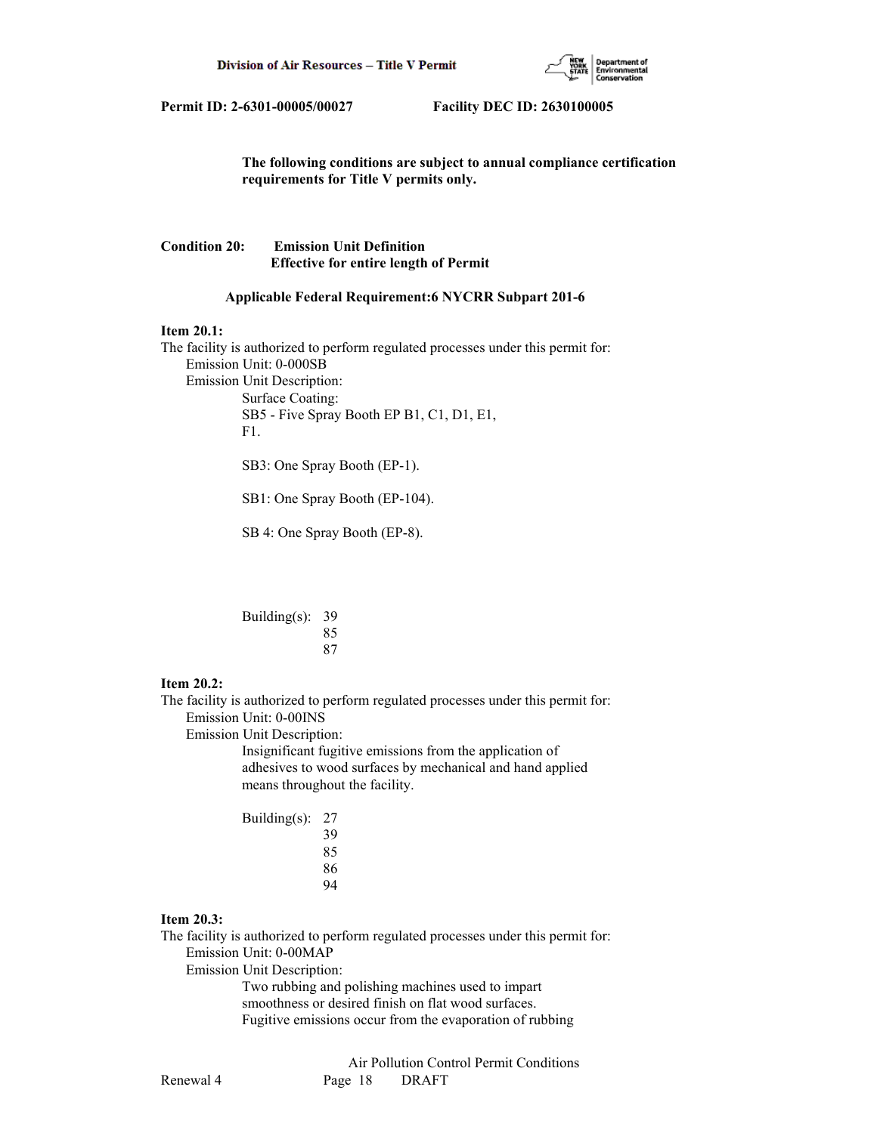

 **The following conditions are subject to annual compliance certification requirements for Title V permits only.**

# **Condition 20: Emission Unit Definition Effective for entire length of Permit**

### **Applicable Federal Requirement:6 NYCRR Subpart 201-6**

#### **Item 20.1:**

The facility is authorized to perform regulated processes under this permit for: Emission Unit: 0-000SB Emission Unit Description: Surface Coating: SB5 - Five Spray Booth EP B1, C1, D1, E1, F1.

SB3: One Spray Booth (EP-1).

SB1: One Spray Booth (EP-104).

SB 4: One Spray Booth (EP-8).

| Building(s): $39$ |    |
|-------------------|----|
|                   | 85 |
|                   | 87 |

# **Item 20.2:**

The facility is authorized to perform regulated processes under this permit for: Emission Unit: 0-00INS

Emission Unit Description:

 Insignificant fugitive emissions from the application of adhesives to wood surfaces by mechanical and hand applied means throughout the facility.

 Building(s): 27 39 85 and 2012 and 2013 and 2014 and 2014 and 2014 and 2014 and 2014 and 2014 and 2014 and 2014 and 2014 and 2014

| 85 |
|----|
| 86 |
| 94 |

# **Item 20.3:**

The facility is authorized to perform regulated processes under this permit for: Emission Unit: 0-00MAP

Emission Unit Description:

 Two rubbing and polishing machines used to impart smoothness or desired finish on flat wood surfaces. Fugitive emissions occur from the evaporation of rubbing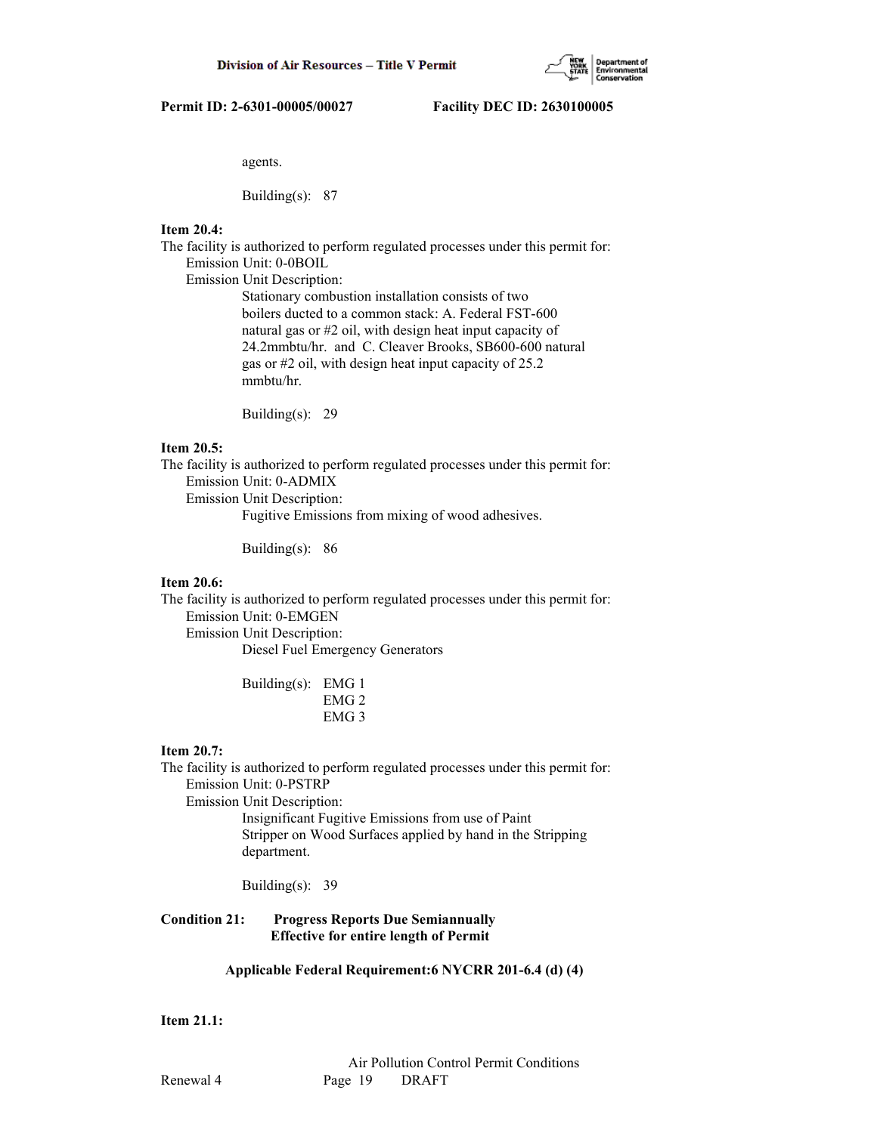

agents.

Building(s): 87

# **Item 20.4:**

The facility is authorized to perform regulated processes under this permit for: Emission Unit: 0-0BOIL

Emission Unit Description:

 Stationary combustion installation consists of two boilers ducted to a common stack: A. Federal FST-600 natural gas or #2 oil, with design heat input capacity of 24.2mmbtu/hr. and C. Cleaver Brooks, SB600-600 natural gas or #2 oil, with design heat input capacity of 25.2 mmbtu/hr.

Building(s): 29

# **Item 20.5:**

The facility is authorized to perform regulated processes under this permit for: Emission Unit: 0-ADMIX Emission Unit Description:

Fugitive Emissions from mixing of wood adhesives.

Building(s): 86

# **Item 20.6:**

The facility is authorized to perform regulated processes under this permit for: Emission Unit: 0-EMGEN Emission Unit Description:

Diesel Fuel Emergency Generators

| Building(s): EMG 1 |                  |
|--------------------|------------------|
|                    | EMG <sub>2</sub> |
|                    | EMG <sub>3</sub> |

#### **Item 20.7:**

The facility is authorized to perform regulated processes under this permit for: Emission Unit: 0-PSTRP Emission Unit Description:

 Insignificant Fugitive Emissions from use of Paint Stripper on Wood Surfaces applied by hand in the Stripping department.

Building(s): 39

**Condition 21: Progress Reports Due Semiannually Effective for entire length of Permit**

# **Applicable Federal Requirement:6 NYCRR 201-6.4 (d) (4)**

# **Item 21.1:**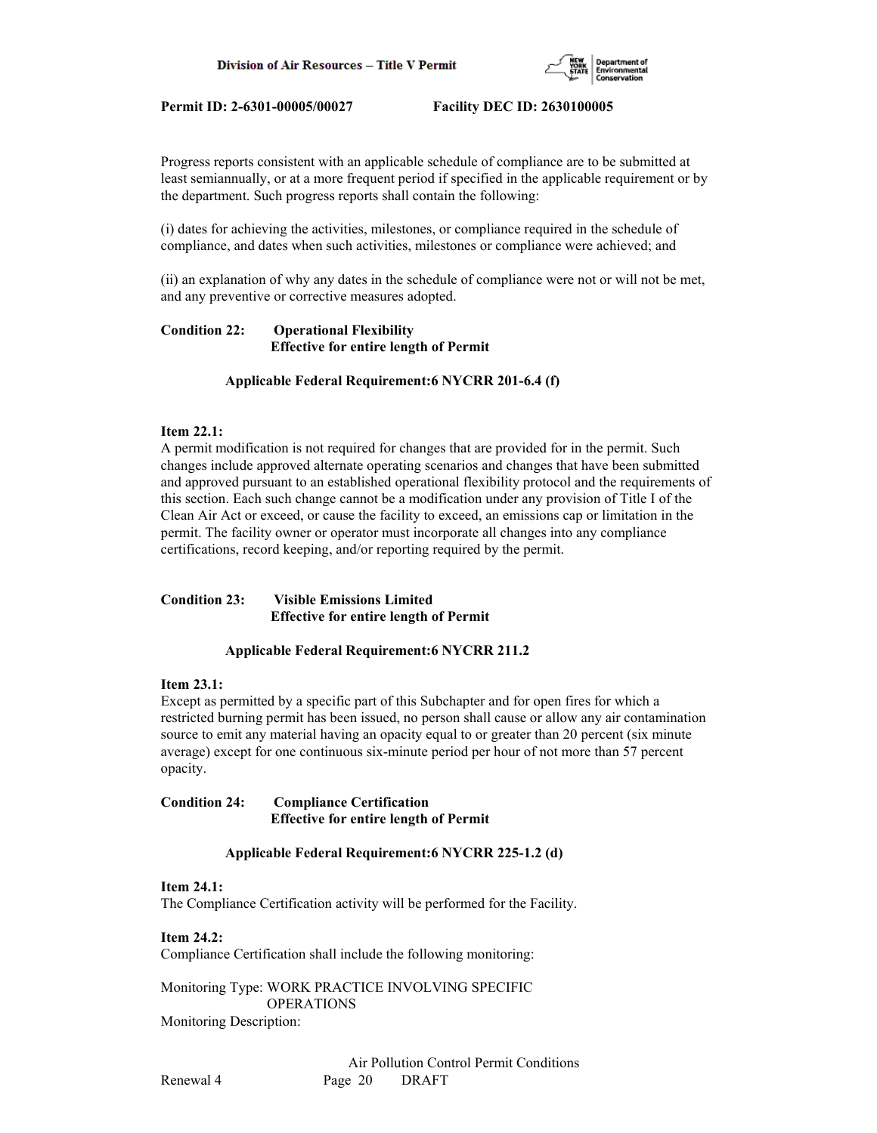

Progress reports consistent with an applicable schedule of compliance are to be submitted at least semiannually, or at a more frequent period if specified in the applicable requirement or by the department. Such progress reports shall contain the following:

(i) dates for achieving the activities, milestones, or compliance required in the schedule of compliance, and dates when such activities, milestones or compliance were achieved; and

(ii) an explanation of why any dates in the schedule of compliance were not or will not be met, and any preventive or corrective measures adopted.

# **Condition 22: Operational Flexibility Effective for entire length of Permit**

### **Applicable Federal Requirement:6 NYCRR 201-6.4 (f)**

# **Item 22.1:**

A permit modification is not required for changes that are provided for in the permit. Such changes include approved alternate operating scenarios and changes that have been submitted and approved pursuant to an established operational flexibility protocol and the requirements of this section. Each such change cannot be a modification under any provision of Title I of the Clean Air Act or exceed, or cause the facility to exceed, an emissions cap or limitation in the permit. The facility owner or operator must incorporate all changes into any compliance certifications, record keeping, and/or reporting required by the permit.

# **Condition 23: Visible Emissions Limited Effective for entire length of Permit**

#### **Applicable Federal Requirement:6 NYCRR 211.2**

#### **Item 23.1:**

Except as permitted by a specific part of this Subchapter and for open fires for which a restricted burning permit has been issued, no person shall cause or allow any air contamination source to emit any material having an opacity equal to or greater than 20 percent (six minute average) except for one continuous six-minute period per hour of not more than 57 percent opacity.

**Condition 24: Compliance Certification Effective for entire length of Permit**

#### **Applicable Federal Requirement:6 NYCRR 225-1.2 (d)**

#### **Item 24.1:**

The Compliance Certification activity will be performed for the Facility.

**Item 24.2:** Compliance Certification shall include the following monitoring:

Monitoring Type: WORK PRACTICE INVOLVING SPECIFIC OPERATIONS Monitoring Description: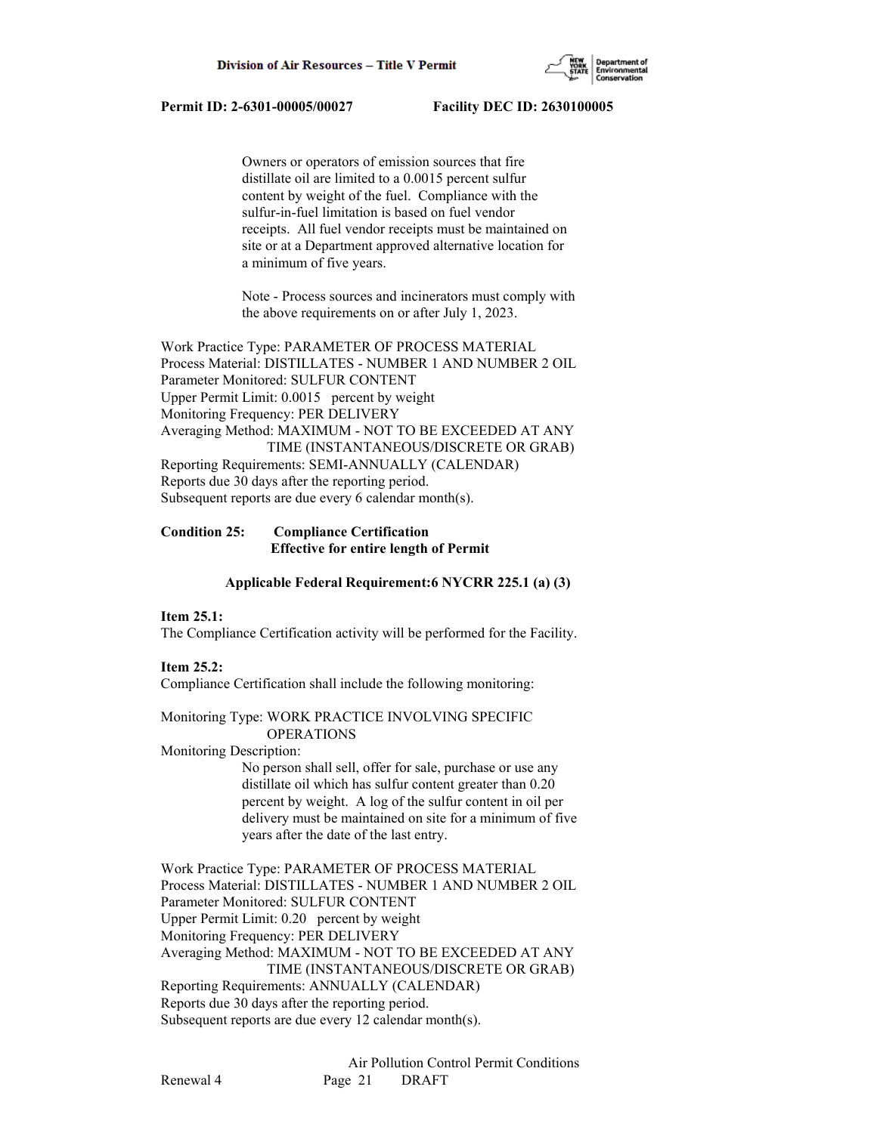

 Owners or operators of emission sources that fire distillate oil are limited to a 0.0015 percent sulfur content by weight of the fuel. Compliance with the sulfur-in-fuel limitation is based on fuel vendor receipts. All fuel vendor receipts must be maintained on site or at a Department approved alternative location for a minimum of five years.

 Note - Process sources and incinerators must comply with the above requirements on or after July 1, 2023.

Work Practice Type: PARAMETER OF PROCESS MATERIAL Process Material: DISTILLATES - NUMBER 1 AND NUMBER 2 OIL Parameter Monitored: SULFUR CONTENT Upper Permit Limit: 0.0015 percent by weight Monitoring Frequency: PER DELIVERY Averaging Method: MAXIMUM - NOT TO BE EXCEEDED AT ANY TIME (INSTANTANEOUS/DISCRETE OR GRAB) Reporting Requirements: SEMI-ANNUALLY (CALENDAR) Reports due 30 days after the reporting period. Subsequent reports are due every 6 calendar month(s).

# **Condition 25: Compliance Certification Effective for entire length of Permit**

#### **Applicable Federal Requirement:6 NYCRR 225.1 (a) (3)**

#### **Item 25.1:**

The Compliance Certification activity will be performed for the Facility.

# **Item 25.2:**

Compliance Certification shall include the following monitoring:

Monitoring Type: WORK PRACTICE INVOLVING SPECIFIC OPERATIONS

#### Monitoring Description:

 No person shall sell, offer for sale, purchase or use any distillate oil which has sulfur content greater than 0.20 percent by weight. A log of the sulfur content in oil per delivery must be maintained on site for a minimum of five years after the date of the last entry.

Work Practice Type: PARAMETER OF PROCESS MATERIAL Process Material: DISTILLATES - NUMBER 1 AND NUMBER 2 OIL Parameter Monitored: SULFUR CONTENT Upper Permit Limit: 0.20 percent by weight Monitoring Frequency: PER DELIVERY Averaging Method: MAXIMUM - NOT TO BE EXCEEDED AT ANY TIME (INSTANTANEOUS/DISCRETE OR GRAB) Reporting Requirements: ANNUALLY (CALENDAR) Reports due 30 days after the reporting period. Subsequent reports are due every 12 calendar month(s).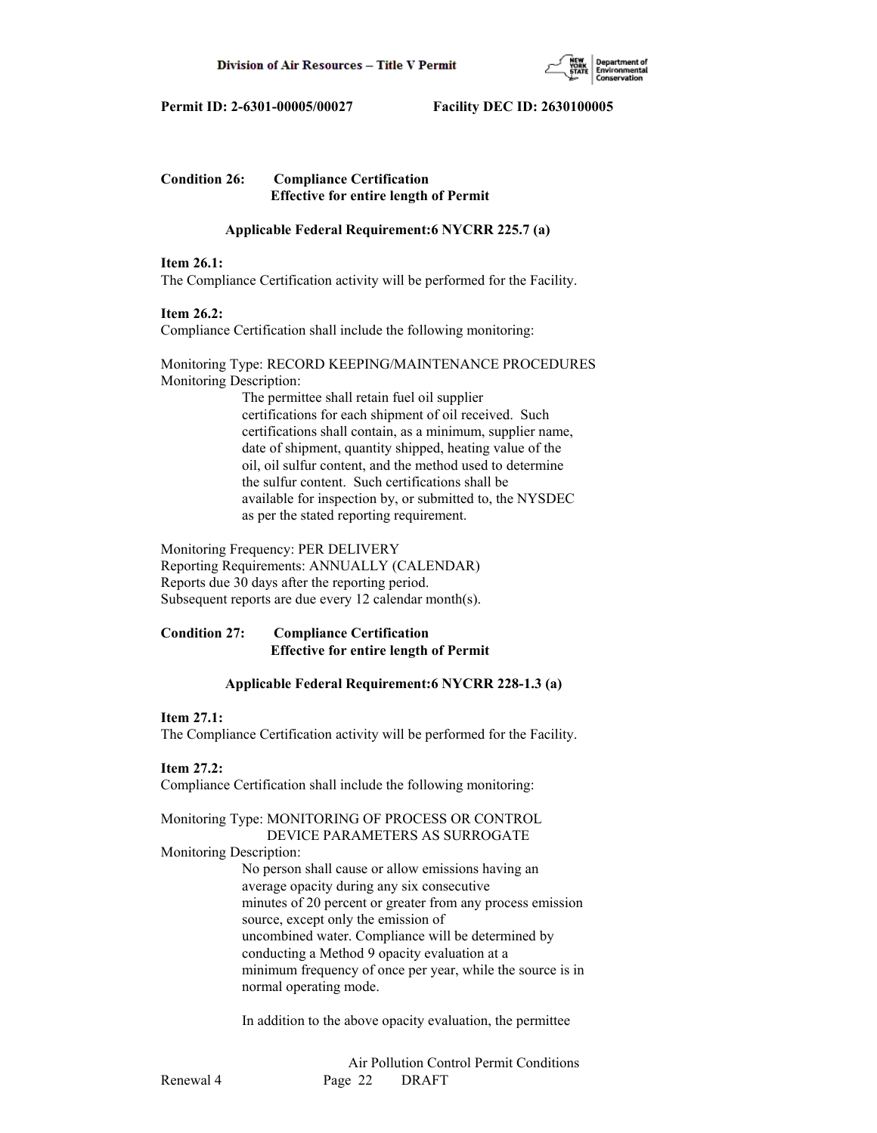

# **Condition 26: Compliance Certification Effective for entire length of Permit**

# **Applicable Federal Requirement:6 NYCRR 225.7 (a)**

### **Item 26.1:**

The Compliance Certification activity will be performed for the Facility.

# **Item 26.2:**

Compliance Certification shall include the following monitoring:

### Monitoring Type: RECORD KEEPING/MAINTENANCE PROCEDURES Monitoring Description:

 The permittee shall retain fuel oil supplier certifications for each shipment of oil received. Such certifications shall contain, as a minimum, supplier name, date of shipment, quantity shipped, heating value of the oil, oil sulfur content, and the method used to determine the sulfur content. Such certifications shall be available for inspection by, or submitted to, the NYSDEC as per the stated reporting requirement.

Monitoring Frequency: PER DELIVERY Reporting Requirements: ANNUALLY (CALENDAR) Reports due 30 days after the reporting period. Subsequent reports are due every 12 calendar month(s).

# **Condition 27: Compliance Certification Effective for entire length of Permit**

# **Applicable Federal Requirement:6 NYCRR 228-1.3 (a)**

# **Item 27.1:**

The Compliance Certification activity will be performed for the Facility.

### **Item 27.2:**

Compliance Certification shall include the following monitoring:

# Monitoring Type: MONITORING OF PROCESS OR CONTROL DEVICE PARAMETERS AS SURROGATE

#### Monitoring Description:

 No person shall cause or allow emissions having an average opacity during any six consecutive minutes of 20 percent or greater from any process emission source, except only the emission of uncombined water. Compliance will be determined by conducting a Method 9 opacity evaluation at a minimum frequency of once per year, while the source is in normal operating mode.

In addition to the above opacity evaluation, the permittee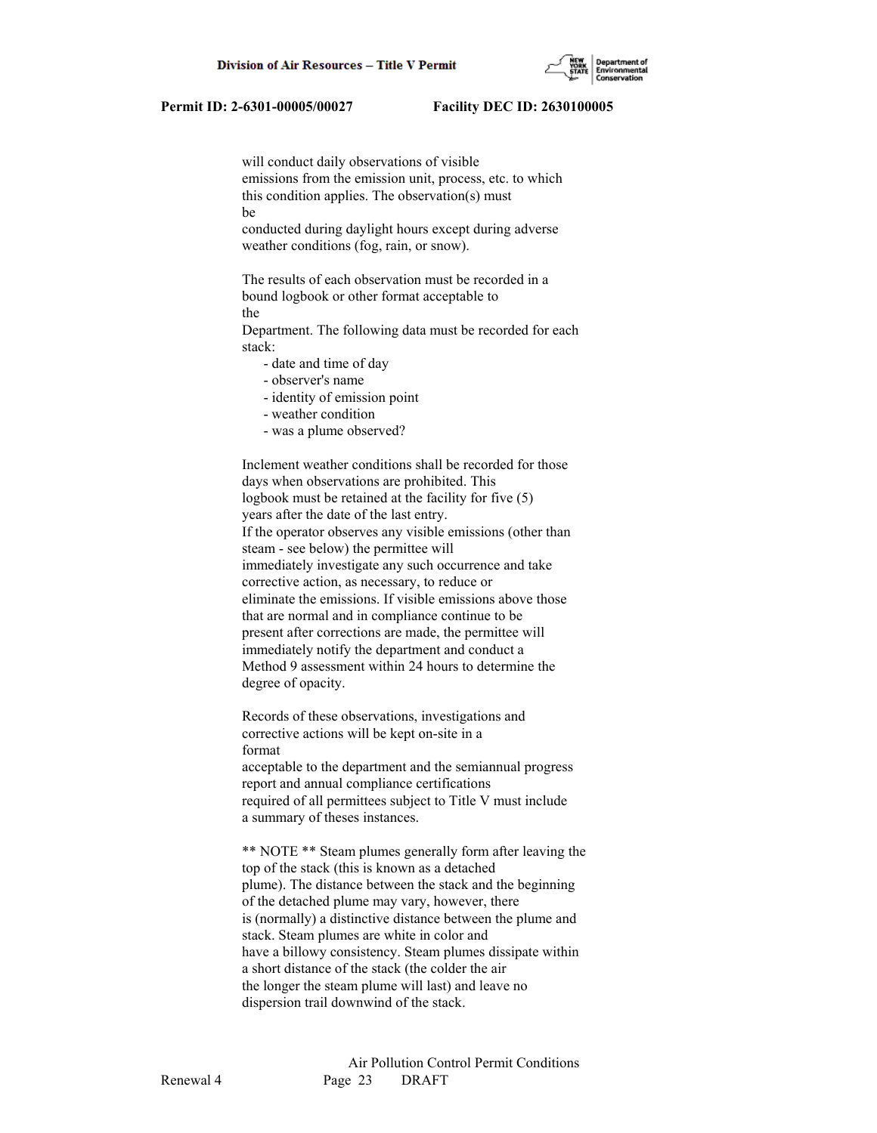will conduct daily observations of visible emissions from the emission unit, process, etc. to which this condition applies. The observation(s) must be

 conducted during daylight hours except during adverse weather conditions (fog, rain, or snow).

 The results of each observation must be recorded in a bound logbook or other format acceptable to the

 Department. The following data must be recorded for each stack:

- date and time of day

- observer's name
- identity of emission point
- weather condition
- was a plume observed?

 Inclement weather conditions shall be recorded for those days when observations are prohibited. This logbook must be retained at the facility for five (5) years after the date of the last entry. If the operator observes any visible emissions (other than steam - see below) the permittee will immediately investigate any such occurrence and take corrective action, as necessary, to reduce or eliminate the emissions. If visible emissions above those that are normal and in compliance continue to be present after corrections are made, the permittee will immediately notify the department and conduct a Method 9 assessment within 24 hours to determine the degree of opacity.

 Records of these observations, investigations and corrective actions will be kept on-site in a format

 acceptable to the department and the semiannual progress report and annual compliance certifications required of all permittees subject to Title V must include a summary of theses instances.

 \*\* NOTE \*\* Steam plumes generally form after leaving the top of the stack (this is known as a detached plume). The distance between the stack and the beginning of the detached plume may vary, however, there is (normally) a distinctive distance between the plume and stack. Steam plumes are white in color and have a billowy consistency. Steam plumes dissipate within a short distance of the stack (the colder the air the longer the steam plume will last) and leave no dispersion trail downwind of the stack.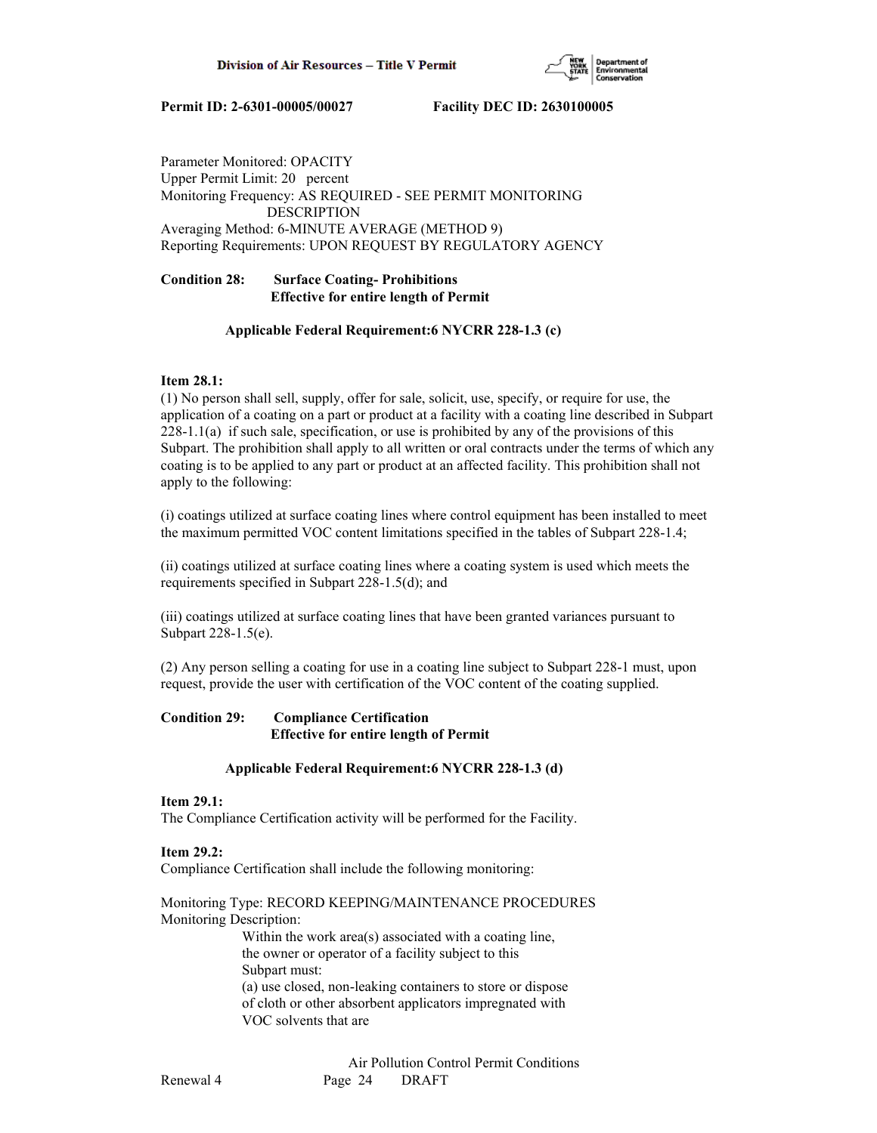

Parameter Monitored: OPACITY Upper Permit Limit: 20 percent Monitoring Frequency: AS REQUIRED - SEE PERMIT MONITORING DESCRIPTION Averaging Method: 6-MINUTE AVERAGE (METHOD 9) Reporting Requirements: UPON REQUEST BY REGULATORY AGENCY

# **Condition 28: Surface Coating- Prohibitions Effective for entire length of Permit**

# **Applicable Federal Requirement:6 NYCRR 228-1.3 (c)**

# **Item 28.1:**

(1) No person shall sell, supply, offer for sale, solicit, use, specify, or require for use, the application of a coating on a part or product at a facility with a coating line described in Subpart 228-1.1(a) if such sale, specification, or use is prohibited by any of the provisions of this Subpart. The prohibition shall apply to all written or oral contracts under the terms of which any coating is to be applied to any part or product at an affected facility. This prohibition shall not apply to the following:

(i) coatings utilized at surface coating lines where control equipment has been installed to meet the maximum permitted VOC content limitations specified in the tables of Subpart 228-1.4;

(ii) coatings utilized at surface coating lines where a coating system is used which meets the requirements specified in Subpart 228-1.5(d); and

(iii) coatings utilized at surface coating lines that have been granted variances pursuant to Subpart 228-1.5(e).

(2) Any person selling a coating for use in a coating line subject to Subpart 228-1 must, upon request, provide the user with certification of the VOC content of the coating supplied.

# **Condition 29: Compliance Certification Effective for entire length of Permit**

# **Applicable Federal Requirement:6 NYCRR 228-1.3 (d)**

# **Item 29.1:**

The Compliance Certification activity will be performed for the Facility.

# **Item 29.2:**

Compliance Certification shall include the following monitoring:

Monitoring Type: RECORD KEEPING/MAINTENANCE PROCEDURES Monitoring Description: Within the work area(s) associated with a coating line, the owner or operator of a facility subject to this

Subpart must:

 (a) use closed, non-leaking containers to store or dispose of cloth or other absorbent applicators impregnated with VOC solvents that are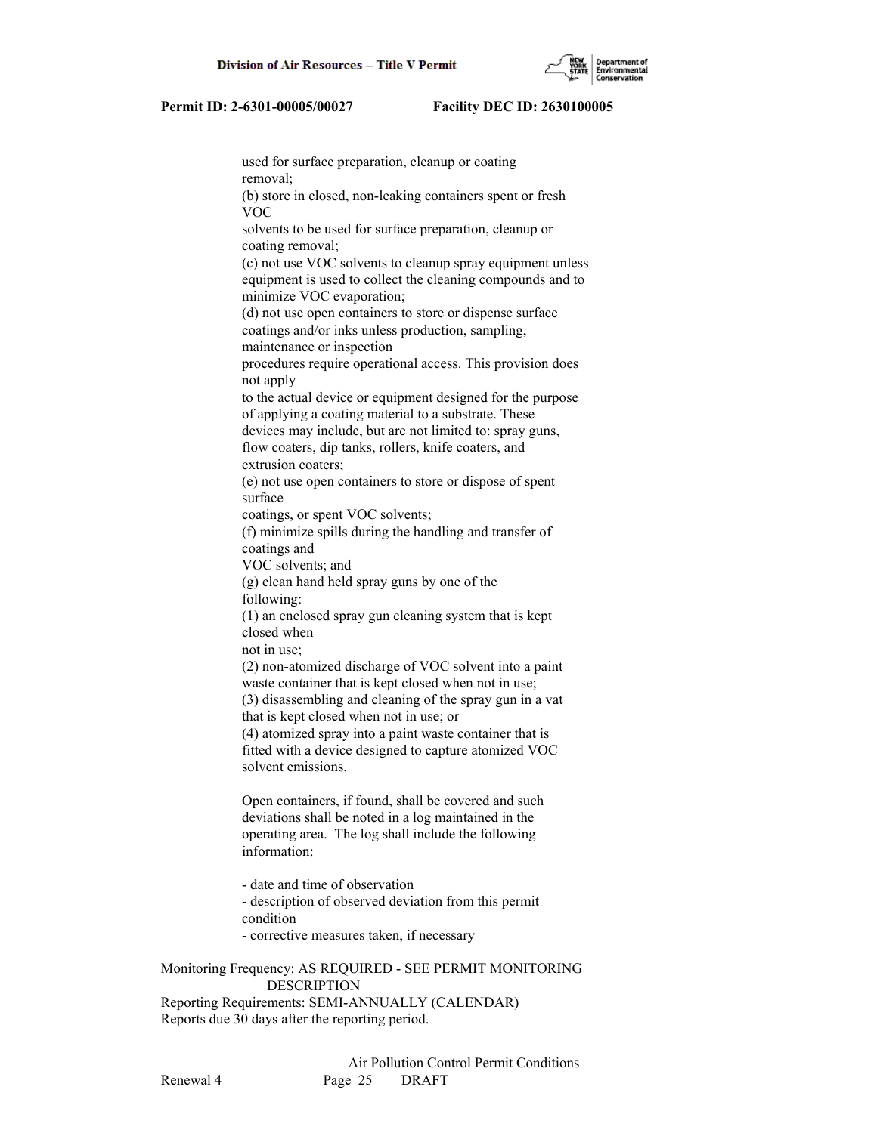

 used for surface preparation, cleanup or coating removal; (b) store in closed, non-leaking containers spent or fresh VOC solvents to be used for surface preparation, cleanup or coating removal; (c) not use VOC solvents to cleanup spray equipment unless equipment is used to collect the cleaning compounds and to minimize VOC evaporation; (d) not use open containers to store or dispense surface coatings and/or inks unless production, sampling, maintenance or inspection procedures require operational access. This provision does not apply to the actual device or equipment designed for the purpose of applying a coating material to a substrate. These devices may include, but are not limited to: spray guns, flow coaters, dip tanks, rollers, knife coaters, and extrusion coaters; (e) not use open containers to store or dispose of spent surface coatings, or spent VOC solvents; (f) minimize spills during the handling and transfer of coatings and VOC solvents; and (g) clean hand held spray guns by one of the following: (1) an enclosed spray gun cleaning system that is kept closed when not in use; (2) non-atomized discharge of VOC solvent into a paint waste container that is kept closed when not in use; (3) disassembling and cleaning of the spray gun in a vat that is kept closed when not in use; or (4) atomized spray into a paint waste container that is fitted with a device designed to capture atomized VOC solvent emissions. Open containers, if found, shall be covered and such deviations shall be noted in a log maintained in the operating area. The log shall include the following information: - date and time of observation - description of observed deviation from this permit condition - corrective measures taken, if necessary Monitoring Frequency: AS REQUIRED - SEE PERMIT MONITORING

 DESCRIPTION Reporting Requirements: SEMI-ANNUALLY (CALENDAR) Reports due 30 days after the reporting period.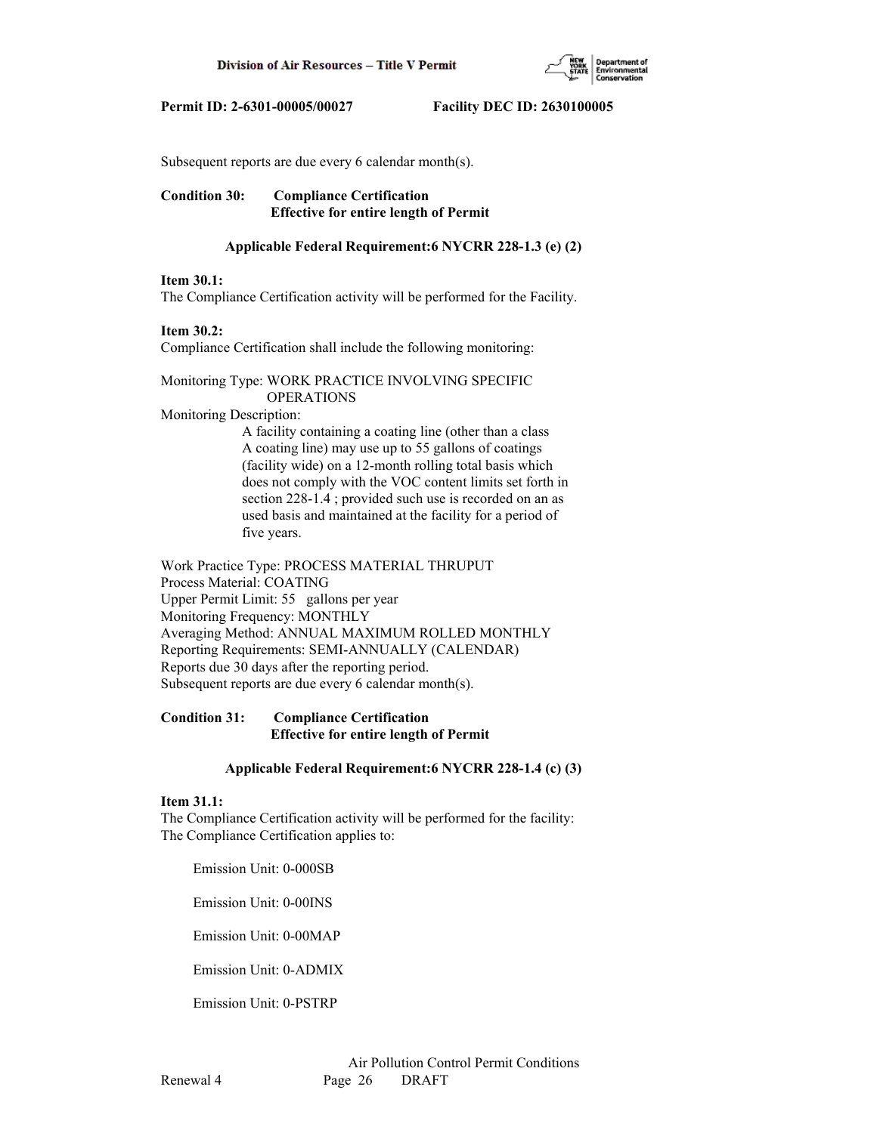

Subsequent reports are due every 6 calendar month(s).

# **Condition 30: Compliance Certification Effective for entire length of Permit**

# **Applicable Federal Requirement:6 NYCRR 228-1.3 (e) (2)**

# **Item 30.1:**

The Compliance Certification activity will be performed for the Facility.

# **Item 30.2:**

Compliance Certification shall include the following monitoring:

# Monitoring Type: WORK PRACTICE INVOLVING SPECIFIC OPERATIONS

Monitoring Description:

 A facility containing a coating line (other than a class A coating line) may use up to 55 gallons of coatings (facility wide) on a 12-month rolling total basis which does not comply with the VOC content limits set forth in section 228-1.4 ; provided such use is recorded on an as used basis and maintained at the facility for a period of five years.

Work Practice Type: PROCESS MATERIAL THRUPUT Process Material: COATING Upper Permit Limit: 55 gallons per year Monitoring Frequency: MONTHLY Averaging Method: ANNUAL MAXIMUM ROLLED MONTHLY Reporting Requirements: SEMI-ANNUALLY (CALENDAR) Reports due 30 days after the reporting period. Subsequent reports are due every 6 calendar month(s).

# **Condition 31: Compliance Certification Effective for entire length of Permit**

# **Applicable Federal Requirement:6 NYCRR 228-1.4 (c) (3)**

## **Item 31.1:**

The Compliance Certification activity will be performed for the facility: The Compliance Certification applies to:

Emission Unit: 0-000SB

Emission Unit: 0-00INS

Emission Unit: 0-00MAP

Emission Unit: 0-ADMIX

Emission Unit: 0-PSTRP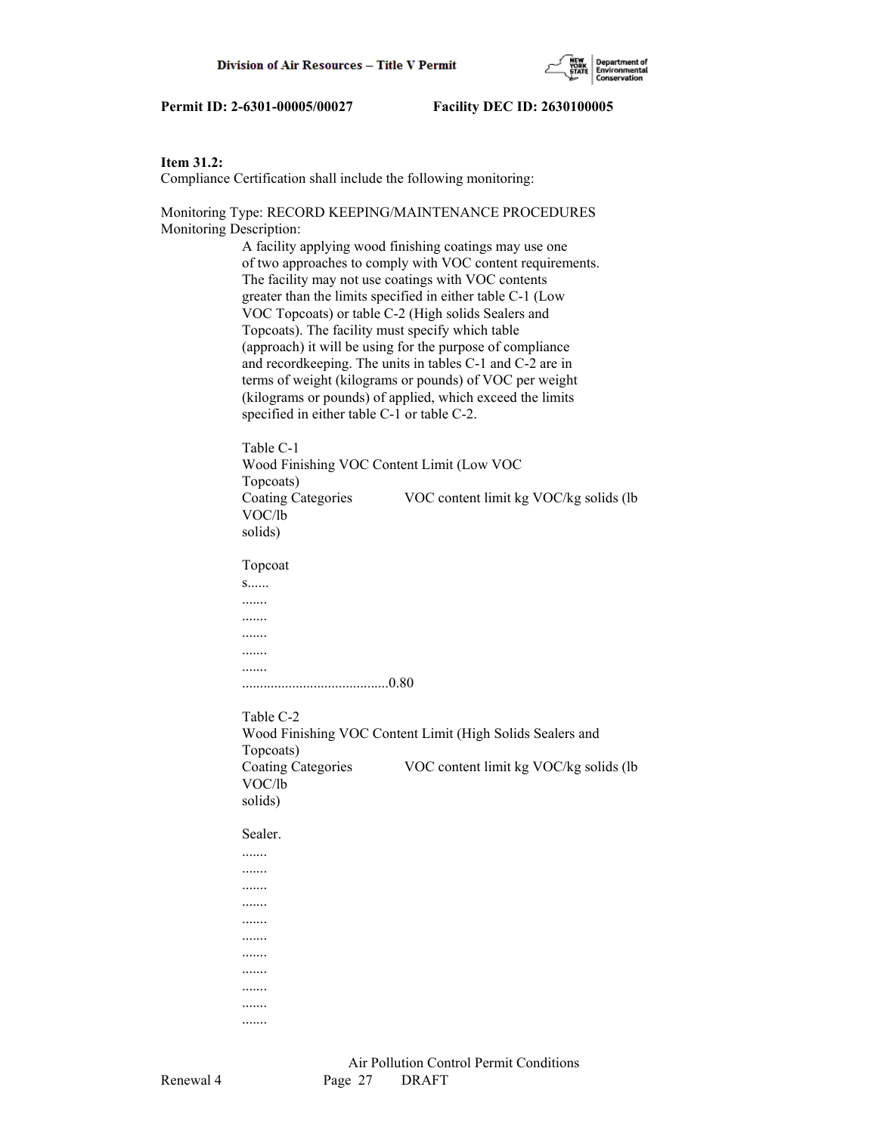

# **Item 31.2:**

Compliance Certification shall include the following monitoring:

Monitoring Type: RECORD KEEPING/MAINTENANCE PROCEDURES Monitoring Description:

> A facility applying wood finishing coatings may use one of two approaches to comply with VOC content requirements. The facility may not use coatings with VOC contents greater than the limits specified in either table C-1 (Low VOC Topcoats) or table C-2 (High solids Sealers and Topcoats). The facility must specify which table (approach) it will be using for the purpose of compliance and recordkeeping. The units in tables C-1 and C-2 are in terms of weight (kilograms or pounds) of VOC per weight (kilograms or pounds) of applied, which exceed the limits specified in either table C-1 or table C-2.

 Table C-1 Wood Finishing VOC Content Limit (Low VOC Topcoats) Coating Categories VOC content limit kg VOC/kg solids (lb VOC/lb solids)

Topcoat

 s...... ....... ....... ....... ....... ....... .........................................0.80

# Table C-2

 Wood Finishing VOC Content Limit (High Solids Sealers and Topcoats) Coating Categories VOC content limit kg VOC/kg solids (lb VOC/lb solids)

Sealer.

 ....... ....... ....... ....... ....... ....... ....... ....... ....... ....... .......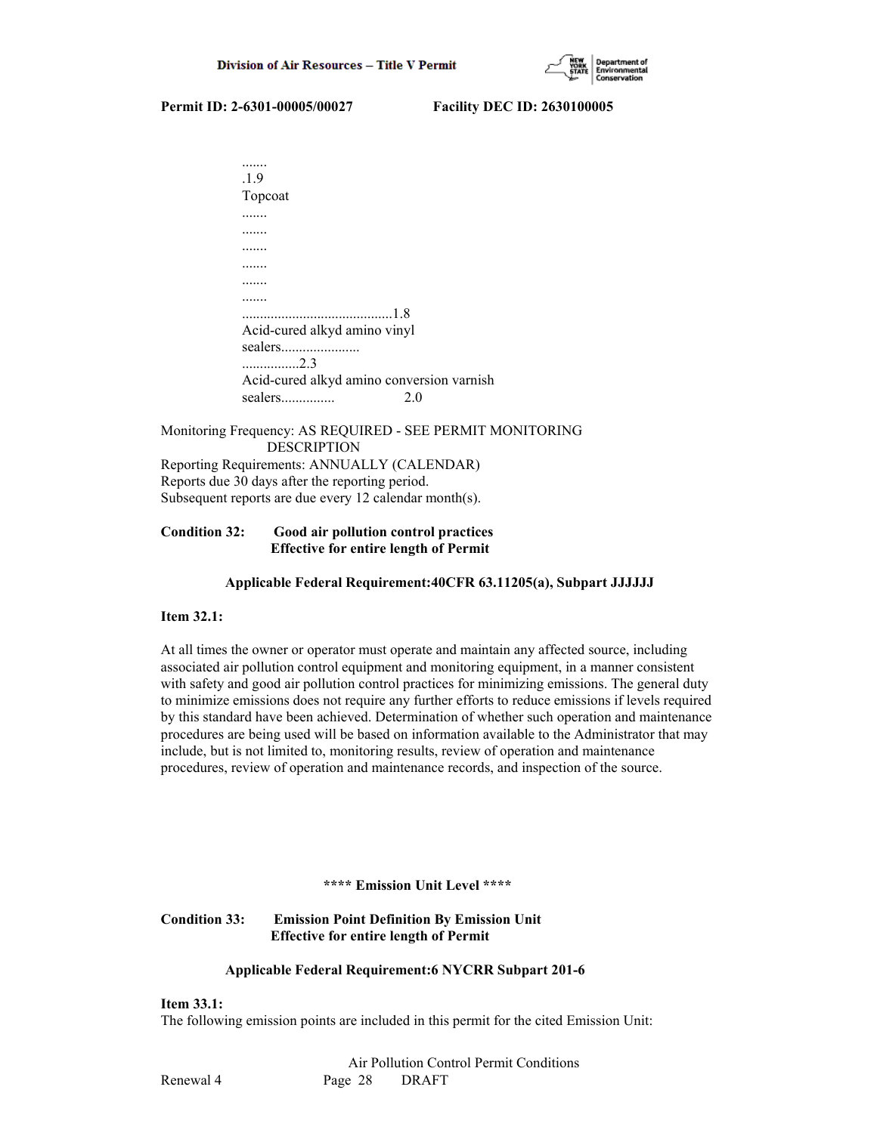

| .1.9                                      |    |
|-------------------------------------------|----|
| Topcoat                                   |    |
|                                           |    |
|                                           |    |
|                                           |    |
|                                           |    |
|                                           |    |
|                                           |    |
|                                           |    |
| Acid-cured alkyd amino vinyl              |    |
| sealers                                   |    |
| 2.3                                       |    |
| Acid-cured alkyd amino conversion varnish |    |
| sealers                                   | 20 |

Monitoring Frequency: AS REQUIRED - SEE PERMIT MONITORING DESCRIPTION Reporting Requirements: ANNUALLY (CALENDAR) Reports due 30 days after the reporting period. Subsequent reports are due every 12 calendar month(s).

# **Condition 32: Good air pollution control practices Effective for entire length of Permit**

# **Applicable Federal Requirement:40CFR 63.11205(a), Subpart JJJJJJ**

# **Item 32.1:**

At all times the owner or operator must operate and maintain any affected source, including associated air pollution control equipment and monitoring equipment, in a manner consistent with safety and good air pollution control practices for minimizing emissions. The general duty to minimize emissions does not require any further efforts to reduce emissions if levels required by this standard have been achieved. Determination of whether such operation and maintenance procedures are being used will be based on information available to the Administrator that may include, but is not limited to, monitoring results, review of operation and maintenance procedures, review of operation and maintenance records, and inspection of the source.

#### **\*\*\*\* Emission Unit Level \*\*\*\***

# **Condition 33: Emission Point Definition By Emission Unit Effective for entire length of Permit**

# **Applicable Federal Requirement:6 NYCRR Subpart 201-6**

#### **Item 33.1:**

The following emission points are included in this permit for the cited Emission Unit: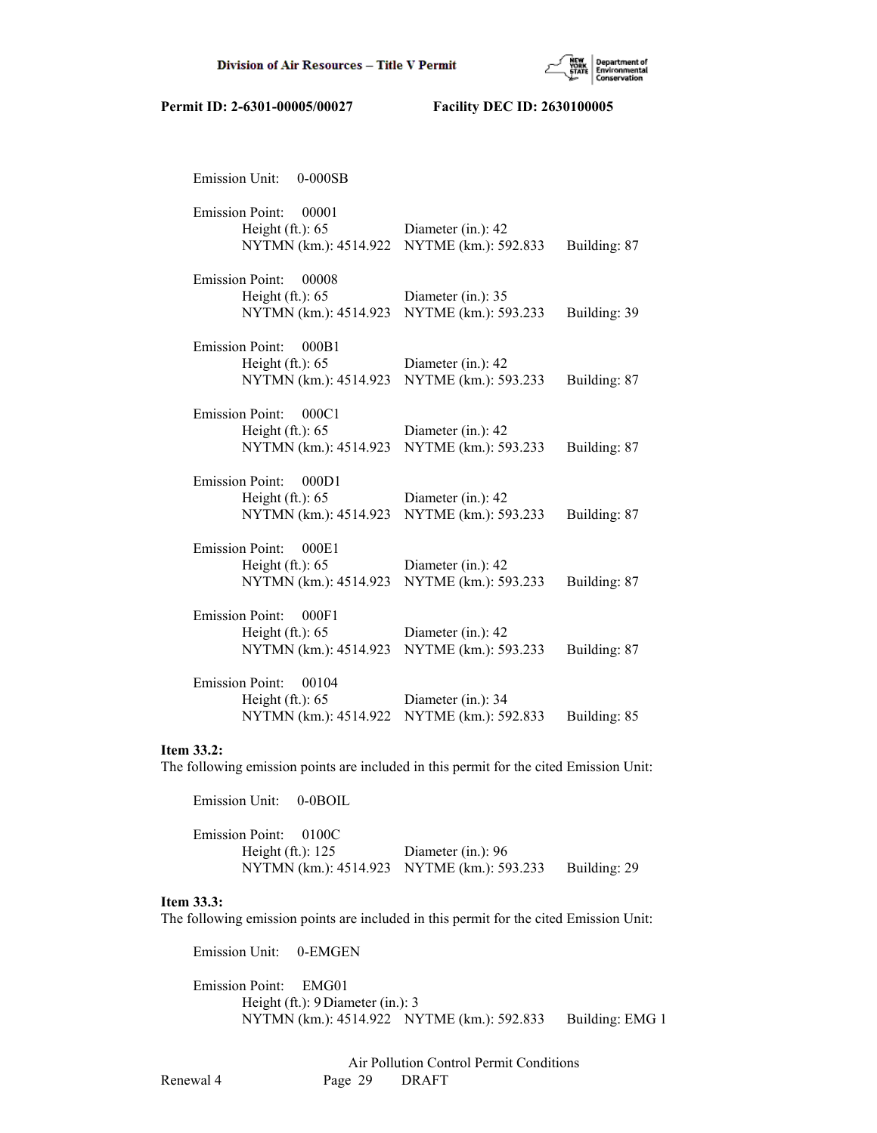

| <b>Emission Unit:</b><br>$0-000SB$                                             |                                            |              |
|--------------------------------------------------------------------------------|--------------------------------------------|--------------|
| <b>Emission Point:</b><br>00001<br>Height $(ft.): 65$<br>NYTMN (km.): 4514.922 | Diameter (in.): 42<br>NYTME (km.): 592.833 | Building: 87 |
| <b>Emission Point:</b><br>00008<br>Height $(ft.): 65$<br>NYTMN (km.): 4514.923 | Diameter (in.): 35<br>NYTME (km.): 593.233 | Building: 39 |
| <b>Emission Point:</b><br>000B1<br>Height $(ft.): 65$<br>NYTMN (km.): 4514.923 | Diameter (in.): 42<br>NYTME (km.): 593.233 | Building: 87 |
| <b>Emission Point:</b><br>000C1<br>Height $(ft.): 65$<br>NYTMN (km.): 4514.923 | Diameter (in.): 42<br>NYTME (km.): 593.233 | Building: 87 |
| <b>Emission Point:</b><br>000D1<br>Height $(ft.): 65$<br>NYTMN (km.): 4514.923 | Diameter (in.): 42<br>NYTME (km.): 593.233 | Building: 87 |
| <b>Emission Point:</b><br>000E1<br>Height $(ft.): 65$<br>NYTMN (km.): 4514.923 | Diameter (in.): 42<br>NYTME (km.): 593.233 | Building: 87 |
| <b>Emission Point:</b><br>000F1<br>Height $(ft.): 65$<br>NYTMN (km.): 4514.923 | Diameter (in.): 42<br>NYTME (km.): 593.233 | Building: 87 |
| <b>Emission Point:</b><br>00104<br>Height $(ft.): 65$<br>NYTMN (km.): 4514.922 | Diameter (in.): 34<br>NYTME (km.): 592.833 | Building: 85 |

#### **Item 33.2:**

The following emission points are included in this permit for the cited Emission Unit:

| Emission Unit: 0-0BOIL                     |                      |              |
|--------------------------------------------|----------------------|--------------|
| Emission Point: 0100C                      |                      |              |
| Height $(ft.)$ : 125                       | Diameter (in.): $96$ |              |
| NYTMN (km.): 4514.923 NYTME (km.): 593.233 |                      | Building: 29 |

# **Item 33.3:**

The following emission points are included in this permit for the cited Emission Unit:

Emission Unit: 0-EMGEN

 Emission Point: EMG01 Height (ft.): 9 Diameter (in.): 3 NYTMN (km.): 4514.922 NYTME (km.): 592.833 Building: EMG 1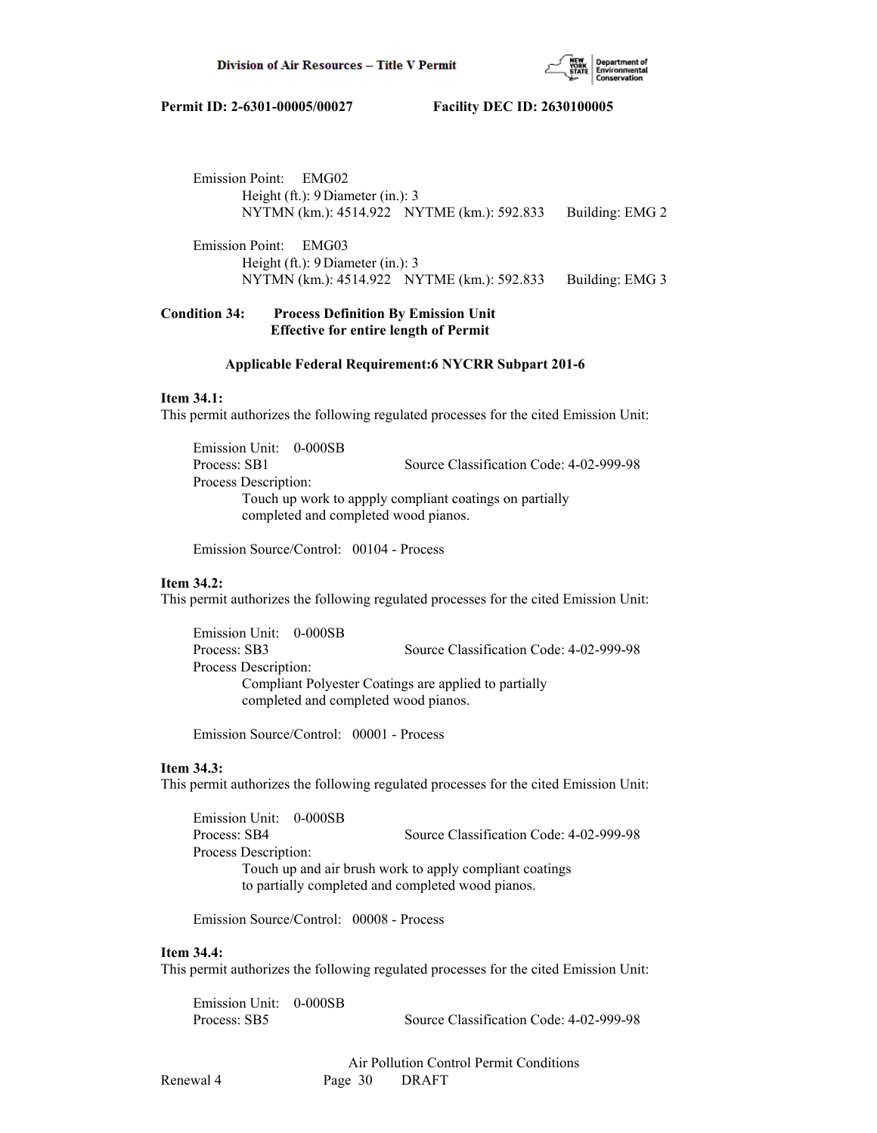

 Emission Point: EMG02 Height (ft.): 9 Diameter (in.): 3 NYTMN (km.): 4514.922 NYTME (km.): 592.833 Building: EMG 2 Emission Point: EMG03

 Height (ft.): 9 Diameter (in.): 3 NYTMN (km.): 4514.922 NYTME (km.): 592.833 Building: EMG 3

# **Condition 34: Process Definition By Emission Unit Effective for entire length of Permit**

#### **Applicable Federal Requirement:6 NYCRR Subpart 201-6**

#### **Item 34.1:**

This permit authorizes the following regulated processes for the cited Emission Unit:

 Emission Unit: 0-000SB Process: SB1 Source Classification Code: 4-02-999-98 Process Description: Touch up work to appply compliant coatings on partially completed and completed wood pianos.

Emission Source/Control: 00104 - Process

# **Item 34.2:**

This permit authorizes the following regulated processes for the cited Emission Unit:

 Emission Unit: 0-000SB Process: SB3 Source Classification Code: 4-02-999-98 Process Description: Compliant Polyester Coatings are applied to partially completed and completed wood pianos.

Emission Source/Control: 00001 - Process

# **Item 34.3:**

This permit authorizes the following regulated processes for the cited Emission Unit:

 Emission Unit: 0-000SB Process: SB4 Source Classification Code: 4-02-999-98 Process Description: Touch up and air brush work to apply compliant coatings to partially completed and completed wood pianos.

Emission Source/Control: 00008 - Process

# **Item 34.4:**

This permit authorizes the following regulated processes for the cited Emission Unit:

| Emission Unit: 0-000SB |                                         |
|------------------------|-----------------------------------------|
| Process: SB5           | Source Classification Code: 4-02-999-98 |

 Air Pollution Control Permit Conditions Renewal 4 Page 30 DRAFT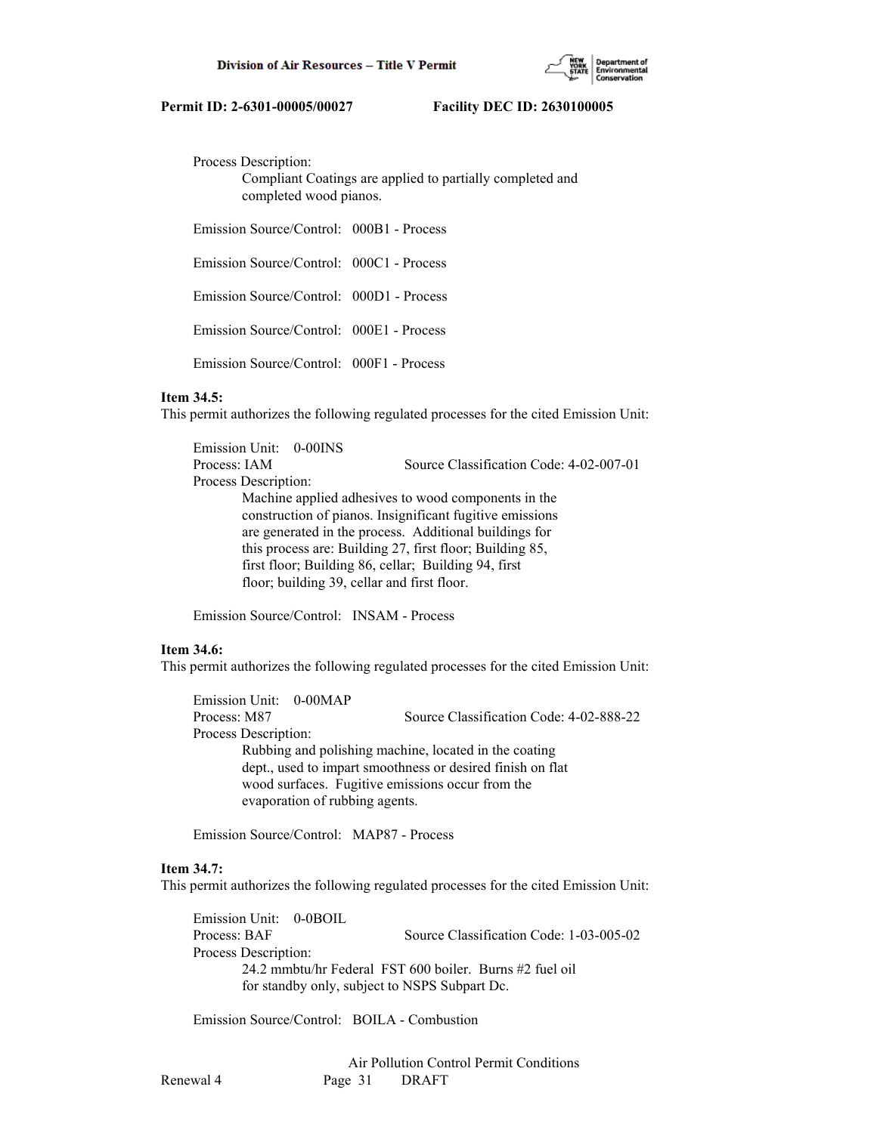

Process Description:

 Compliant Coatings are applied to partially completed and completed wood pianos.

Emission Source/Control: 000B1 - Process

Emission Source/Control: 000C1 - Process

Emission Source/Control: 000D1 - Process

Emission Source/Control: 000E1 - Process

Emission Source/Control: 000F1 - Process

#### **Item 34.5:**

This permit authorizes the following regulated processes for the cited Emission Unit:

 Emission Unit: 0-00INS Process: IAM Source Classification Code: 4-02-007-01 Process Description: Machine applied adhesives to wood components in the construction of pianos. Insignificant fugitive emissions are generated in the process. Additional buildings for this process are: Building 27, first floor; Building 85, first floor; Building 86, cellar; Building 94, first floor; building 39, cellar and first floor.

Emission Source/Control: INSAM - Process

### **Item 34.6:**

This permit authorizes the following regulated processes for the cited Emission Unit:

| Emission Unit: 0-00MAP |                                                            |  |  |
|------------------------|------------------------------------------------------------|--|--|
| Process: M87           | Source Classification Code: 4-02-888-22                    |  |  |
| Process Description:   |                                                            |  |  |
|                        | Rubbing and polishing machine, located in the coating      |  |  |
|                        | dept., used to impart smoothness or desired finish on flat |  |  |
|                        | wood surfaces. Fugitive emissions occur from the           |  |  |
|                        | evaporation of rubbing agents.                             |  |  |

Emission Source/Control: MAP87 - Process

#### **Item 34.7:**

This permit authorizes the following regulated processes for the cited Emission Unit:

 Emission Unit: 0-0BOIL Process: BAF Source Classification Code: 1-03-005-02 Process Description: 24.2 mmbtu/hr Federal FST 600 boiler. Burns #2 fuel oil for standby only, subject to NSPS Subpart Dc.

Emission Source/Control: BOILA - Combustion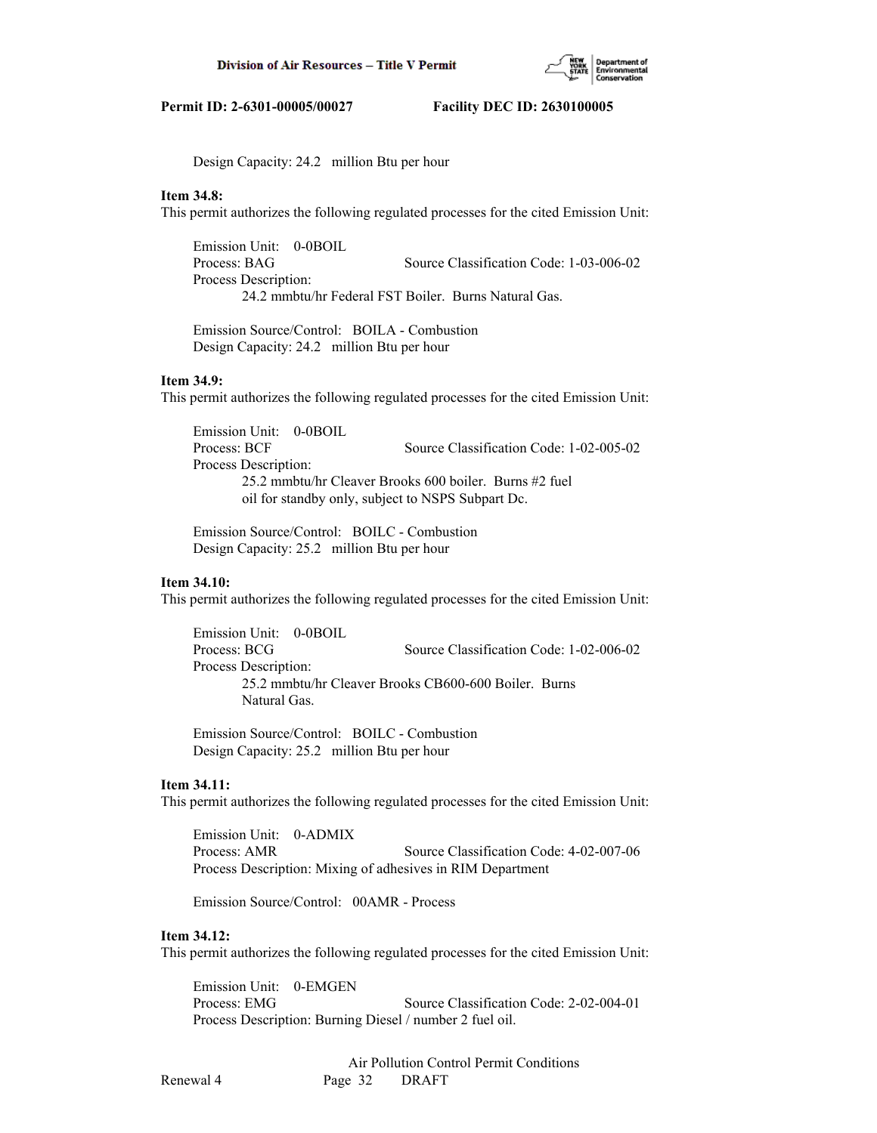

Design Capacity: 24.2 million Btu per hour

### **Item 34.8:**

This permit authorizes the following regulated processes for the cited Emission Unit:

 Emission Unit: 0-0BOIL Process: BAG Source Classification Code: 1-03-006-02 Process Description: 24.2 mmbtu/hr Federal FST Boiler. Burns Natural Gas.

 Emission Source/Control: BOILA - Combustion Design Capacity: 24.2 million Btu per hour

# **Item 34.9:**

This permit authorizes the following regulated processes for the cited Emission Unit:

 Emission Unit: 0-0BOIL Process: BCF Source Classification Code: 1-02-005-02 Process Description: 25.2 mmbtu/hr Cleaver Brooks 600 boiler. Burns #2 fuel oil for standby only, subject to NSPS Subpart Dc.

 Emission Source/Control: BOILC - Combustion Design Capacity: 25.2 million Btu per hour

### **Item 34.10:**

This permit authorizes the following regulated processes for the cited Emission Unit:

 Emission Unit: 0-0BOIL Process: BCG Source Classification Code: 1-02-006-02 Process Description: 25.2 mmbtu/hr Cleaver Brooks CB600-600 Boiler. Burns Natural Gas.

 Emission Source/Control: BOILC - Combustion Design Capacity: 25.2 million Btu per hour

## **Item 34.11:**

This permit authorizes the following regulated processes for the cited Emission Unit:

 Emission Unit: 0-ADMIX Process: AMR Source Classification Code: 4-02-007-06 Process Description: Mixing of adhesives in RIM Department

Emission Source/Control: 00AMR - Process

#### **Item 34.12:**

This permit authorizes the following regulated processes for the cited Emission Unit:

 Emission Unit: 0-EMGEN Process: EMG Source Classification Code: 2-02-004-01 Process Description: Burning Diesel / number 2 fuel oil.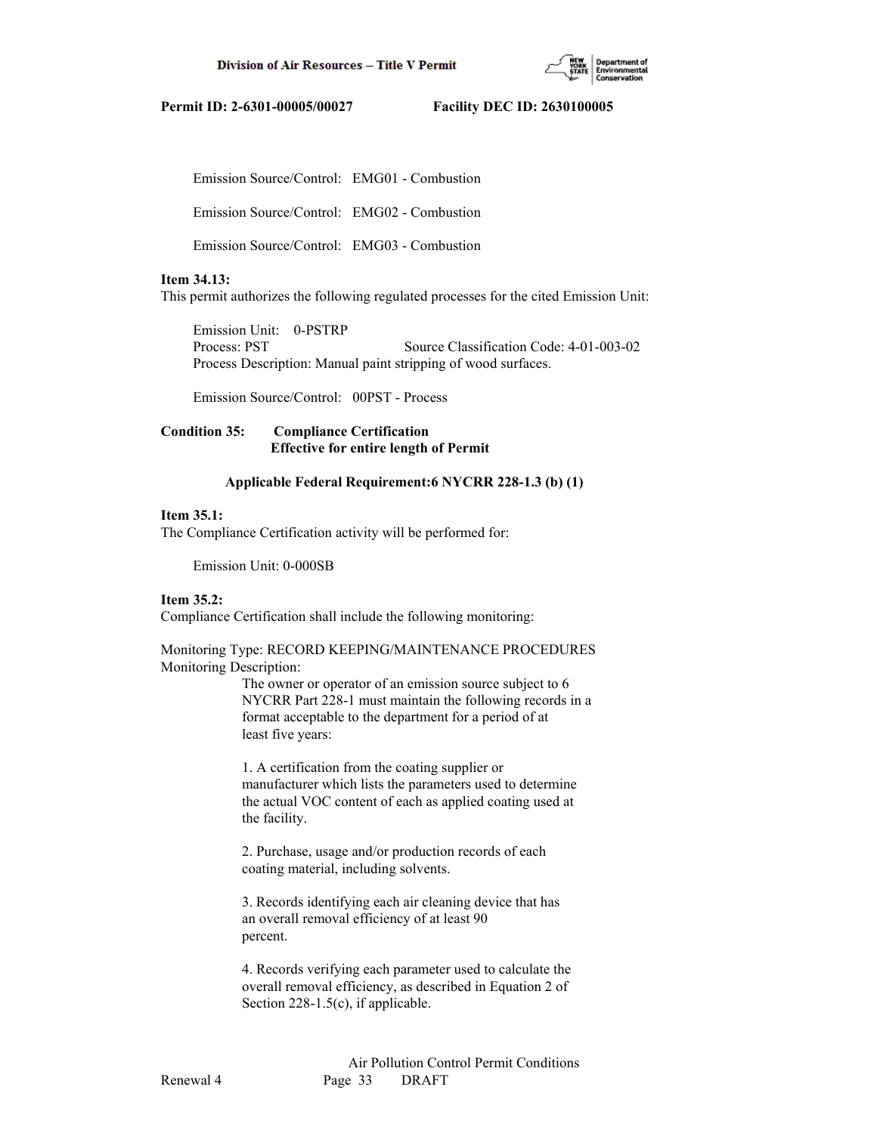

Emission Source/Control: EMG01 - Combustion

Emission Source/Control: EMG02 - Combustion

Emission Source/Control: EMG03 - Combustion

# **Item 34.13:**

This permit authorizes the following regulated processes for the cited Emission Unit:

 Emission Unit: 0-PSTRP Process: PST Source Classification Code: 4-01-003-02 Process Description: Manual paint stripping of wood surfaces.

Emission Source/Control: 00PST - Process

# **Condition 35: Compliance Certification Effective for entire length of Permit**

# **Applicable Federal Requirement:6 NYCRR 228-1.3 (b) (1)**

# **Item 35.1:**

The Compliance Certification activity will be performed for:

Emission Unit: 0-000SB

# **Item 35.2:**

Compliance Certification shall include the following monitoring:

Monitoring Type: RECORD KEEPING/MAINTENANCE PROCEDURES Monitoring Description:

> The owner or operator of an emission source subject to 6 NYCRR Part 228-1 must maintain the following records in a format acceptable to the department for a period of at least five years:

 1. A certification from the coating supplier or manufacturer which lists the parameters used to determine the actual VOC content of each as applied coating used at the facility.

 2. Purchase, usage and/or production records of each coating material, including solvents.

 3. Records identifying each air cleaning device that has an overall removal efficiency of at least 90 percent.

 4. Records verifying each parameter used to calculate the overall removal efficiency, as described in Equation 2 of Section 228-1.5(c), if applicable.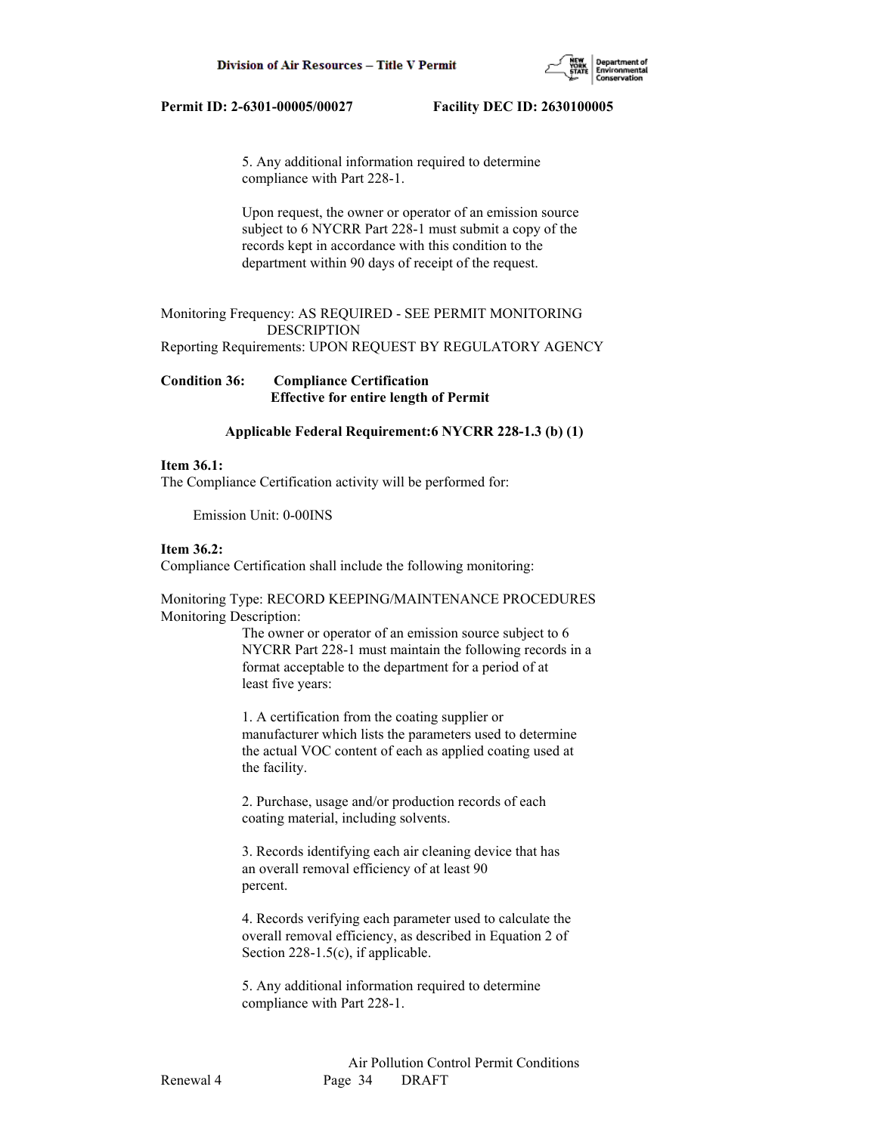

 5. Any additional information required to determine compliance with Part 228-1.

 Upon request, the owner or operator of an emission source subject to 6 NYCRR Part 228-1 must submit a copy of the records kept in accordance with this condition to the department within 90 days of receipt of the request.

# Monitoring Frequency: AS REQUIRED - SEE PERMIT MONITORING DESCRIPTION

Reporting Requirements: UPON REQUEST BY REGULATORY AGENCY

# **Condition 36: Compliance Certification Effective for entire length of Permit**

# **Applicable Federal Requirement:6 NYCRR 228-1.3 (b) (1)**

### **Item 36.1:**

The Compliance Certification activity will be performed for:

Emission Unit: 0-00INS

# **Item 36.2:**

Compliance Certification shall include the following monitoring:

Monitoring Type: RECORD KEEPING/MAINTENANCE PROCEDURES Monitoring Description:

> The owner or operator of an emission source subject to 6 NYCRR Part 228-1 must maintain the following records in a format acceptable to the department for a period of at least five years:

 1. A certification from the coating supplier or manufacturer which lists the parameters used to determine the actual VOC content of each as applied coating used at the facility.

 2. Purchase, usage and/or production records of each coating material, including solvents.

 3. Records identifying each air cleaning device that has an overall removal efficiency of at least 90 percent.

 4. Records verifying each parameter used to calculate the overall removal efficiency, as described in Equation 2 of Section 228-1.5(c), if applicable.

 5. Any additional information required to determine compliance with Part 228-1.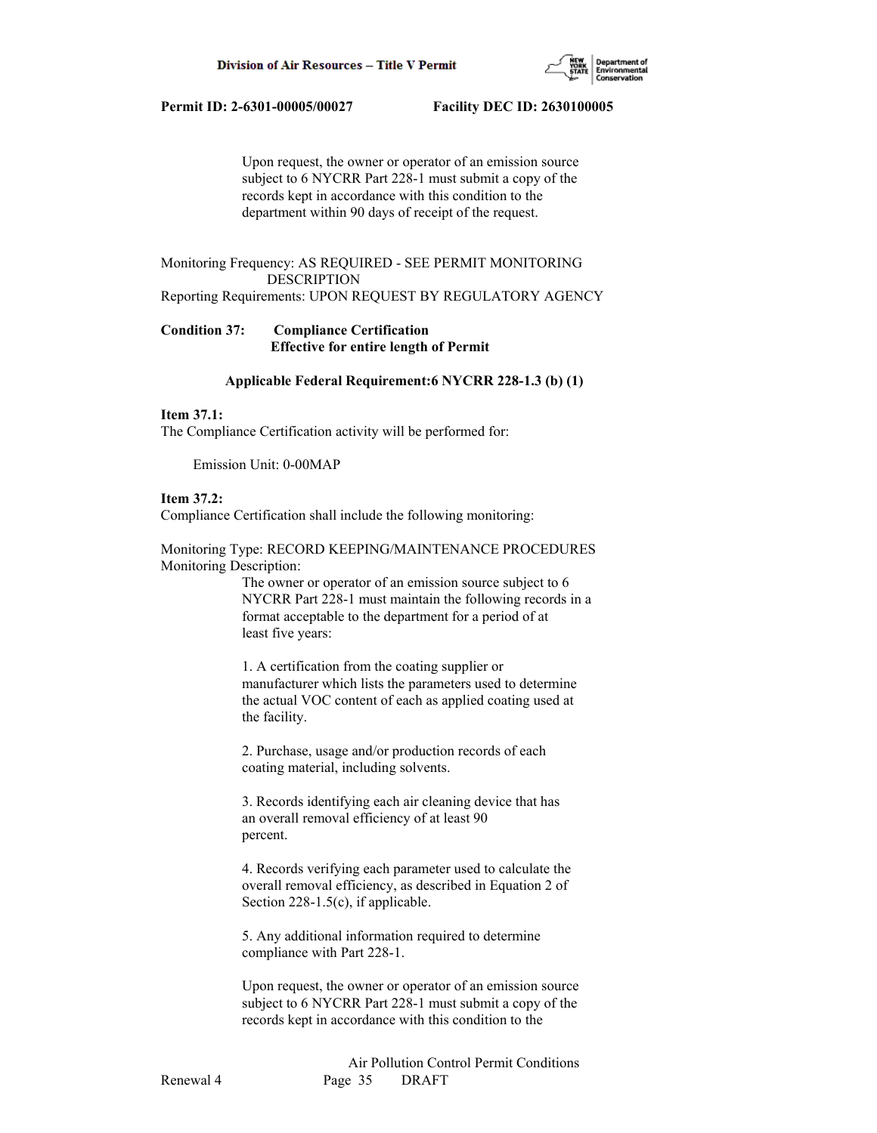

 Upon request, the owner or operator of an emission source subject to 6 NYCRR Part 228-1 must submit a copy of the records kept in accordance with this condition to the department within 90 days of receipt of the request.

# Monitoring Frequency: AS REQUIRED - SEE PERMIT MONITORING DESCRIPTION

Reporting Requirements: UPON REQUEST BY REGULATORY AGENCY

# **Condition 37: Compliance Certification Effective for entire length of Permit**

### **Applicable Federal Requirement:6 NYCRR 228-1.3 (b) (1)**

### **Item 37.1:**

The Compliance Certification activity will be performed for:

Emission Unit: 0-00MAP

# **Item 37.2:**

Compliance Certification shall include the following monitoring:

Monitoring Type: RECORD KEEPING/MAINTENANCE PROCEDURES Monitoring Description:

> The owner or operator of an emission source subject to 6 NYCRR Part 228-1 must maintain the following records in a format acceptable to the department for a period of at least five years:

 1. A certification from the coating supplier or manufacturer which lists the parameters used to determine the actual VOC content of each as applied coating used at the facility.

 2. Purchase, usage and/or production records of each coating material, including solvents.

 3. Records identifying each air cleaning device that has an overall removal efficiency of at least 90 percent.

 4. Records verifying each parameter used to calculate the overall removal efficiency, as described in Equation 2 of Section 228-1.5(c), if applicable.

 5. Any additional information required to determine compliance with Part 228-1.

 Upon request, the owner or operator of an emission source subject to 6 NYCRR Part 228-1 must submit a copy of the records kept in accordance with this condition to the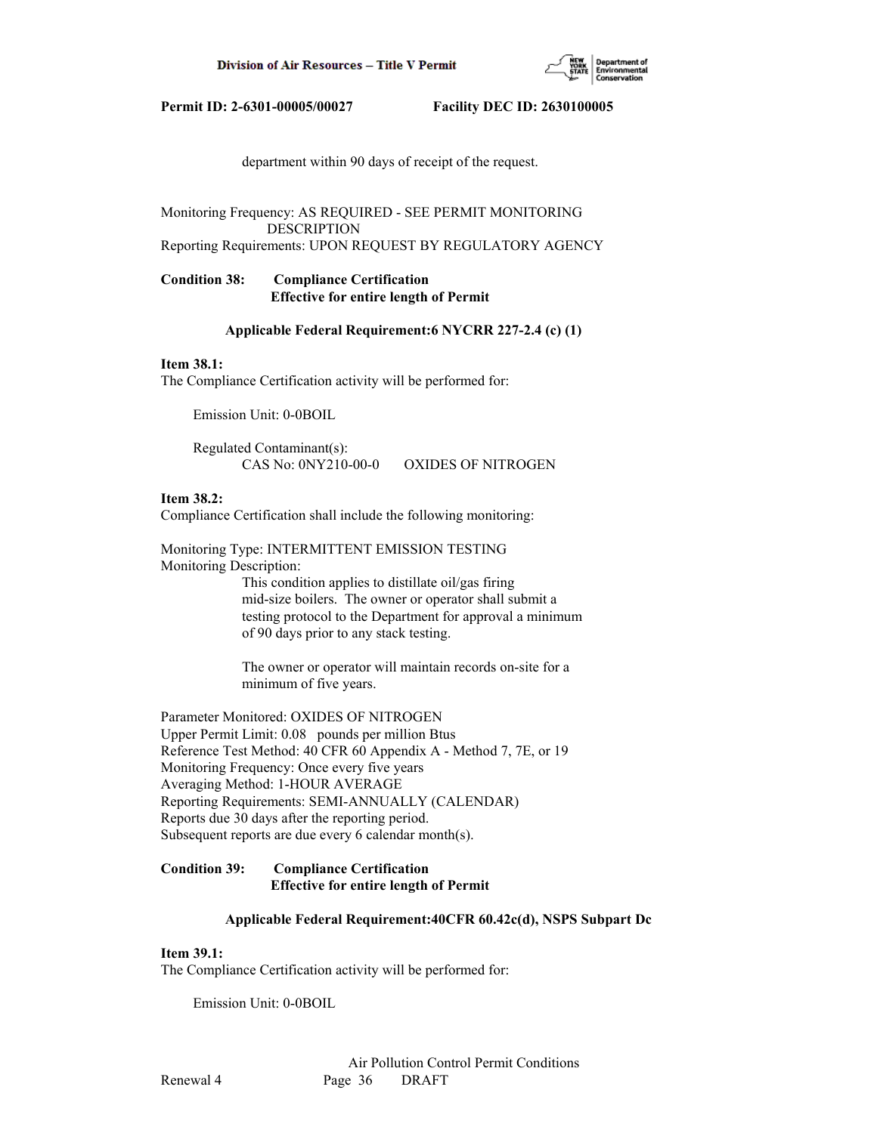

department within 90 days of receipt of the request.

Monitoring Frequency: AS REQUIRED - SEE PERMIT MONITORING DESCRIPTION

Reporting Requirements: UPON REQUEST BY REGULATORY AGENCY

# **Condition 38: Compliance Certification Effective for entire length of Permit**

### **Applicable Federal Requirement:6 NYCRR 227-2.4 (c) (1)**

#### **Item 38.1:**

The Compliance Certification activity will be performed for:

Emission Unit: 0-0BOIL

 Regulated Contaminant(s): CAS No: 0NY210-00-0 OXIDES OF NITROGEN

## **Item 38.2:**

Compliance Certification shall include the following monitoring:

Monitoring Type: INTERMITTENT EMISSION TESTING Monitoring Description:

> This condition applies to distillate oil/gas firing mid-size boilers. The owner or operator shall submit a testing protocol to the Department for approval a minimum of 90 days prior to any stack testing.

 The owner or operator will maintain records on-site for a minimum of five years.

Parameter Monitored: OXIDES OF NITROGEN Upper Permit Limit: 0.08 pounds per million Btus Reference Test Method: 40 CFR 60 Appendix A - Method 7, 7E, or 19 Monitoring Frequency: Once every five years Averaging Method: 1-HOUR AVERAGE Reporting Requirements: SEMI-ANNUALLY (CALENDAR) Reports due 30 days after the reporting period. Subsequent reports are due every 6 calendar month(s).

# **Condition 39: Compliance Certification Effective for entire length of Permit**

#### **Applicable Federal Requirement:40CFR 60.42c(d), NSPS Subpart Dc**

# **Item 39.1:**

The Compliance Certification activity will be performed for:

Emission Unit: 0-0BOIL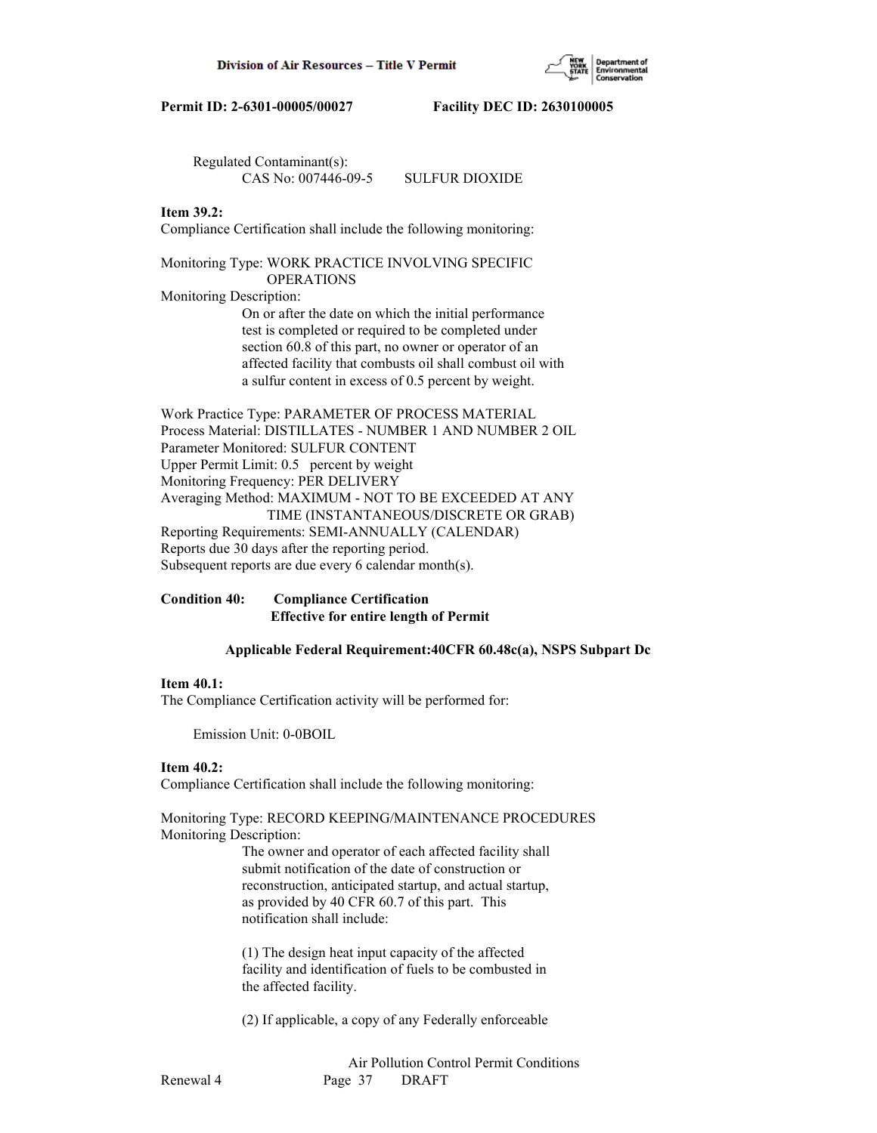

 Regulated Contaminant(s): CAS No: 007446-09-5 SULFUR DIOXIDE

# **Item 39.2:**

Compliance Certification shall include the following monitoring:

### Monitoring Type: WORK PRACTICE INVOLVING SPECIFIC OPERATIONS

Monitoring Description:

 On or after the date on which the initial performance test is completed or required to be completed under section 60.8 of this part, no owner or operator of an affected facility that combusts oil shall combust oil with a sulfur content in excess of 0.5 percent by weight.

Work Practice Type: PARAMETER OF PROCESS MATERIAL Process Material: DISTILLATES - NUMBER 1 AND NUMBER 2 OIL Parameter Monitored: SULFUR CONTENT Upper Permit Limit: 0.5 percent by weight Monitoring Frequency: PER DELIVERY Averaging Method: MAXIMUM - NOT TO BE EXCEEDED AT ANY TIME (INSTANTANEOUS/DISCRETE OR GRAB) Reporting Requirements: SEMI-ANNUALLY (CALENDAR) Reports due 30 days after the reporting period. Subsequent reports are due every 6 calendar month(s).

**Condition 40: Compliance Certification Effective for entire length of Permit**

# **Applicable Federal Requirement:40CFR 60.48c(a), NSPS Subpart Dc**

# **Item 40.1:**

The Compliance Certification activity will be performed for:

Emission Unit: 0-0BOIL

#### **Item 40.2:**

Compliance Certification shall include the following monitoring:

Monitoring Type: RECORD KEEPING/MAINTENANCE PROCEDURES Monitoring Description:

> The owner and operator of each affected facility shall submit notification of the date of construction or reconstruction, anticipated startup, and actual startup, as provided by 40 CFR 60.7 of this part. This notification shall include:

> (1) The design heat input capacity of the affected facility and identification of fuels to be combusted in the affected facility.

> (2) If applicable, a copy of any Federally enforceable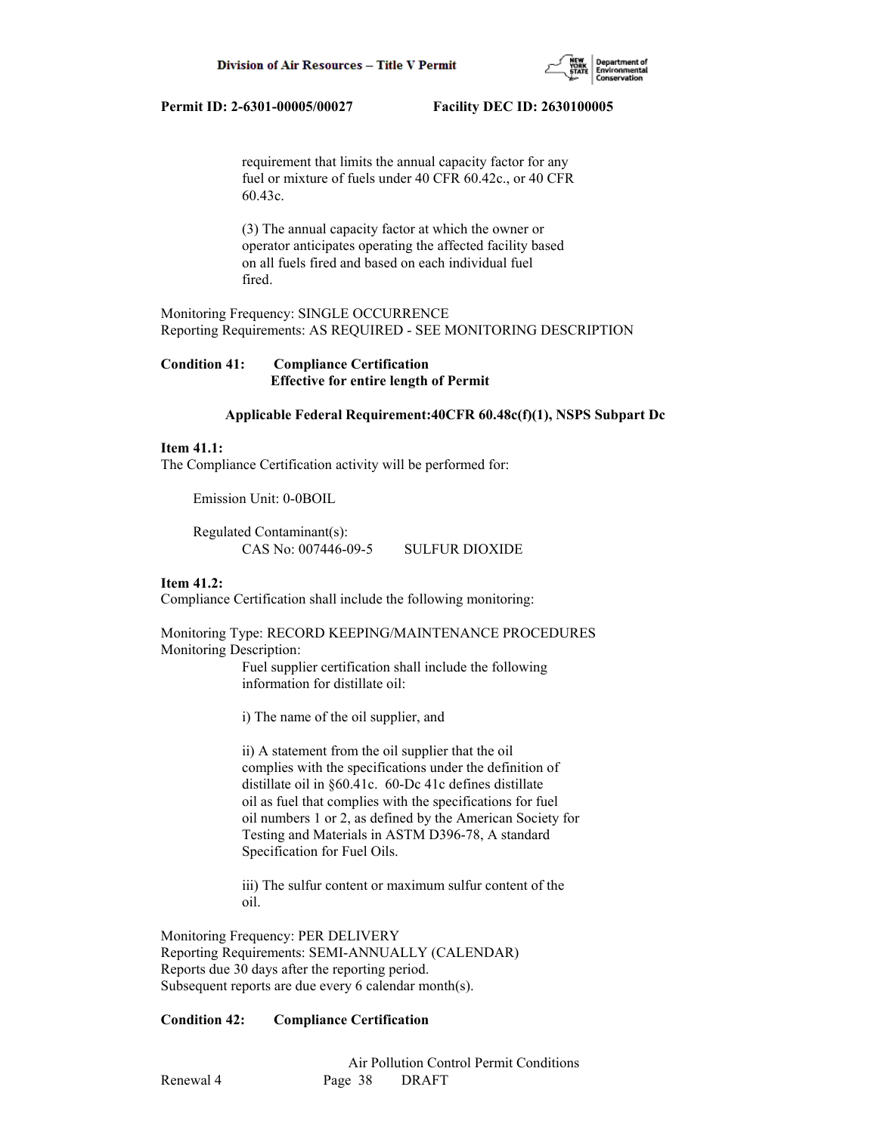

 requirement that limits the annual capacity factor for any fuel or mixture of fuels under 40 CFR 60.42c., or 40 CFR 60.43c.

 (3) The annual capacity factor at which the owner or operator anticipates operating the affected facility based on all fuels fired and based on each individual fuel fired.

Monitoring Frequency: SINGLE OCCURRENCE Reporting Requirements: AS REQUIRED - SEE MONITORING DESCRIPTION

**Condition 41: Compliance Certification Effective for entire length of Permit**

# **Applicable Federal Requirement:40CFR 60.48c(f)(1), NSPS Subpart Dc**

# **Item 41.1:**

The Compliance Certification activity will be performed for:

Emission Unit: 0-0BOIL

 Regulated Contaminant(s): CAS No: 007446-09-5 SULFUR DIOXIDE

#### **Item 41.2:**

Compliance Certification shall include the following monitoring:

Monitoring Type: RECORD KEEPING/MAINTENANCE PROCEDURES Monitoring Description:

> Fuel supplier certification shall include the following information for distillate oil:

i) The name of the oil supplier, and

 ii) A statement from the oil supplier that the oil complies with the specifications under the definition of distillate oil in §60.41c. 60-Dc 41c defines distillate oil as fuel that complies with the specifications for fuel oil numbers 1 or 2, as defined by the American Society for Testing and Materials in ASTM D396-78, A standard Specification for Fuel Oils.

 iii) The sulfur content or maximum sulfur content of the oil.

Monitoring Frequency: PER DELIVERY Reporting Requirements: SEMI-ANNUALLY (CALENDAR) Reports due 30 days after the reporting period. Subsequent reports are due every 6 calendar month(s).

# **Condition 42: Compliance Certification**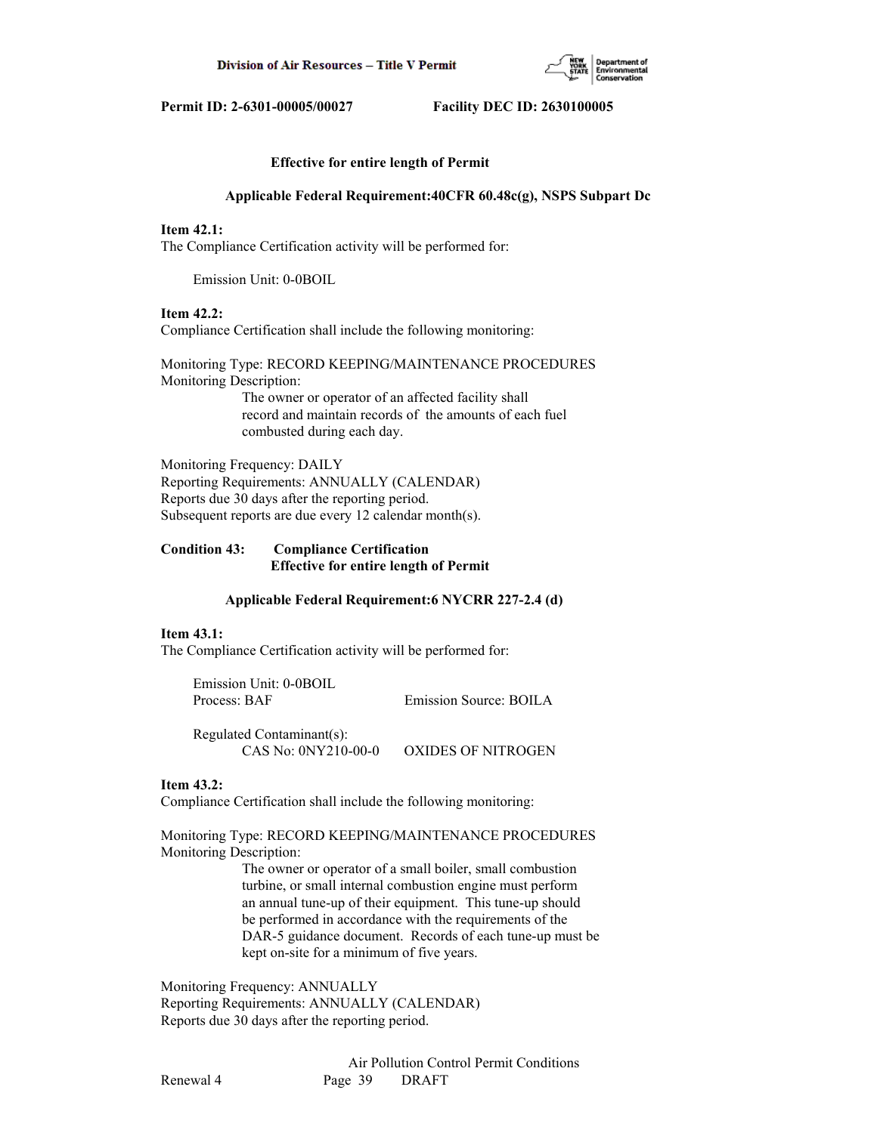

### **Effective for entire length of Permit**

#### **Applicable Federal Requirement:40CFR 60.48c(g), NSPS Subpart Dc**

# **Item 42.1:**

The Compliance Certification activity will be performed for:

Emission Unit: 0-0BOIL

# **Item 42.2:**

Compliance Certification shall include the following monitoring:

Monitoring Type: RECORD KEEPING/MAINTENANCE PROCEDURES Monitoring Description:

 The owner or operator of an affected facility shall record and maintain records of the amounts of each fuel combusted during each day.

Monitoring Frequency: DAILY Reporting Requirements: ANNUALLY (CALENDAR) Reports due 30 days after the reporting period. Subsequent reports are due every 12 calendar month(s).

# **Condition 43: Compliance Certification Effective for entire length of Permit**

#### **Applicable Federal Requirement:6 NYCRR 227-2.4 (d)**

#### **Item 43.1:**

The Compliance Certification activity will be performed for:

| Emission Unit: 0-0BOIL |                        |
|------------------------|------------------------|
| Process: BAF           | Emission Source: BOILA |

 Regulated Contaminant(s): CAS No: 0NY210-00-0 OXIDES OF NITROGEN

## **Item 43.2:**

Compliance Certification shall include the following monitoring:

Monitoring Type: RECORD KEEPING/MAINTENANCE PROCEDURES Monitoring Description:

> The owner or operator of a small boiler, small combustion turbine, or small internal combustion engine must perform an annual tune-up of their equipment. This tune-up should be performed in accordance with the requirements of the DAR-5 guidance document. Records of each tune-up must be kept on-site for a minimum of five years.

Monitoring Frequency: ANNUALLY Reporting Requirements: ANNUALLY (CALENDAR) Reports due 30 days after the reporting period.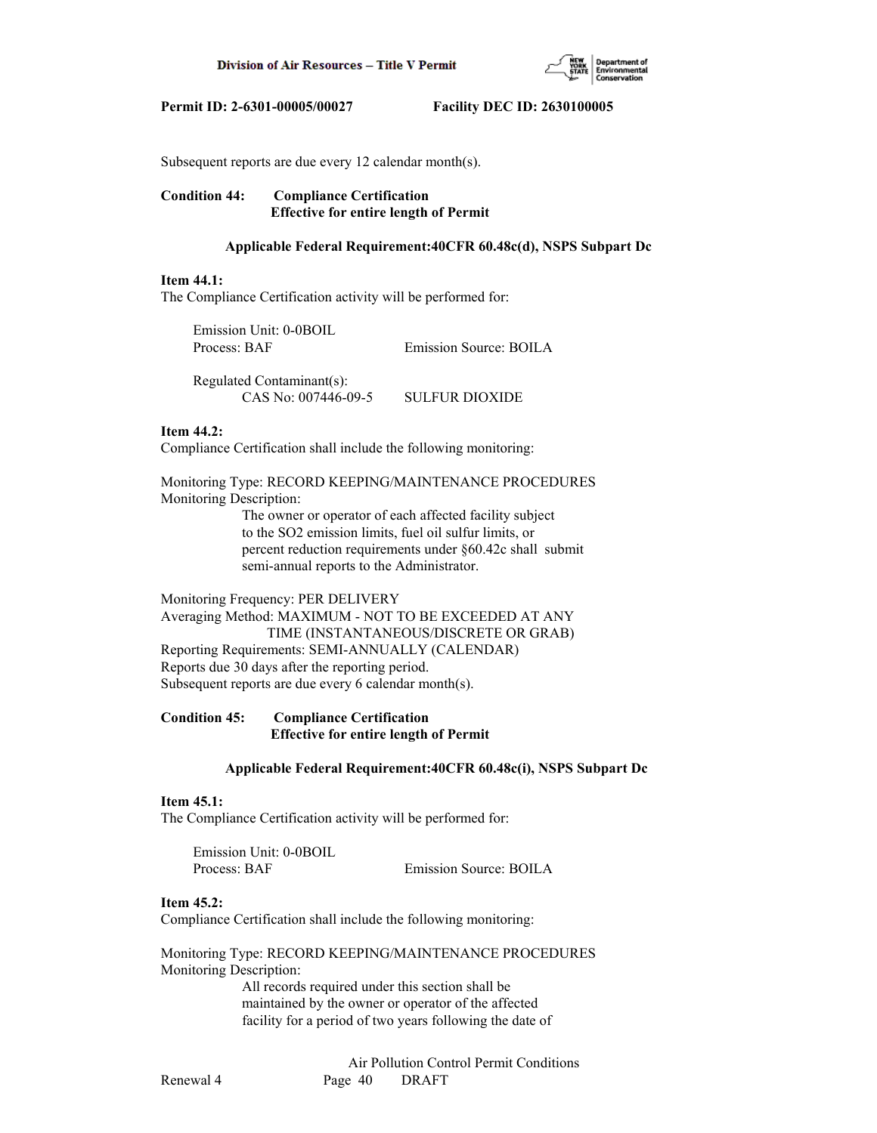

Subsequent reports are due every 12 calendar month(s).

# **Condition 44: Compliance Certification Effective for entire length of Permit**

### **Applicable Federal Requirement:40CFR 60.48c(d), NSPS Subpart Dc**

#### **Item 44.1:**

The Compliance Certification activity will be performed for:

| Emission Unit: 0-0BOIL |                        |
|------------------------|------------------------|
| Process: BAF           | Emission Source: BOILA |
|                        |                        |

 Regulated Contaminant(s): CAS No: 007446-09-5 SULFUR DIOXIDE

# **Item 44.2:**

Compliance Certification shall include the following monitoring:

Monitoring Type: RECORD KEEPING/MAINTENANCE PROCEDURES Monitoring Description:

> The owner or operator of each affected facility subject to the SO2 emission limits, fuel oil sulfur limits, or percent reduction requirements under §60.42c shall submit semi-annual reports to the Administrator.

Monitoring Frequency: PER DELIVERY Averaging Method: MAXIMUM - NOT TO BE EXCEEDED AT ANY TIME (INSTANTANEOUS/DISCRETE OR GRAB) Reporting Requirements: SEMI-ANNUALLY (CALENDAR) Reports due 30 days after the reporting period. Subsequent reports are due every 6 calendar month(s).

# **Condition 45: Compliance Certification Effective for entire length of Permit**

#### **Applicable Federal Requirement:40CFR 60.48c(i), NSPS Subpart Dc**

#### **Item 45.1:**

The Compliance Certification activity will be performed for:

| Emission Unit: 0-0BOIL |                        |
|------------------------|------------------------|
| Process: BAF           | Emission Source: BOILA |

#### **Item 45.2:**

Compliance Certification shall include the following monitoring:

Monitoring Type: RECORD KEEPING/MAINTENANCE PROCEDURES Monitoring Description:

> All records required under this section shall be maintained by the owner or operator of the affected facility for a period of two years following the date of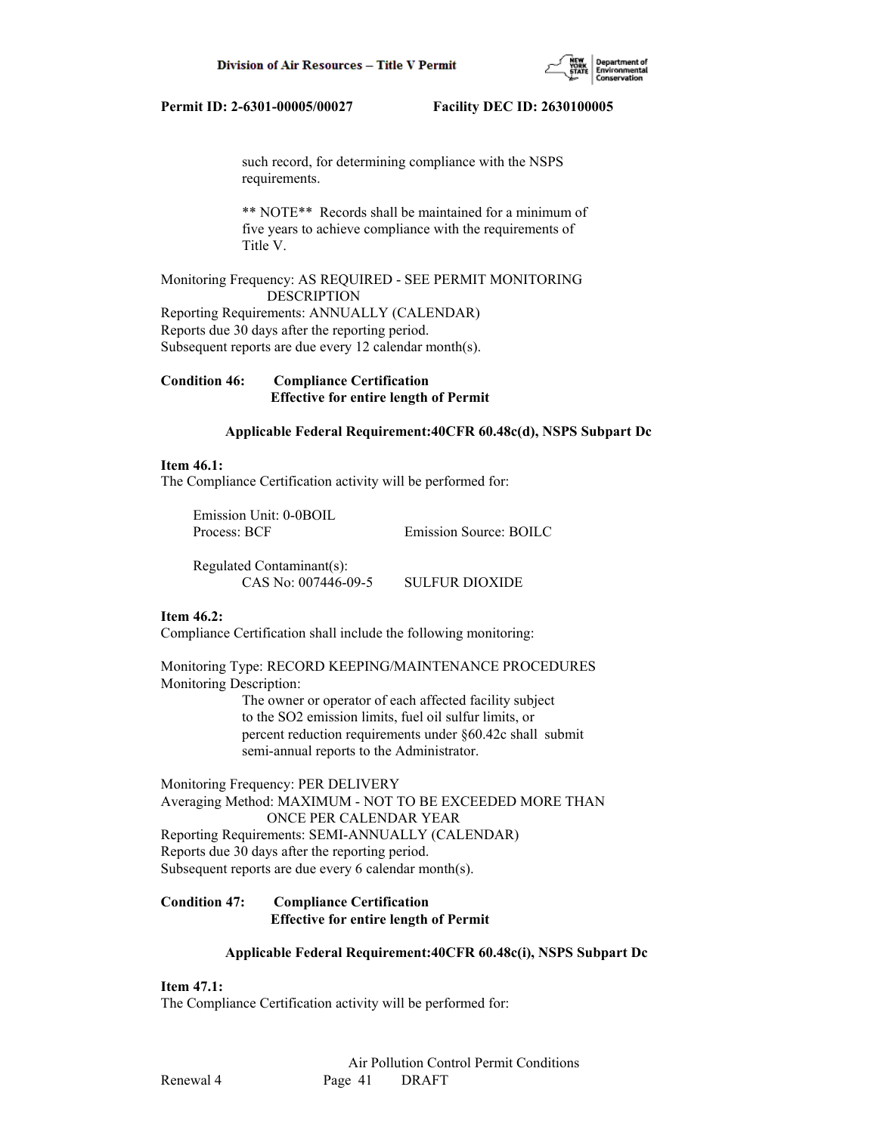

 such record, for determining compliance with the NSPS requirements.

 \*\* NOTE\*\* Records shall be maintained for a minimum of five years to achieve compliance with the requirements of Title V.

Monitoring Frequency: AS REQUIRED - SEE PERMIT MONITORING DESCRIPTION Reporting Requirements: ANNUALLY (CALENDAR) Reports due 30 days after the reporting period. Subsequent reports are due every 12 calendar month(s).

**Condition 46: Compliance Certification Effective for entire length of Permit**

# **Applicable Federal Requirement:40CFR 60.48c(d), NSPS Subpart Dc**

### **Item 46.1:**

The Compliance Certification activity will be performed for:

 Emission Unit: 0-0BOIL Process: BCF Emission Source: BOILC

 Regulated Contaminant(s): CAS No: 007446-09-5 SULFUR DIOXIDE

# **Item 46.2:**

Compliance Certification shall include the following monitoring:

Monitoring Type: RECORD KEEPING/MAINTENANCE PROCEDURES Monitoring Description:

 The owner or operator of each affected facility subject to the SO2 emission limits, fuel oil sulfur limits, or percent reduction requirements under §60.42c shall submit semi-annual reports to the Administrator.

Monitoring Frequency: PER DELIVERY Averaging Method: MAXIMUM - NOT TO BE EXCEEDED MORE THAN ONCE PER CALENDAR YEAR Reporting Requirements: SEMI-ANNUALLY (CALENDAR) Reports due 30 days after the reporting period. Subsequent reports are due every 6 calendar month(s).

# **Condition 47: Compliance Certification Effective for entire length of Permit**

# **Applicable Federal Requirement:40CFR 60.48c(i), NSPS Subpart Dc**

**Item 47.1:**

The Compliance Certification activity will be performed for: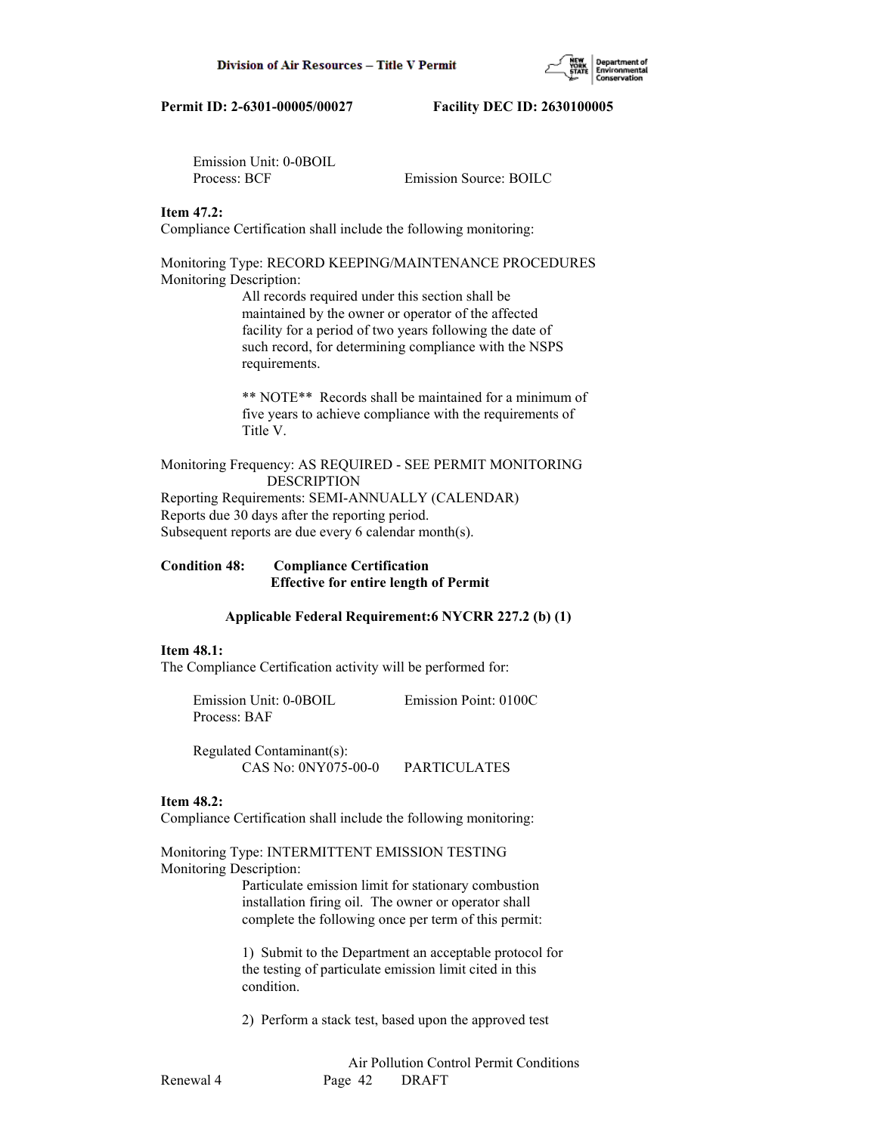Emission Unit: 0-0BOIL Process: BCF Emission Source: BOILC

# **Item 47.2:**

Compliance Certification shall include the following monitoring:

#### Monitoring Type: RECORD KEEPING/MAINTENANCE PROCEDURES Monitoring Description:

 All records required under this section shall be maintained by the owner or operator of the affected facility for a period of two years following the date of such record, for determining compliance with the NSPS requirements.

 \*\* NOTE\*\* Records shall be maintained for a minimum of five years to achieve compliance with the requirements of Title V.

Monitoring Frequency: AS REQUIRED - SEE PERMIT MONITORING DESCRIPTION Reporting Requirements: SEMI-ANNUALLY (CALENDAR)

Reports due 30 days after the reporting period. Subsequent reports are due every 6 calendar month(s).

# **Condition 48: Compliance Certification Effective for entire length of Permit**

# **Applicable Federal Requirement:6 NYCRR 227.2 (b) (1)**

#### **Item 48.1:**

The Compliance Certification activity will be performed for:

 Emission Unit: 0-0BOIL Emission Point: 0100C Process: BAF

 Regulated Contaminant(s): CAS No: 0NY075-00-0 PARTICULATES

# **Item 48.2:**

Compliance Certification shall include the following monitoring:

Monitoring Type: INTERMITTENT EMISSION TESTING Monitoring Description:

> Particulate emission limit for stationary combustion installation firing oil. The owner or operator shall complete the following once per term of this permit:

 1) Submit to the Department an acceptable protocol for the testing of particulate emission limit cited in this condition.

2) Perform a stack test, based upon the approved test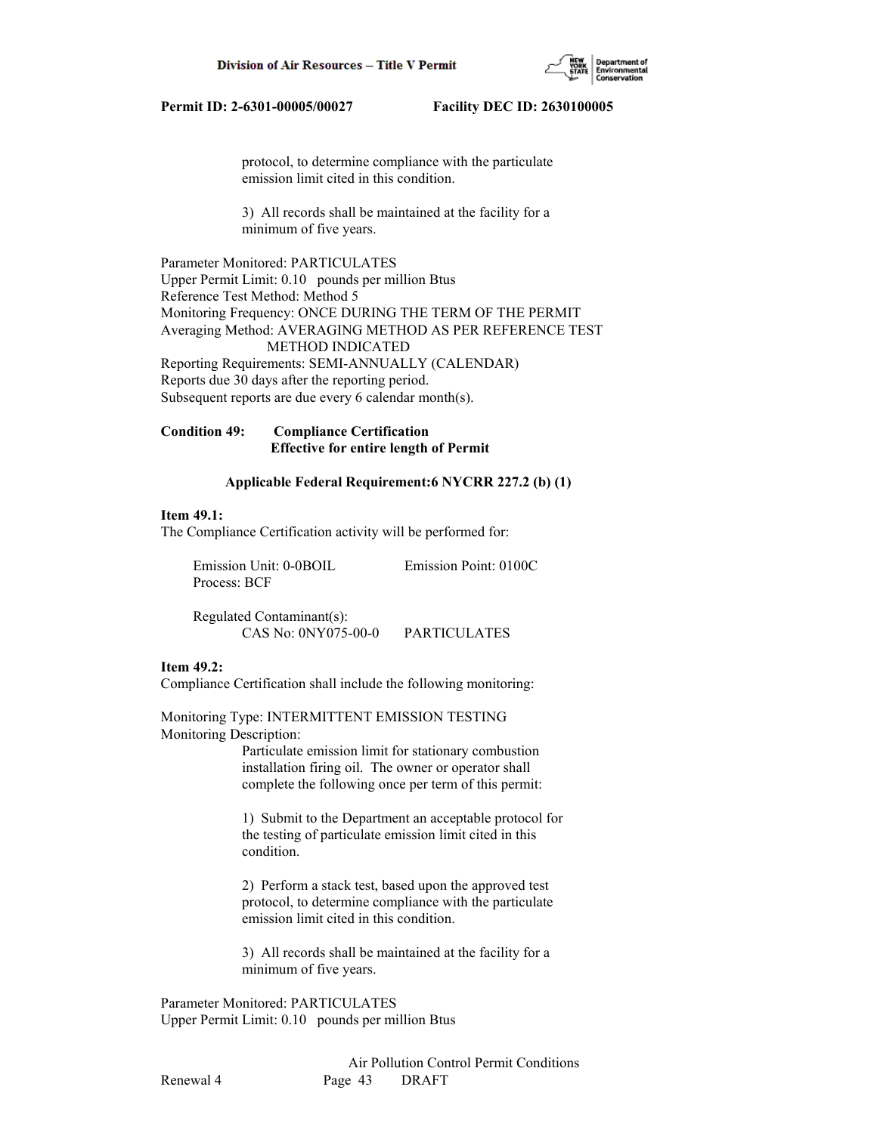

 protocol, to determine compliance with the particulate emission limit cited in this condition.

 3) All records shall be maintained at the facility for a minimum of five years.

Parameter Monitored: PARTICULATES Upper Permit Limit: 0.10 pounds per million Btus Reference Test Method: Method 5 Monitoring Frequency: ONCE DURING THE TERM OF THE PERMIT Averaging Method: AVERAGING METHOD AS PER REFERENCE TEST METHOD INDICATED Reporting Requirements: SEMI-ANNUALLY (CALENDAR) Reports due 30 days after the reporting period. Subsequent reports are due every 6 calendar month(s).

# **Condition 49: Compliance Certification Effective for entire length of Permit**

# **Applicable Federal Requirement:6 NYCRR 227.2 (b) (1)**

# **Item 49.1:**

The Compliance Certification activity will be performed for:

 Emission Unit: 0-0BOIL Emission Point: 0100C Process: BCF

 Regulated Contaminant(s): CAS No: 0NY075-00-0 PARTICULATES

### **Item 49.2:**

Compliance Certification shall include the following monitoring:

Monitoring Type: INTERMITTENT EMISSION TESTING Monitoring Description:

> Particulate emission limit for stationary combustion installation firing oil. The owner or operator shall complete the following once per term of this permit:

 1) Submit to the Department an acceptable protocol for the testing of particulate emission limit cited in this condition.

 2) Perform a stack test, based upon the approved test protocol, to determine compliance with the particulate emission limit cited in this condition.

 3) All records shall be maintained at the facility for a minimum of five years.

Parameter Monitored: PARTICULATES Upper Permit Limit: 0.10 pounds per million Btus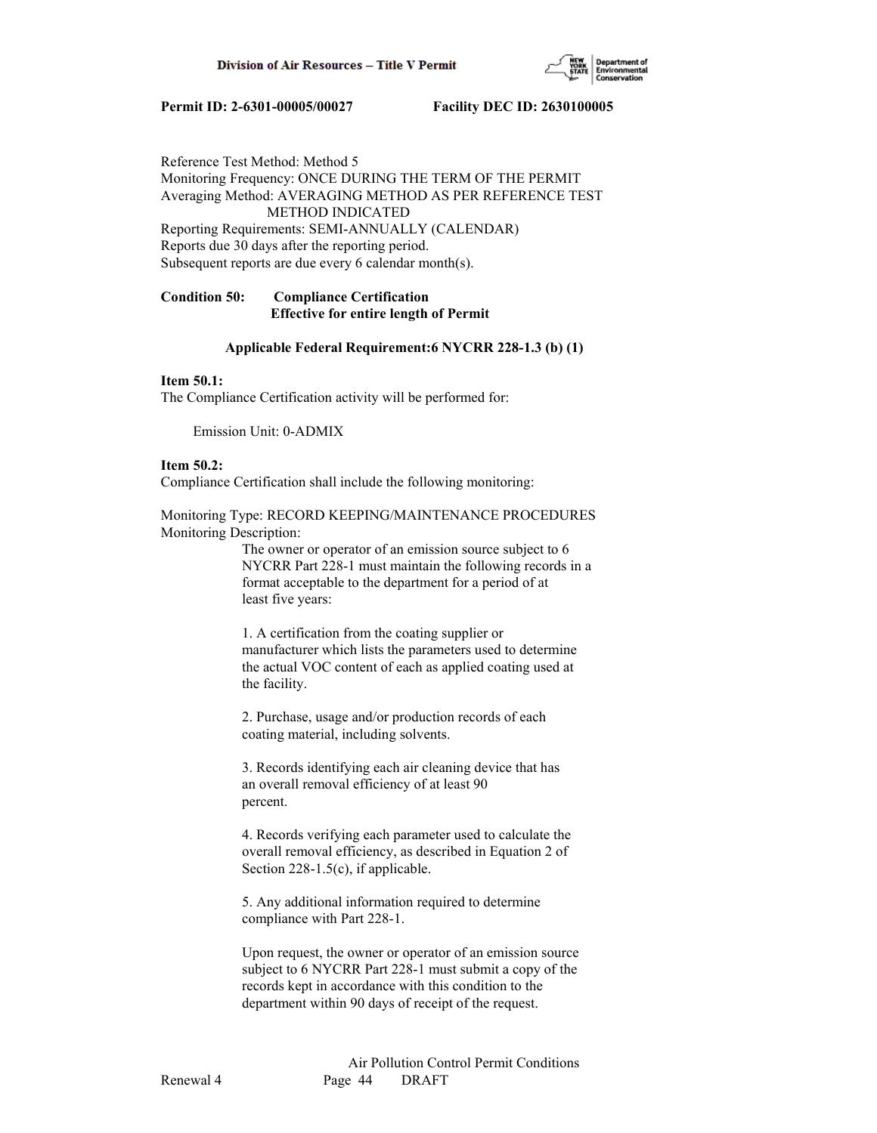

# Reference Test Method: Method 5 Monitoring Frequency: ONCE DURING THE TERM OF THE PERMIT Averaging Method: AVERAGING METHOD AS PER REFERENCE TEST METHOD INDICATED Reporting Requirements: SEMI-ANNUALLY (CALENDAR)

Reports due 30 days after the reporting period. Subsequent reports are due every 6 calendar month(s).

# **Condition 50: Compliance Certification Effective for entire length of Permit**

# **Applicable Federal Requirement:6 NYCRR 228-1.3 (b) (1)**

# **Item 50.1:**

The Compliance Certification activity will be performed for:

Emission Unit: 0-ADMIX

# **Item 50.2:**

Compliance Certification shall include the following monitoring:

Monitoring Type: RECORD KEEPING/MAINTENANCE PROCEDURES Monitoring Description:

> The owner or operator of an emission source subject to 6 NYCRR Part 228-1 must maintain the following records in a format acceptable to the department for a period of at least five years:

 1. A certification from the coating supplier or manufacturer which lists the parameters used to determine the actual VOC content of each as applied coating used at the facility.

 2. Purchase, usage and/or production records of each coating material, including solvents.

 3. Records identifying each air cleaning device that has an overall removal efficiency of at least 90 percent.

 4. Records verifying each parameter used to calculate the overall removal efficiency, as described in Equation 2 of Section 228-1.5(c), if applicable.

 5. Any additional information required to determine compliance with Part 228-1.

 Upon request, the owner or operator of an emission source subject to 6 NYCRR Part 228-1 must submit a copy of the records kept in accordance with this condition to the department within 90 days of receipt of the request.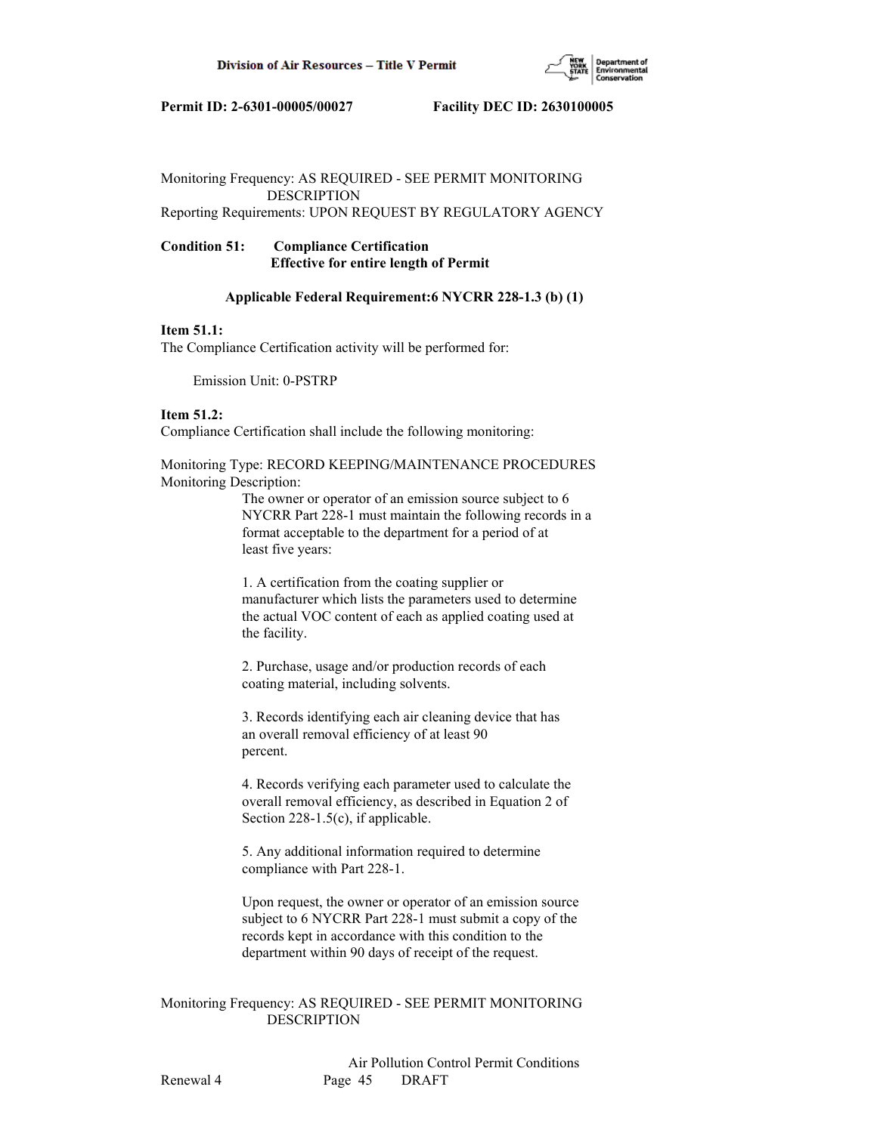

# Monitoring Frequency: AS REQUIRED - SEE PERMIT MONITORING DESCRIPTION Reporting Requirements: UPON REQUEST BY REGULATORY AGENCY

# **Condition 51: Compliance Certification Effective for entire length of Permit**

# **Applicable Federal Requirement:6 NYCRR 228-1.3 (b) (1)**

### **Item 51.1:**

The Compliance Certification activity will be performed for:

Emission Unit: 0-PSTRP

# **Item 51.2:**

Compliance Certification shall include the following monitoring:

Monitoring Type: RECORD KEEPING/MAINTENANCE PROCEDURES Monitoring Description:

> The owner or operator of an emission source subject to 6 NYCRR Part 228-1 must maintain the following records in a format acceptable to the department for a period of at least five years:

 1. A certification from the coating supplier or manufacturer which lists the parameters used to determine the actual VOC content of each as applied coating used at the facility.

 2. Purchase, usage and/or production records of each coating material, including solvents.

 3. Records identifying each air cleaning device that has an overall removal efficiency of at least 90 percent.

 4. Records verifying each parameter used to calculate the overall removal efficiency, as described in Equation 2 of Section 228-1.5(c), if applicable.

 5. Any additional information required to determine compliance with Part 228-1.

 Upon request, the owner or operator of an emission source subject to 6 NYCRR Part 228-1 must submit a copy of the records kept in accordance with this condition to the department within 90 days of receipt of the request.

# Monitoring Frequency: AS REQUIRED - SEE PERMIT MONITORING DESCRIPTION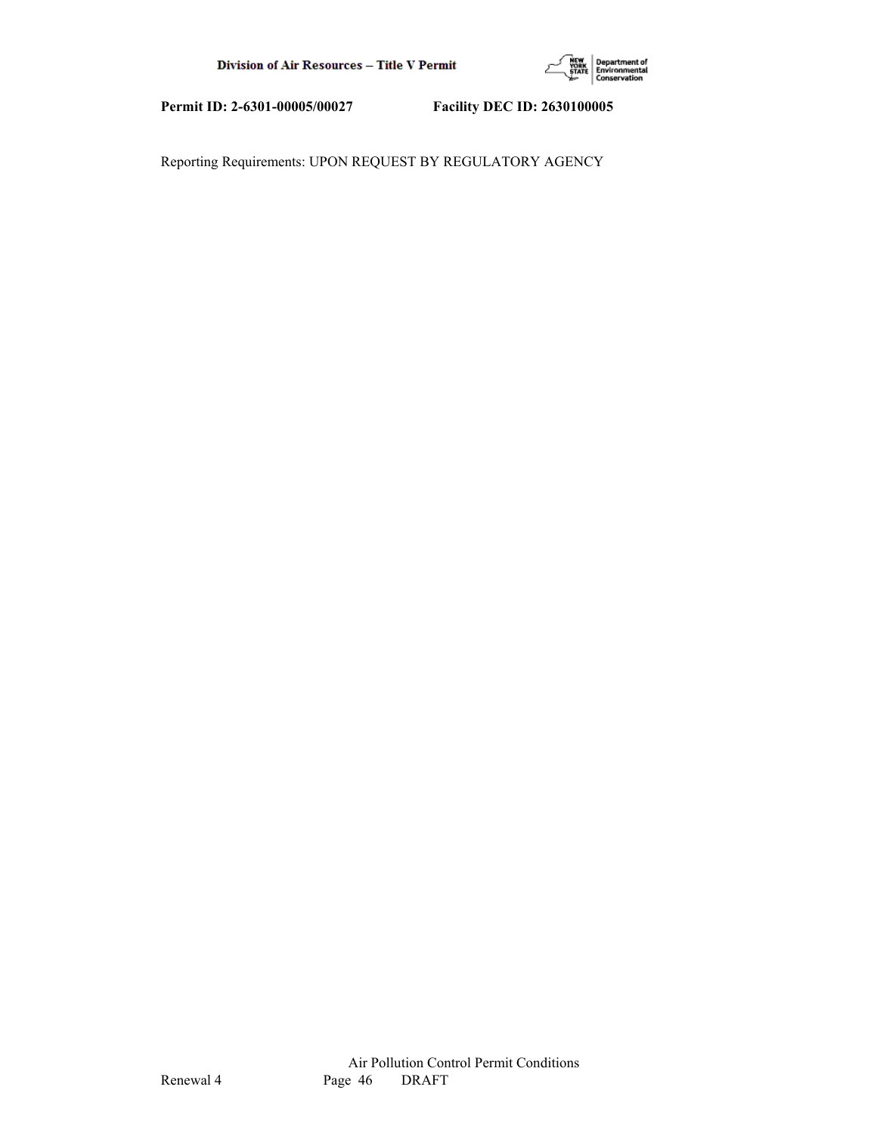

Reporting Requirements: UPON REQUEST BY REGULATORY AGENCY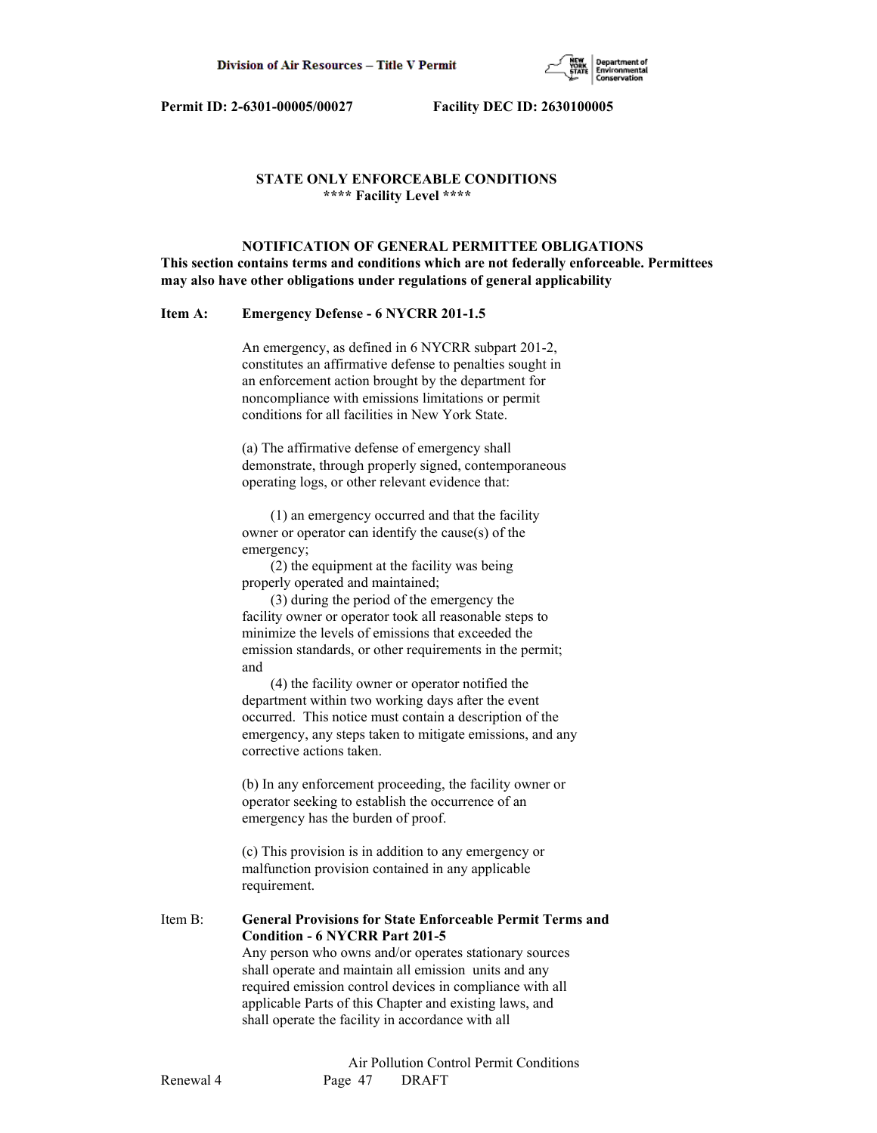

# **STATE ONLY ENFORCEABLE CONDITIONS \*\*\*\* Facility Level \*\*\*\***

 **NOTIFICATION OF GENERAL PERMITTEE OBLIGATIONS This section contains terms and conditions which are not federally enforceable. Permittees may also have other obligations under regulations of general applicability**

# **Item A: Emergency Defense - 6 NYCRR 201-1.5**

 An emergency, as defined in 6 NYCRR subpart 201-2, constitutes an affirmative defense to penalties sought in an enforcement action brought by the department for noncompliance with emissions limitations or permit conditions for all facilities in New York State.

 (a) The affirmative defense of emergency shall demonstrate, through properly signed, contemporaneous operating logs, or other relevant evidence that:

 (1) an emergency occurred and that the facility owner or operator can identify the cause(s) of the emergency;

 (2) the equipment at the facility was being properly operated and maintained;

 (3) during the period of the emergency the facility owner or operator took all reasonable steps to minimize the levels of emissions that exceeded the emission standards, or other requirements in the permit; and

 (4) the facility owner or operator notified the department within two working days after the event occurred. This notice must contain a description of the emergency, any steps taken to mitigate emissions, and any corrective actions taken.

 (b) In any enforcement proceeding, the facility owner or operator seeking to establish the occurrence of an emergency has the burden of proof.

 (c) This provision is in addition to any emergency or malfunction provision contained in any applicable requirement.

Item B: **General Provisions for State Enforceable Permit Terms and Condition - 6 NYCRR Part 201-5** Any person who owns and/or operates stationary sources shall operate and maintain all emission units and any required emission control devices in compliance with all

> applicable Parts of this Chapter and existing laws, and shall operate the facility in accordance with all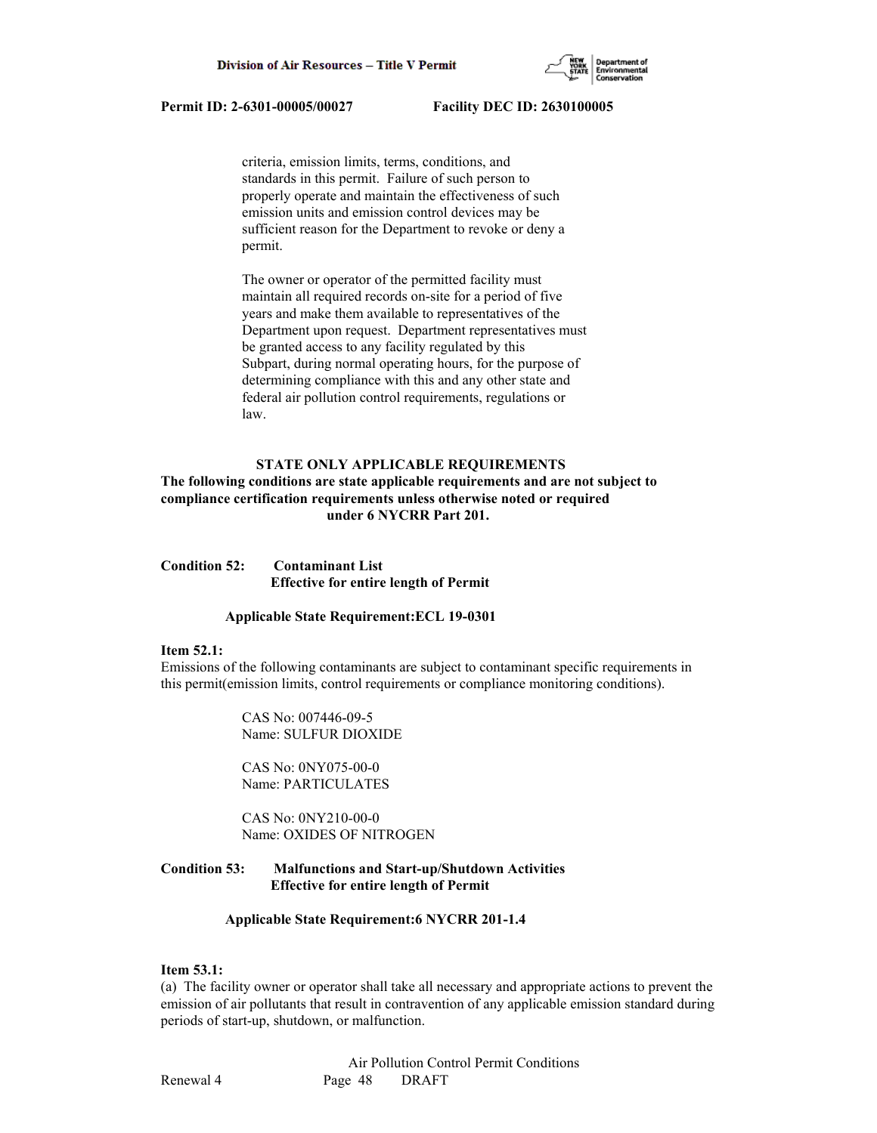

 criteria, emission limits, terms, conditions, and standards in this permit. Failure of such person to properly operate and maintain the effectiveness of such emission units and emission control devices may be sufficient reason for the Department to revoke or deny a permit.

 The owner or operator of the permitted facility must maintain all required records on-site for a period of five years and make them available to representatives of the Department upon request. Department representatives must be granted access to any facility regulated by this Subpart, during normal operating hours, for the purpose of determining compliance with this and any other state and federal air pollution control requirements, regulations or law.

# **STATE ONLY APPLICABLE REQUIREMENTS**

# **The following conditions are state applicable requirements and are not subject to compliance certification requirements unless otherwise noted or required under 6 NYCRR Part 201.**

**Condition 52: Contaminant List Effective for entire length of Permit**

#### **Applicable State Requirement:ECL 19-0301**

#### **Item 52.1:**

Emissions of the following contaminants are subject to contaminant specific requirements in this permit(emission limits, control requirements or compliance monitoring conditions).

> CAS No: 007446-09-5 Name: SULFUR DIOXIDE

 CAS No: 0NY075-00-0 Name: PARTICULATES

 CAS No: 0NY210-00-0 Name: OXIDES OF NITROGEN

# **Condition 53: Malfunctions and Start-up/Shutdown Activities Effective for entire length of Permit**

# **Applicable State Requirement:6 NYCRR 201-1.4**

### **Item 53.1:**

(a) The facility owner or operator shall take all necessary and appropriate actions to prevent the emission of air pollutants that result in contravention of any applicable emission standard during periods of start-up, shutdown, or malfunction.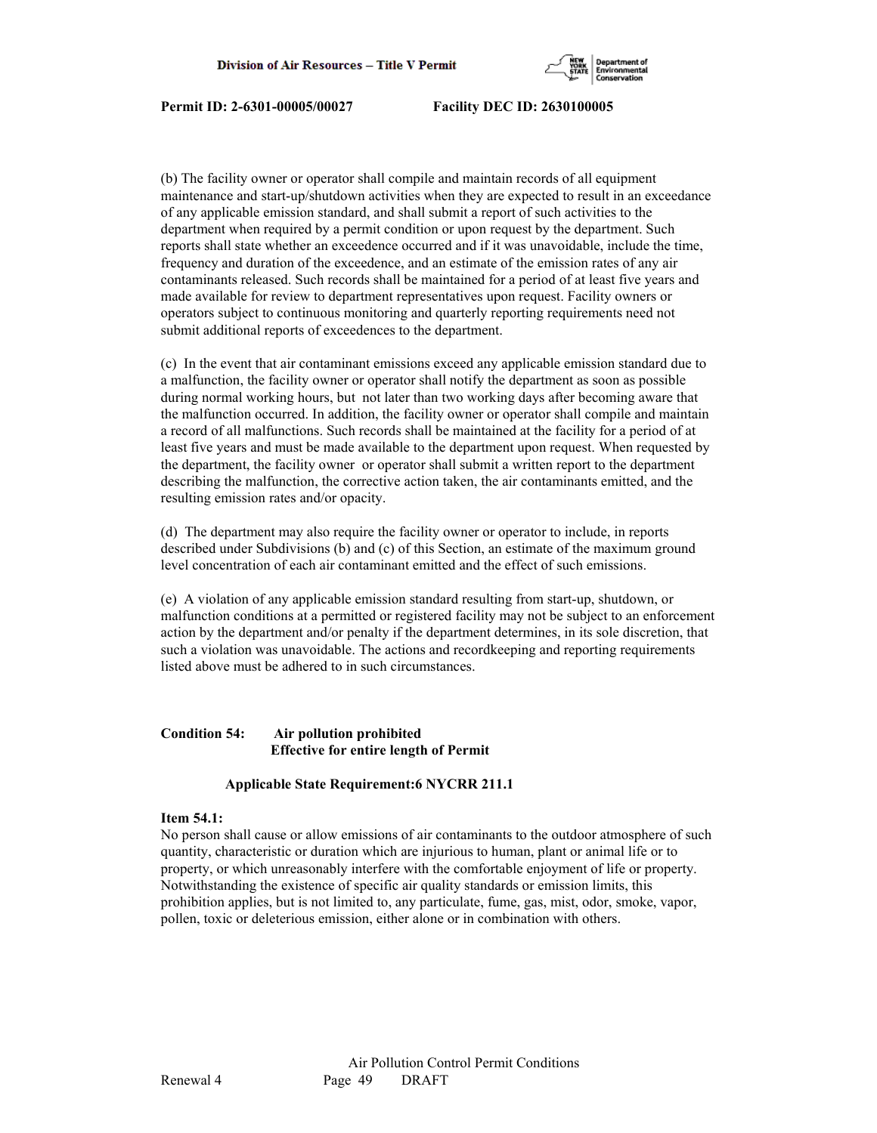

(b) The facility owner or operator shall compile and maintain records of all equipment maintenance and start-up/shutdown activities when they are expected to result in an exceedance of any applicable emission standard, and shall submit a report of such activities to the department when required by a permit condition or upon request by the department. Such reports shall state whether an exceedence occurred and if it was unavoidable, include the time, frequency and duration of the exceedence, and an estimate of the emission rates of any air contaminants released. Such records shall be maintained for a period of at least five years and made available for review to department representatives upon request. Facility owners or operators subject to continuous monitoring and quarterly reporting requirements need not submit additional reports of exceedences to the department.

(c) In the event that air contaminant emissions exceed any applicable emission standard due to a malfunction, the facility owner or operator shall notify the department as soon as possible during normal working hours, but not later than two working days after becoming aware that the malfunction occurred. In addition, the facility owner or operator shall compile and maintain a record of all malfunctions. Such records shall be maintained at the facility for a period of at least five years and must be made available to the department upon request. When requested by the department, the facility owner or operator shall submit a written report to the department describing the malfunction, the corrective action taken, the air contaminants emitted, and the resulting emission rates and/or opacity.

(d) The department may also require the facility owner or operator to include, in reports described under Subdivisions (b) and (c) of this Section, an estimate of the maximum ground level concentration of each air contaminant emitted and the effect of such emissions.

(e) A violation of any applicable emission standard resulting from start-up, shutdown, or malfunction conditions at a permitted or registered facility may not be subject to an enforcement action by the department and/or penalty if the department determines, in its sole discretion, that such a violation was unavoidable. The actions and recordkeeping and reporting requirements listed above must be adhered to in such circumstances.

# **Condition 54: Air pollution prohibited Effective for entire length of Permit**

# **Applicable State Requirement:6 NYCRR 211.1**

# **Item 54.1:**

No person shall cause or allow emissions of air contaminants to the outdoor atmosphere of such quantity, characteristic or duration which are injurious to human, plant or animal life or to property, or which unreasonably interfere with the comfortable enjoyment of life or property. Notwithstanding the existence of specific air quality standards or emission limits, this prohibition applies, but is not limited to, any particulate, fume, gas, mist, odor, smoke, vapor, pollen, toxic or deleterious emission, either alone or in combination with others.